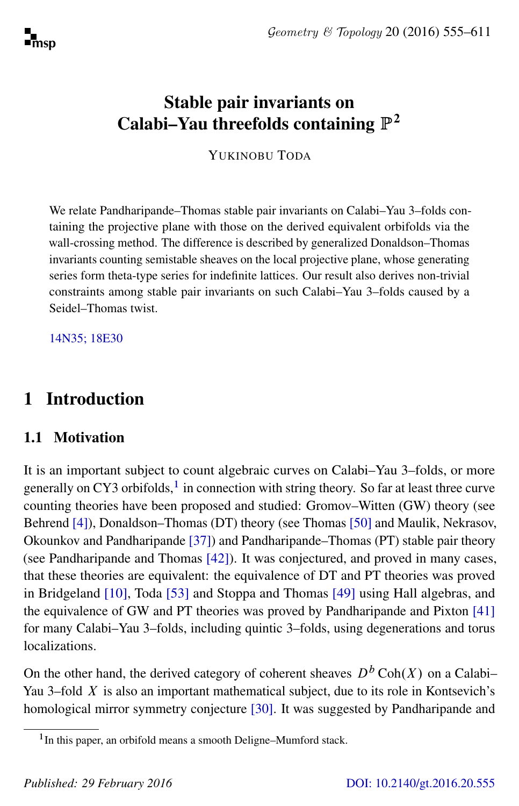# Stable pair invariants on Calabi–Yau threefolds containing  $\mathbb{P}^2$

YUKINOBU TODA

We relate Pandharipande–Thomas stable pair invariants on Calabi–Yau 3–folds containing the projective plane with those on the derived equivalent orbifolds via the wall-crossing method. The difference is described by generalized Donaldson–Thomas invariants counting semistable sheaves on the local projective plane, whose generating series form theta-type series for indefinite lattices. Our result also derives non-trivial constraints among stable pair invariants on such Calabi–Yau 3–folds caused by a Seidel–Thomas twist.

[14N35; 18E30](http://www.ams.org/mathscinet/search/mscdoc.html?code=14N35, 18E30)

# 1 Introduction

## 1.1 Motivation

It is an important subject to count algebraic curves on Calabi–Yau 3–folds, or more generally on CY3 orbifolds, $<sup>1</sup>$  $<sup>1</sup>$  $<sup>1</sup>$  in connection with string theory. So far at least three curve</sup> counting theories have been proposed and studied: Gromov–Witten (GW) theory (see Behrend [\[4\]](#page-52-0)), Donaldson–Thomas (DT) theory (see Thomas [\[50\]](#page-55-0) and Maulik, Nekrasov, Okounkov and Pandharipande [\[37\]](#page-54-0)) and Pandharipande–Thomas (PT) stable pair theory (see Pandharipande and Thomas [\[42\]](#page-55-1)). It was conjectured, and proved in many cases, that these theories are equivalent: the equivalence of DT and PT theories was proved in Bridgeland [\[10\]](#page-53-0), Toda [\[53\]](#page-55-2) and Stoppa and Thomas [\[49\]](#page-55-3) using Hall algebras, and the equivalence of GW and PT theories was proved by Pandharipande and Pixton [\[41\]](#page-55-4) for many Calabi–Yau 3–folds, including quintic 3–folds, using degenerations and torus localizations.

On the other hand, the derived category of coherent sheaves  $D<sup>b</sup> \text{Coh}(X)$  on a Calabi– Yau 3–fold  $X$  is also an important mathematical subject, due to its role in Kontsevich's homological mirror symmetry conjecture [\[30\]](#page-54-1). It was suggested by Pandharipande and

<span id="page-0-0"></span><sup>&</sup>lt;sup>1</sup> In this paper, an orbifold means a smooth Deligne-Mumford stack.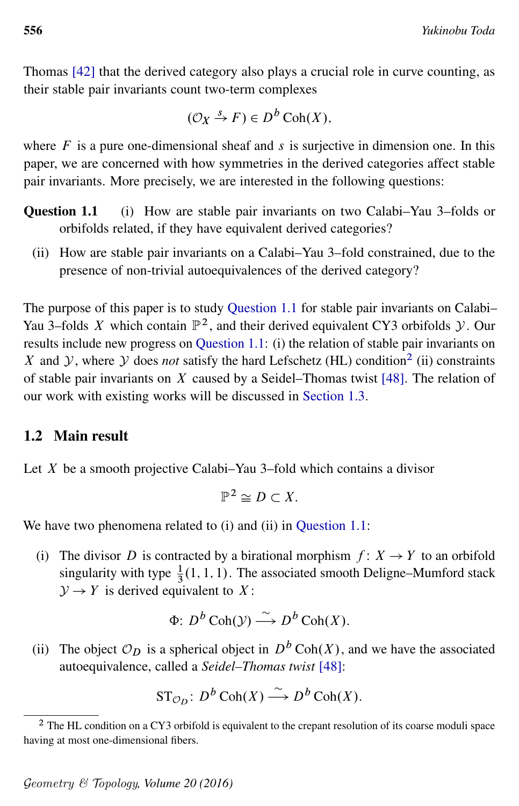Thomas [\[42\]](#page-55-1) that the derived category also plays a crucial role in curve counting, as their stable pair invariants count two-term complexes

$$
(\mathcal{O}_X \xrightarrow{S} F) \in D^b \operatorname{Coh}(X),
$$

where  $F$  is a pure one-dimensional sheaf and s is surjective in dimension one. In this paper, we are concerned with how symmetries in the derived categories affect stable pair invariants. More precisely, we are interested in the following questions:

- <span id="page-1-0"></span>Question 1.1 (i) How are stable pair invariants on two Calabi–Yau 3–folds or orbifolds related, if they have equivalent derived categories?
	- (ii) How are stable pair invariants on a Calabi–Yau 3–fold constrained, due to the presence of non-trivial autoequivalences of the derived category?

The purpose of this paper is to study [Question 1.1](#page-1-0) for stable pair invariants on Calabi– Yau 3-folds X which contain  $\mathbb{P}^2$ , and their derived equivalent CY3 orbifolds  $\mathcal{Y}$ . Our results include new progress on [Question 1.1:](#page-1-0) (i) the relation of stable pair invariants on X and  $\mathcal{Y}$ , where  $\mathcal{Y}$  does *not* satisfy the hard Lefschetz (HL) condition<sup>[2](#page-1-1)</sup> (ii) constraints of stable pair invariants on X caused by a Seidel–Thomas twist [\[48\]](#page-55-5). The relation of our work with existing works will be discussed in [Section 1.3.](#page-3-0)

### 1.2 Main result

Let  $X$  be a smooth projective Calabi–Yau 3–fold which contains a divisor

$$
\mathbb{P}^2 \cong D \subset X.
$$

We have two phenomena related to (i) and (ii) in [Question 1.1:](#page-1-0)

(i) The divisor D is contracted by a birational morphism  $f: X \rightarrow Y$  to an orbifold singularity with type  $\frac{1}{3}(1, 1, 1)$ . The associated smooth Deligne–Mumford stack  $\mathcal{Y} \rightarrow Y$  is derived equivalent to X:

$$
\Phi: D^b \operatorname{Coh}(\mathcal{Y}) \stackrel{\sim}{\longrightarrow} D^b \operatorname{Coh}(X).
$$

(ii) The object  $\mathcal{O}_D$  is a spherical object in  $D^b \text{Coh}(X)$ , and we have the associated autoequivalence, called a *Seidel–Thomas twist* [\[48\]](#page-55-5):

$$
\mathrm{ST}_{\mathcal{O}_D}: D^b \operatorname{Coh}(X) \xrightarrow{\sim} D^b \operatorname{Coh}(X).
$$

<span id="page-1-1"></span><sup>&</sup>lt;sup>2</sup> The HL condition on a CY3 orbifold is equivalent to the crepant resolution of its coarse moduli space having at most one-dimensional fibers.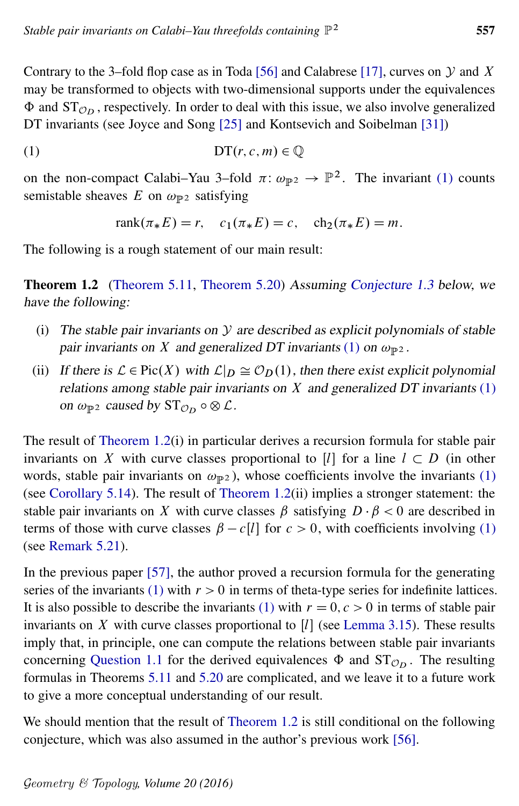Contrary to the 3-fold flop case as in Toda [\[56\]](#page-56-0) and Calabrese [\[17\]](#page-53-1), curves on  $Y$  and  $X$ may be transformed to objects with two-dimensional supports under the equivalences  $\Phi$  and  $ST<sub>On</sub>$ , respectively. In order to deal with this issue, we also involve generalized DT invariants (see Joyce and Song [\[25\]](#page-54-2) and Kontsevich and Soibelman [\[31\]](#page-54-3))

$$
(1) \tDT(r, c, m) \in \mathbb{Q}
$$

on the non-compact Calabi–Yau 3–fold  $\pi$ :  $\omega_{\mathbb{P}^2} \to \mathbb{P}^2$ . The invariant [\(1\)](#page-2-0) counts semistable sheaves E on  $\omega_{\mathbb{P}^2}$  satisfying

<span id="page-2-0"></span>
$$
rank(\pi_* E) = r
$$
,  $c_1(\pi_* E) = c$ ,  $ch_2(\pi_* E) = m$ .

<span id="page-2-2"></span>The following is a rough statement of our main result:

Theorem 1.2 [\(Theorem 5.11,](#page-44-0) [Theorem 5.20\)](#page-49-0) Assuming [Conjecture 1.3](#page-2-1) below, we have the following:

- (i) The stable pair invariants on  $\mathcal Y$  are described as explicit polynomials of stable pair invariants on X and generalized DT invariants [\(1\)](#page-2-0) on  $\omega_{\mathbb{P}^2}$ .
- (ii) If there is  $\mathcal{L} \in Pic(X)$  with  $\mathcal{L}|_D \cong \mathcal{O}_D(1)$ , then there exist explicit polynomial relations among stable pair invariants on  $X$  and generalized DT invariants [\(1\)](#page-2-0) on  $\omega_{\mathbb{P}^2}$  caused by  $ST_{\mathcal{O}_D} \circ \otimes \mathcal{L}$ .

The result of [Theorem 1.2\(](#page-2-2)i) in particular derives a recursion formula for stable pair invariants on X with curve classes proportional to [I] for a line  $l \subset D$  (in other words, stable pair invariants on  $\omega_{\mathbb{P}^2}$ ), whose coefficients involve the invariants [\(1\)](#page-2-0) (see [Corollary 5.14\)](#page-45-0). The result of [Theorem 1.2\(](#page-2-2)ii) implies a stronger statement: the stable pair invariants on X with curve classes  $\beta$  satisfying  $D \cdot \beta < 0$  are described in terms of those with curve classes  $\beta - c[l]$  for  $c > 0$ , with coefficients involving [\(1\)](#page-2-0) (see [Remark 5.21\)](#page-50-0).

In the previous paper [\[57\]](#page-56-1), the author proved a recursion formula for the generating series of the invariants [\(1\)](#page-2-0) with  $r > 0$  in terms of theta-type series for indefinite lattices. It is also possible to describe the invariants [\(1\)](#page-2-0) with  $r = 0, c > 0$  in terms of stable pair invariants on X with curve classes proportional to  $[l]$  (see [Lemma 3.15\)](#page-22-0). These results imply that, in principle, one can compute the relations between stable pair invariants concerning [Question 1.1](#page-1-0) for the derived equivalences  $\Phi$  and  $ST<sub>Op</sub>$ . The resulting formulas in Theorems [5.11](#page-44-0) and [5.20](#page-49-0) are complicated, and we leave it to a future work to give a more conceptual understanding of our result.

<span id="page-2-1"></span>We should mention that the result of [Theorem 1.2](#page-2-2) is still conditional on the following conjecture, which was also assumed in the author's previous work [\[56\]](#page-56-0).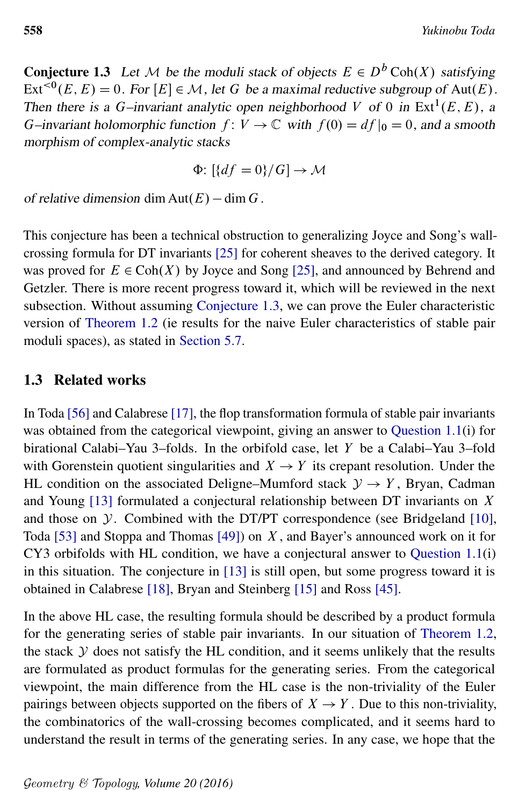**Conjecture 1.3** Let M be the moduli stack of objects  $E \in D^b \text{Coh}(X)$  satisfying  $\text{Ext}^{<0}(E, E) = 0$ . For  $[E] \in \mathcal{M}$ , let G be a maximal reductive subgroup of Aut(E). Then there is a G-invariant analytic open neighborhood V of 0 in  $Ext^1(E, E)$ , a G–invariant holomorphic function  $f: V \to \mathbb{C}$  with  $f(0) = df|_0 = 0$ , and a smooth morphism of complex-analytic stacks

$$
\Phi\colon [\{df = 0\}/G] \to \mathcal{M}
$$

of relative dimension dim  $Aut(E) - dim G$ .

This conjecture has been a technical obstruction to generalizing Joyce and Song's wallcrossing formula for DT invariants [\[25\]](#page-54-2) for coherent sheaves to the derived category. It was proved for  $E \in \text{Coh}(X)$  by Joyce and Song [\[25\]](#page-54-2), and announced by Behrend and Getzler. There is more recent progress toward it, which will be reviewed in the next subsection. Without assuming [Conjecture 1.3,](#page-2-1) we can prove the Euler characteristic version of [Theorem 1.2](#page-2-2) (ie results for the naive Euler characteristics of stable pair moduli spaces), as stated in [Section 5.7.](#page-51-0)

### <span id="page-3-0"></span>1.3 Related works

In Toda [\[56\]](#page-56-0) and Calabrese [\[17\]](#page-53-1), the flop transformation formula of stable pair invariants was obtained from the categorical viewpoint, giving an answer to [Question 1.1\(](#page-1-0)i) for birational Calabi–Yau 3–folds. In the orbifold case, let Y be a Calabi–Yau 3–fold with Gorenstein quotient singularities and  $X \rightarrow Y$  its crepant resolution. Under the HL condition on the associated Deligne–Mumford stack  $\mathcal{Y} \to Y$ , Bryan, Cadman and Young [\[13\]](#page-53-2) formulated a conjectural relationship between DT invariants on X and those on  $\mathcal Y$ . Combined with the DT/PT correspondence (see Bridgeland [\[10\]](#page-53-0), Toda [\[53\]](#page-55-2) and Stoppa and Thomas [\[49\]](#page-55-3)) on  $X$ , and Bayer's announced work on it for CY3 orbifolds with HL condition, we have a conjectural answer to [Question 1.1\(](#page-1-0)i) in this situation. The conjecture in [\[13\]](#page-53-2) is still open, but some progress toward it is obtained in Calabrese [\[18\]](#page-53-3), Bryan and Steinberg [\[15\]](#page-53-4) and Ross [\[45\]](#page-55-6).

In the above HL case, the resulting formula should be described by a product formula for the generating series of stable pair invariants. In our situation of [Theorem 1.2,](#page-2-2) the stack  $Y$  does not satisfy the HL condition, and it seems unlikely that the results are formulated as product formulas for the generating series. From the categorical viewpoint, the main difference from the HL case is the non-triviality of the Euler pairings between objects supported on the fibers of  $X \rightarrow Y$ . Due to this non-triviality, the combinatorics of the wall-crossing becomes complicated, and it seems hard to understand the result in terms of the generating series. In any case, we hope that the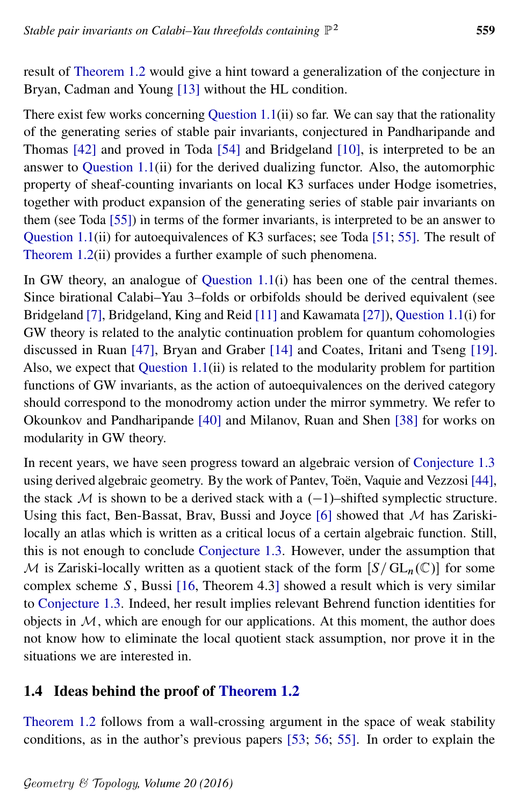result of [Theorem 1.2](#page-2-2) would give a hint toward a generalization of the conjecture in Bryan, Cadman and Young [\[13\]](#page-53-2) without the HL condition.

There exist few works concerning [Question 1.1\(](#page-1-0)ii) so far. We can say that the rationality of the generating series of stable pair invariants, conjectured in Pandharipande and Thomas [\[42\]](#page-55-1) and proved in Toda [\[54\]](#page-55-7) and Bridgeland [\[10\]](#page-53-0), is interpreted to be an answer to [Question 1.1\(](#page-1-0)ii) for the derived dualizing functor. Also, the automorphic property of sheaf-counting invariants on local K3 surfaces under Hodge isometries, together with product expansion of the generating series of stable pair invariants on them (see Toda [\[55\]](#page-55-8)) in terms of the former invariants, is interpreted to be an answer to [Question 1.1\(](#page-1-0)ii) for autoequivalences of K3 surfaces; see Toda [\[51;](#page-55-9) [55\]](#page-55-8). The result of [Theorem 1.2\(](#page-2-2)ii) provides a further example of such phenomena.

In GW theory, an analogue of [Question 1.1\(](#page-1-0)i) has been one of the central themes. Since birational Calabi–Yau 3–folds or orbifolds should be derived equivalent (see Bridgeland [\[7\]](#page-53-5), Bridgeland, King and Reid [\[11\]](#page-53-6) and Kawamata [\[27\]](#page-54-4)), [Question 1.1\(](#page-1-0)i) for GW theory is related to the analytic continuation problem for quantum cohomologies discussed in Ruan [\[47\]](#page-55-10), Bryan and Graber [\[14\]](#page-53-7) and Coates, Iritani and Tseng [\[19\]](#page-53-8). Also, we expect that [Question 1.1\(](#page-1-0)ii) is related to the modularity problem for partition functions of GW invariants, as the action of autoequivalences on the derived category should correspond to the monodromy action under the mirror symmetry. We refer to Okounkov and Pandharipande [\[40\]](#page-55-11) and Milanov, Ruan and Shen [\[38\]](#page-54-5) for works on modularity in GW theory.

In recent years, we have seen progress toward an algebraic version of [Conjecture 1.3](#page-2-1) using derived algebraic geometry. By the work of Pantev, Toën, Vaquie and Vezzosi [\[44\]](#page-55-12), the stack  $M$  is shown to be a derived stack with a  $(-1)$ –shifted symplectic structure. Using this fact, Ben-Bassat, Brav, Bussi and Joyce  $[6]$  showed that M has Zariskilocally an atlas which is written as a critical locus of a certain algebraic function. Still, this is not enough to conclude [Conjecture 1.3.](#page-2-1) However, under the assumption that M is Zariski-locally written as a quotient stack of the form  $[S/\operatorname{GL}_n(\mathbb{C})]$  for some complex scheme S, Bussi  $[16,$  Theorem 4.3] showed a result which is very similar to [Conjecture 1.3.](#page-2-1) Indeed, her result implies relevant Behrend function identities for objects in  $M$ , which are enough for our applications. At this moment, the author does not know how to eliminate the local quotient stack assumption, nor prove it in the situations we are interested in.

### <span id="page-4-0"></span>1.4 Ideas behind the proof of [Theorem 1.2](#page-2-2)

[Theorem 1.2](#page-2-2) follows from a wall-crossing argument in the space of weak stability conditions, as in the author's previous papers [\[53;](#page-55-2) [56;](#page-56-0) [55\]](#page-55-8). In order to explain the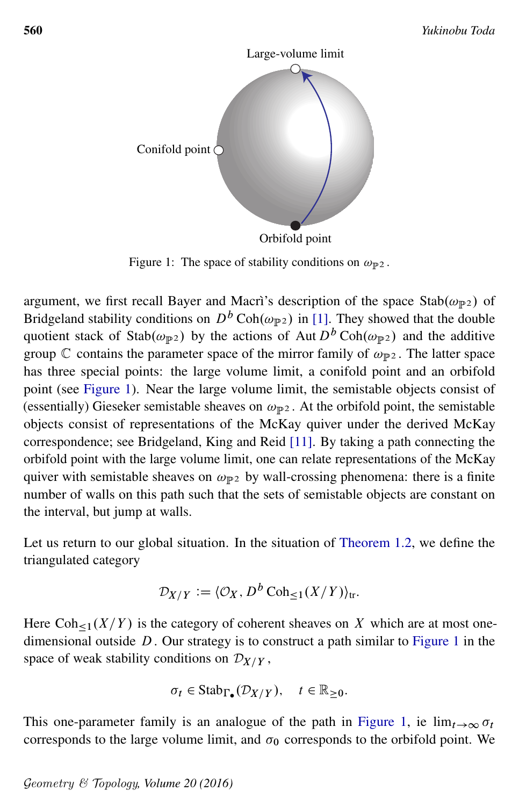<span id="page-5-0"></span>

Figure 1: The space of stability conditions on  $\omega_{\mathbb{P}^2}$ .

argument, we first recall Bayer and Macrì's description of the space Stab $(\omega_{\mathbb{P}^2})$  of Bridgeland stability conditions on  $D^b \text{Coh}(\omega_{\mathbb{P}^2})$  in [\[1\]](#page-52-1). They showed that the double quotient stack of Stab $(\omega_{\mathbb{P}2})$  by the actions of Aut  $D^b \text{Coh}(\omega_{\mathbb{P}2})$  and the additive group  $\mathbb C$  contains the parameter space of the mirror family of  $\omega_{\mathbb P^2}$ . The latter space has three special points: the large volume limit, a conifold point and an orbifold point (see [Figure 1\)](#page-5-0). Near the large volume limit, the semistable objects consist of (essentially) Gieseker semistable sheaves on  $\omega_{\mathbb{P}^2}$ . At the orbifold point, the semistable objects consist of representations of the McKay quiver under the derived McKay correspondence; see Bridgeland, King and Reid [\[11\]](#page-53-6). By taking a path connecting the orbifold point with the large volume limit, one can relate representations of the McKay quiver with semistable sheaves on  $\omega_{\mathbb{P}^2}$  by wall-crossing phenomena: there is a finite number of walls on this path such that the sets of semistable objects are constant on the interval, but jump at walls.

Let us return to our global situation. In the situation of [Theorem 1.2,](#page-2-2) we define the triangulated category

$$
\mathcal{D}_{X/Y} := \langle \mathcal{O}_X, D^b \operatorname{Coh}_{\leq 1}(X/Y) \rangle_{\text{tr}}.
$$

Here  $\text{Coh}_{\leq 1}(X/Y)$  is the category of coherent sheaves on X which are at most onedimensional outside  $D$ . Our strategy is to construct a path similar to [Figure 1](#page-5-0) in the space of weak stability conditions on  $\mathcal{D}_{X/Y}$ ,

$$
\sigma_t \in \mathrm{Stab}_{\Gamma_{\bullet}}(\mathcal{D}_{X/Y}), \quad t \in \mathbb{R}_{\geq 0}.
$$

This one-parameter family is an analogue of the path in [Figure 1,](#page-5-0) ie  $\lim_{t\to\infty} \sigma_t$ corresponds to the large volume limit, and  $\sigma_0$  corresponds to the orbifold point. We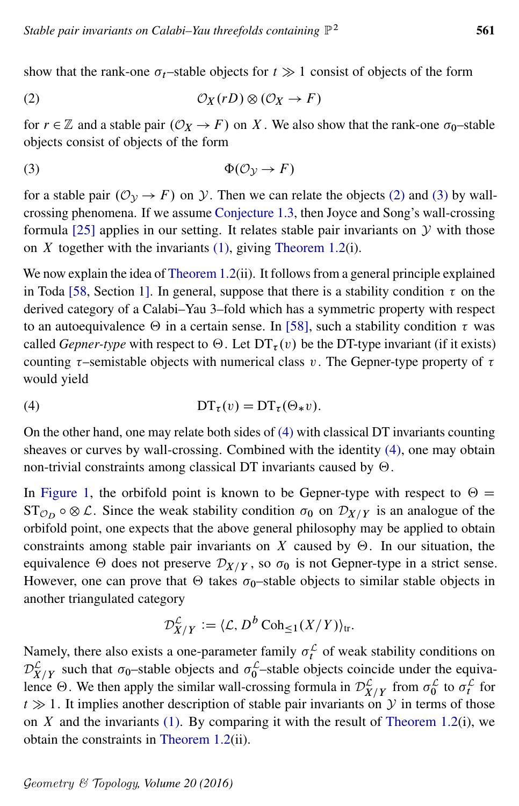<span id="page-6-0"></span>show that the rank-one  $\sigma_t$ –stable objects for  $t \gg 1$  consist of objects of the form

(2) 
$$
\mathcal{O}_X(rD) \otimes (\mathcal{O}_X \to F)
$$

<span id="page-6-1"></span>for  $r \in \mathbb{Z}$  and a stable pair  $(\mathcal{O}_X \to F)$  on X. We also show that the rank-one  $\sigma_0$ -stable objects consist of objects of the form

$$
\Phi(\mathcal{O}_{\mathcal{Y}} \to F)
$$

for a stable pair  $(\mathcal{O}_{\mathcal{Y}} \to F)$  on  $\mathcal{Y}$ . Then we can relate the objects [\(2\)](#page-6-0) and [\(3\)](#page-6-1) by wallcrossing phenomena. If we assume [Conjecture 1.3,](#page-2-1) then Joyce and Song's wall-crossing formula  $[25]$  applies in our setting. It relates stable pair invariants on  $\mathcal Y$  with those on  $X$  together with the invariants [\(1\),](#page-2-0) giving [Theorem 1.2\(](#page-2-2)i).

We now explain the idea of [Theorem 1.2\(](#page-2-2)ii). It follows from a general principle explained in Toda [\[58,](#page-56-2) Section 1]. In general, suppose that there is a stability condition  $\tau$  on the derived category of a Calabi–Yau 3–fold which has a symmetric property with respect to an autoequivalence  $\Theta$  in a certain sense. In [\[58\]](#page-56-2), such a stability condition  $\tau$  was called *Gepner-type* with respect to  $\Theta$ . Let  $DT_{\tau}(v)$  be the DT-type invariant (if it exists) counting  $\tau$ -semistable objects with numerical class v. The Gepner-type property of  $\tau$ would yield

<span id="page-6-2"></span>(4) 
$$
\mathbf{DT}_{\tau}(v) = \mathbf{DT}_{\tau}(\Theta_*v).
$$

On the other hand, one may relate both sides of [\(4\)](#page-6-2) with classical DT invariants counting sheaves or curves by wall-crossing. Combined with the identity [\(4\),](#page-6-2) one may obtain non-trivial constraints among classical DT invariants caused by  $\Theta$ .

In [Figure 1,](#page-5-0) the orbifold point is known to be Gepner-type with respect to  $\Theta =$  $ST_{\mathcal{O}_D} \circ \otimes \mathcal{L}$ . Since the weak stability condition  $\sigma_0$  on  $\mathcal{D}_{X/Y}$  is an analogue of the orbifold point, one expects that the above general philosophy may be applied to obtain constraints among stable pair invariants on X caused by  $\Theta$ . In our situation, the equivalence  $\Theta$  does not preserve  $\mathcal{D}_{X/Y}$ , so  $\sigma_0$  is not Gepner-type in a strict sense. However, one can prove that  $\Theta$  takes  $\sigma_0$ –stable objects to similar stable objects in another triangulated category

$$
\mathcal{D}_{X/Y}^{\mathcal{L}} := \langle \mathcal{L}, D^b \operatorname{Coh}_{\leq 1}(X/Y) \rangle_{\text{tr}}.
$$

Namely, there also exists a one-parameter family  $\sigma_t^{\mathcal{L}}$  of weak stability conditions on  $\mathcal{D}_{X/Y}^{\mathcal{L}}$  such that  $\sigma_0$ -stable objects and  $\sigma_0^{\mathcal{L}}$ -stable objects coincide under the equivalence  $\Theta$ . We then apply the similar wall-crossing formula in  $\mathcal{D}_{X/Y}^{\mathcal{L}}$  from  $\sigma_0^{\mathcal{L}}$  to  $\sigma_t^{\mathcal{L}}$  for  $t \gg 1$ . It implies another description of stable pair invariants on Y in terms of those on  $X$  and the invariants [\(1\).](#page-2-0) By comparing it with the result of [Theorem 1.2\(](#page-2-2)i), we obtain the constraints in [Theorem 1.2\(](#page-2-2)ii).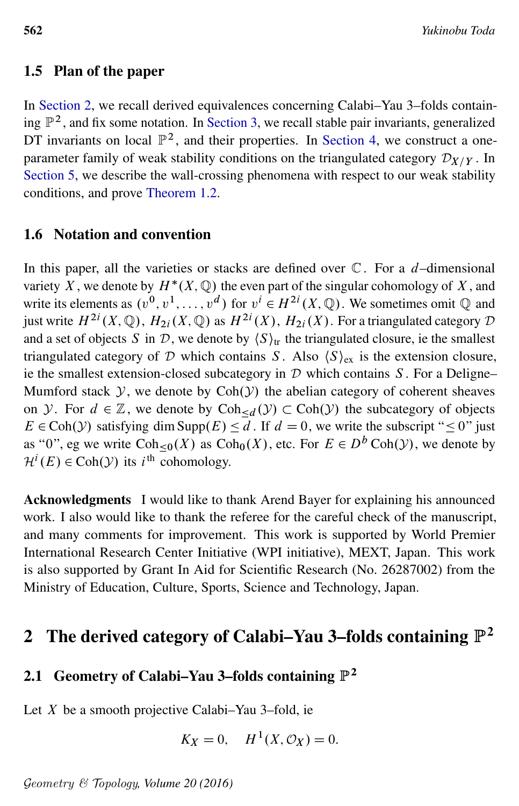### 1.5 Plan of the paper

In [Section 2,](#page-7-0) we recall derived equivalences concerning Calabi–Yau 3–folds containing  $\mathbb{P}^2$ , and fix some notation. In [Section 3,](#page-14-0) we recall stable pair invariants, generalized DT invariants on local  $\mathbb{P}^2$ , and their properties. In [Section 4,](#page-24-0) we construct a oneparameter family of weak stability conditions on the triangulated category  $\mathcal{D}_{X/Y}$ . In [Section 5,](#page-33-0) we describe the wall-crossing phenomena with respect to our weak stability conditions, and prove [Theorem 1.2.](#page-2-2)

#### 1.6 Notation and convention

In this paper, all the varieties or stacks are defined over  $\mathbb C$ . For a *d*-dimensional variety X, we denote by  $H^*(X, \mathbb{Q})$  the even part of the singular cohomology of X, and write its elements as  $(v^0, v^1, \ldots, v^d)$  for  $v^i \in H^{2i}(X, \mathbb{Q})$ . We sometimes omit  $\mathbb Q$  and just write  $H^{2i}(X, \mathbb{Q})$ ,  $H_{2i}(X, \mathbb{Q})$  as  $H^{2i}(X)$ ,  $H_{2i}(X)$ . For a triangulated category  $\mathcal D$ and a set of objects S in D, we denote by  $\langle S \rangle_{tr}$  the triangulated closure, ie the smallest triangulated category of D which contains S. Also  $\langle S \rangle_{ex}$  is the extension closure, ie the smallest extension-closed subcategory in  $D$  which contains S. For a Deligne– Mumford stack  $Y$ , we denote by  $Coh(Y)$  the abelian category of coherent sheaves on *y*. For  $d \in \mathbb{Z}$ , we denote by  $Coh_{\leq d}(y) \subset Coh(y)$  the subcategory of objects  $E \in \text{Coh}(\mathcal{Y})$  satisfying dim Supp $(E) \le d$ . If  $d = 0$ , we write the subscript "  $\le 0$ " just as "0", eg we write  $\text{Coh}_{\leq 0}(X)$  as  $\text{Coh}_{0}(X)$ , etc. For  $E \in D^{b} \text{Coh}(\mathcal{Y})$ , we denote by  $\mathcal{H}^i(E) \in \text{Coh}(\mathcal{Y})$  its *i*<sup>th</sup> cohomology.

Acknowledgments I would like to thank Arend Bayer for explaining his announced work. I also would like to thank the referee for the careful check of the manuscript, and many comments for improvement. This work is supported by World Premier International Research Center Initiative (WPI initiative), MEXT, Japan. This work is also supported by Grant In Aid for Scientific Research (No. 26287002) from the Ministry of Education, Culture, Sports, Science and Technology, Japan.

# <span id="page-7-0"></span> $2$  The derived category of Calabi–Yau 3–folds containing  $\mathbb{P}^2$

## 2.1 Geometry of Calabi–Yau 3–folds containing  $\mathbb{P}^2$

Let  $X$  be a smooth projective Calabi–Yau 3–fold, ie

$$
K_X = 0, \quad H^1(X, \mathcal{O}_X) = 0.
$$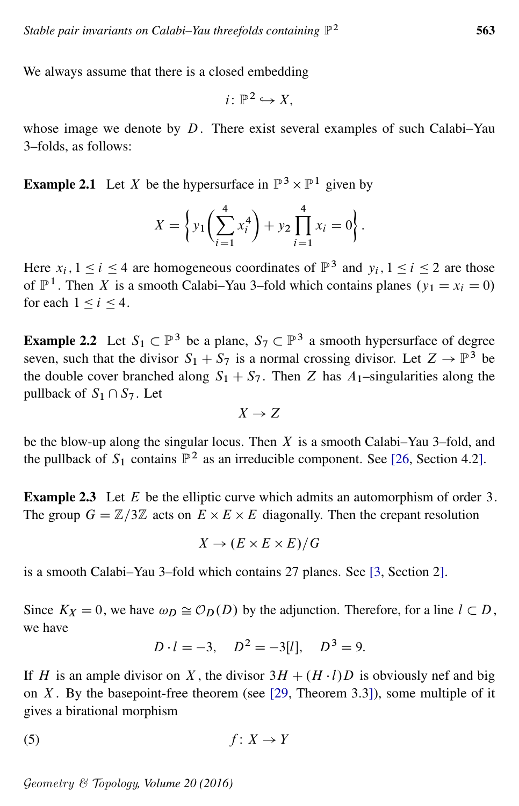We always assume that there is a closed embedding

$$
i\colon \mathbb{P}^2 \hookrightarrow X,
$$

whose image we denote by  $D$ . There exist several examples of such Calabi–Yau 3–folds, as follows:

<span id="page-8-0"></span>**Example 2.1** Let X be the hypersurface in  $\mathbb{P}^3 \times \mathbb{P}^1$  given by

$$
X = \left\{ y_1 \left( \sum_{i=1}^4 x_i^4 \right) + y_2 \prod_{i=1}^4 x_i = 0 \right\}.
$$

Here  $x_i$ ,  $1 \le i \le 4$  are homogeneous coordinates of  $\mathbb{P}^3$  and  $y_i$ ,  $1 \le i \le 2$  are those of  $\mathbb{P}^1$ . Then X is a smooth Calabi–Yau 3–fold which contains planes  $(y_1 = x_i = 0)$ for each  $1 \le i \le 4$ .

<span id="page-8-1"></span>**Example 2.2** Let  $S_1 \subset \mathbb{P}^3$  be a plane,  $S_7 \subset \mathbb{P}^3$  a smooth hypersurface of degree seven, such that the divisor  $S_1 + S_7$  is a normal crossing divisor. Let  $Z \to \mathbb{P}^3$  be the double cover branched along  $S_1 + S_7$ . Then Z has  $A_1$ -singularities along the pullback of  $S_1 \cap S_7$ . Let

$$
X \to Z
$$

be the blow-up along the singular locus. Then  $X$  is a smooth Calabi–Yau 3–fold, and the pullback of  $S_1$  contains  $\mathbb{P}^2$  as an irreducible component. See [\[26,](#page-54-6) Section 4.2].

<span id="page-8-2"></span>**Example 2.3** Let  $E$  be the elliptic curve which admits an automorphism of order 3. The group  $G = \mathbb{Z}/3\mathbb{Z}$  acts on  $E \times E \times E$  diagonally. Then the crepant resolution

$$
X \to (E \times E \times E)/G
$$

is a smooth Calabi–Yau 3–fold which contains 27 planes. See [\[3,](#page-52-2) Section 2].

Since  $K_X = 0$ , we have  $\omega_D \cong \mathcal{O}_D(D)$  by the adjunction. Therefore, for a line  $l \subset D$ , we have

<span id="page-8-3"></span>
$$
D \cdot l = -3
$$
,  $D^2 = -3[l]$ ,  $D^3 = 9$ .

If H is an ample divisor on X, the divisor  $3H + (H \cdot l)D$  is obviously nef and big on  $X$ . By the basepoint-free theorem (see [\[29,](#page-54-7) Theorem 3.3]), some multiple of it gives a birational morphism

$$
(5) \t\t f: X \to Y
$$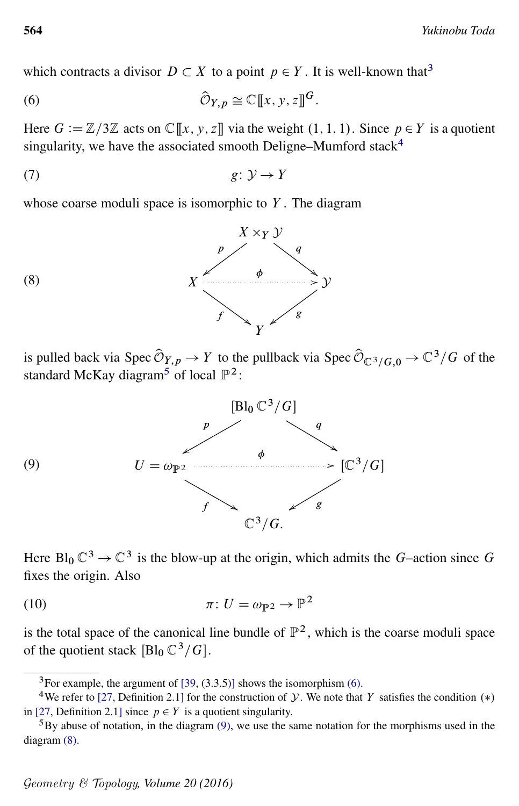<span id="page-9-3"></span>which contracts a divisor  $D \subset X$  to a point  $p \in Y$ . It is well-known that<sup>[3](#page-9-0)</sup>

(6) 
$$
\widehat{\mathcal{O}}_{Y,p} \cong \mathbb{C}[\![x,y,z]\!]^G.
$$

<span id="page-9-7"></span>Here  $G := \mathbb{Z}/3\mathbb{Z}$  acts on  $\mathbb{C}[[x, y, z]]$  via the weight  $(1, 1, 1)$ . Since  $p \in Y$  is a quotient singularity, we have the associated smooth Deligne–Mumford stack $4$ 

<span id="page-9-5"></span>
$$
(7) \t\t\t g: \mathcal{Y} \to Y
$$

whose coarse moduli space is isomorphic to  $Y$ . The diagram



<span id="page-9-4"></span>is pulled back via Spec  $\hat{\mathcal{O}}_{Y,p} \to Y$  to the pullback via Spec  $\hat{\mathcal{O}}_{\mathbb{C}^3/G,0} \to \mathbb{C}^3/G$  of the standard McKay diagram<sup>[5](#page-9-2)</sup> of local  $\mathbb{P}^2$ :



<span id="page-9-6"></span>Here  $Bl_0 \mathbb{C}^3 \to \mathbb{C}^3$  is the blow-up at the origin, which admits the G-action since G fixes the origin. Also

(10) 
$$
\pi: U = \omega_{\mathbb{P}^2} \to \mathbb{P}^2
$$

is the total space of the canonical line bundle of  $\mathbb{P}^2$ , which is the coarse moduli space of the quotient stack  $[Bl_0 \mathbb{C}^3/G]$ .

<span id="page-9-1"></span><span id="page-9-0"></span><sup>3</sup>For example, the argument of [\[39,](#page-55-13) (3.3.5)] shows the isomorphism [\(6\).](#page-9-3)

<sup>&</sup>lt;sup>4</sup>We refer to [\[27,](#page-54-4) Definition 2.1] for the construction of *y*. We note that *Y* satisfies the condition  $(*)$ in [\[27,](#page-54-4) Definition 2.1] since  $p \in Y$  is a quotient singularity.

<span id="page-9-2"></span> ${}^{5}$ By abuse of notation, in the diagram [\(9\),](#page-9-4) we use the same notation for the morphisms used in the diagram [\(8\).](#page-9-5)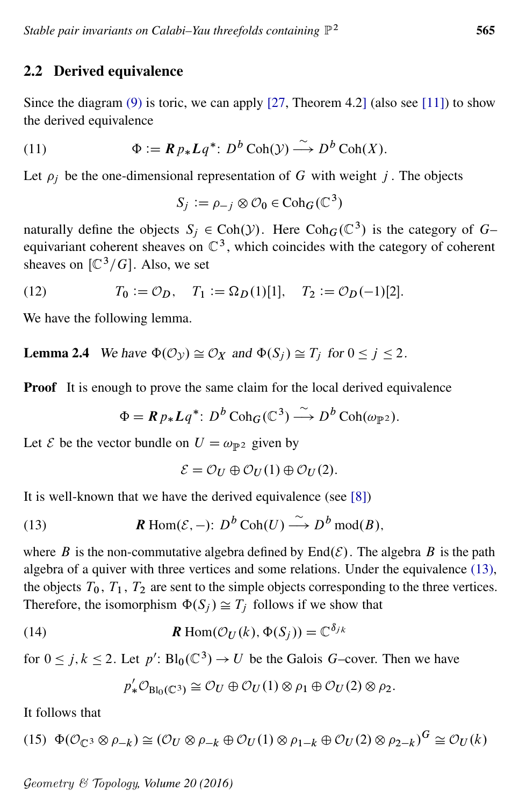### 2.2 Derived equivalence

Since the diagram  $(9)$  is toric, we can apply [\[27,](#page-54-4) Theorem 4.2] (also see [\[11\]](#page-53-6)) to show the derived equivalence

(11) 
$$
\Phi := \mathbf{R} p_* \mathbf{L} q^* : D^b \operatorname{Coh}(\mathcal{Y}) \stackrel{\sim}{\longrightarrow} D^b \operatorname{Coh}(X).
$$

Let  $\rho_i$  be the one-dimensional representation of G with weight j. The objects

<span id="page-10-5"></span><span id="page-10-3"></span> $S_j := \rho_{-j} \otimes \mathcal{O}_0 \in \mathrm{Coh}_G(\mathbb{C}^3)$ 

naturally define the objects  $S_j \in \text{Coh}(\mathcal{Y})$ . Here  $\text{Coh}_G(\mathbb{C}^3)$  is the category of  $G$ equivariant coherent sheaves on  $\mathbb{C}^3$ , which coincides with the category of coherent sheaves on  $[\mathbb{C}^3/G]$ . Also, we set

(12) 
$$
T_0 := \mathcal{O}_D, \quad T_1 := \Omega_D(1)[1], \quad T_2 := \mathcal{O}_D(-1)[2].
$$

<span id="page-10-4"></span>We have the following lemma.

**Lemma 2.4** We have  $\Phi(\mathcal{O}_{\mathcal{Y}}) \cong \mathcal{O}_X$  and  $\Phi(S_i) \cong T_i$  for  $0 \leq j \leq 2$ .

**Proof** It is enough to prove the same claim for the local derived equivalence

 $\Phi = \mathbf{R} p_* L q^*$ :  $D^b \text{Coh}_G(\mathbb{C}^3) \stackrel{\sim}{\longrightarrow} D^b \text{Coh}(\omega_{\mathbb{P}^2})$ .

Let  $\mathcal E$  be the vector bundle on  $U = \omega_{\mathbb{P}^2}$  given by

<span id="page-10-1"></span><span id="page-10-0"></span>
$$
\mathcal{E} = \mathcal{O}_U \oplus \mathcal{O}_U(1) \oplus \mathcal{O}_U(2).
$$

It is well-known that we have the derived equivalence (see [\[8\]](#page-53-11))

(13) 
$$
\mathbf{R} \operatorname{Hom}(\mathcal{E}, -): D^b \operatorname{Coh}(U) \xrightarrow{\sim} D^b \operatorname{mod}(B),
$$

where B is the non-commutative algebra defined by  $\text{End}(\mathcal{E})$ . The algebra B is the path algebra of a quiver with three vertices and some relations. Under the equivalence [\(13\),](#page-10-0) the objects  $T_0$ ,  $T_1$ ,  $T_2$  are sent to the simple objects corresponding to the three vertices. Therefore, the isomorphism  $\Phi(S_i) \cong T_i$  follows if we show that

(14) 
$$
\mathbf{R} \operatorname{Hom}(\mathcal{O}_U(k), \Phi(S_j)) = \mathbb{C}^{\delta_{jk}}
$$

for  $0 \le j, k \le 2$ . Let  $p' : Bl_0(\mathbb{C}^3) \to U$  be the Galois G-cover. Then we have

<span id="page-10-2"></span>
$$
p'_{*}\mathcal{O}_{\mathrm{Bl}_0(\mathbb{C}^3)}\cong \mathcal{O}_U\oplus \mathcal{O}_U(1)\otimes \rho_1\oplus \mathcal{O}_U(2)\otimes \rho_2.
$$

It follows that

(15) 
$$
\Phi(\mathcal{O}_{\mathbb{C}^3} \otimes \rho_{-k}) \cong (\mathcal{O}_U \otimes \rho_{-k} \oplus \mathcal{O}_U(1) \otimes \rho_{1-k} \oplus \mathcal{O}_U(2) \otimes \rho_{2-k})^G \cong \mathcal{O}_U(k)
$$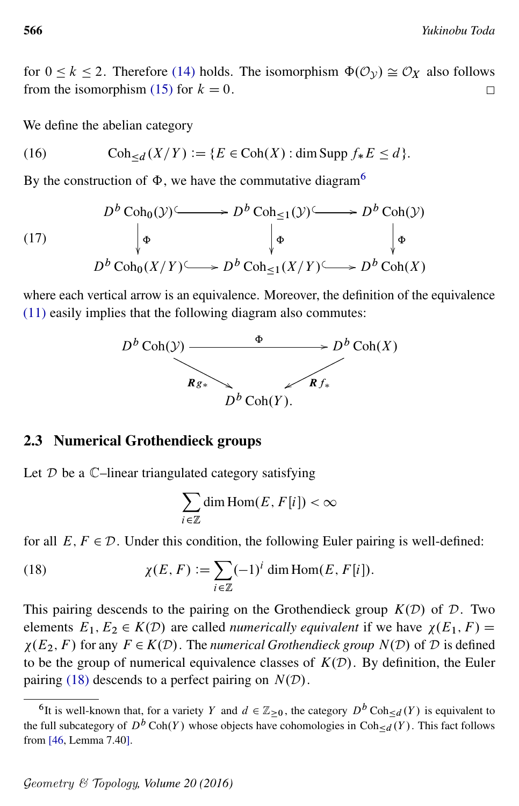for  $0 \le k \le 2$ . Therefore [\(14\)](#page-10-1) holds. The isomorphism  $\Phi(\mathcal{O}_V) \cong \mathcal{O}_X$  also follows from the isomorphism [\(15\)](#page-10-2) for  $k = 0$ .  $\Box$ 

<span id="page-11-3"></span>We define the abelian category

(16) 
$$
\operatorname{Coh}_{\leq d}(X/Y) := \{ E \in \operatorname{Coh}(X) : \dim \operatorname{Supp} f_* E \leq d \}.
$$

By the construction of  $\Phi$ , we have the commutative diagram<sup>[6](#page-11-0)</sup>

$$
(17)
$$
\n
$$
D^{b} \text{Coh}_{0}(\mathcal{Y}) \longrightarrow D^{b} \text{Coh}_{\leq 1}(\mathcal{Y}) \longrightarrow D^{b} \text{Coh}(\mathcal{Y})
$$
\n
$$
\downarrow \Phi \qquad \qquad \downarrow \Phi \qquad \qquad \downarrow \Phi
$$
\n
$$
D^{b} \text{Coh}_{0}(X/Y) \longrightarrow D^{b} \text{Coh}_{\leq 1}(X/Y) \longrightarrow D^{b} \text{Coh}(X)
$$

where each vertical arrow is an equivalence. Moreover, the definition of the equivalence [\(11\)](#page-10-3) easily implies that the following diagram also commutes:

<span id="page-11-2"></span>

### 2.3 Numerical Grothendieck groups

Let  $D$  be a  $\mathbb{C}$ –linear triangulated category satisfying

<span id="page-11-1"></span>
$$
\sum_{i\in\mathbb{Z}}\dim\operatorname{Hom}(E,F[i])<\infty
$$

for all  $E, F \in \mathcal{D}$ . Under this condition, the following Euler pairing is well-defined:

(18) 
$$
\chi(E, F) := \sum_{i \in \mathbb{Z}} (-1)^i \dim \text{Hom}(E, F[i]).
$$

This pairing descends to the pairing on the Grothendieck group  $K(D)$  of  $D$ . Two elements  $E_1, E_2 \in K(D)$  are called *numerically equivalent* if we have  $\chi(E_1, F) =$  $\chi(E_2, F)$  for any  $F \in K(D)$ . The *numerical Grothendieck group*  $N(D)$  of  $D$  is defined to be the group of numerical equivalence classes of  $K(D)$ . By definition, the Euler pairing [\(18\)](#page-11-1) descends to a perfect pairing on  $N(D)$ .

<span id="page-11-0"></span><sup>&</sup>lt;sup>6</sup>It is well-known that, for a variety Y and  $d \in \mathbb{Z}_{\geq 0}$ , the category  $D^b \text{Coh}_{\leq d}(Y)$  is equivalent to the full subcategory of  $D^b$  Coh(Y) whose objects have cohomologies in Coh $\leq_d(Y)$ . This fact follows from [\[46,](#page-55-14) Lemma 7.40].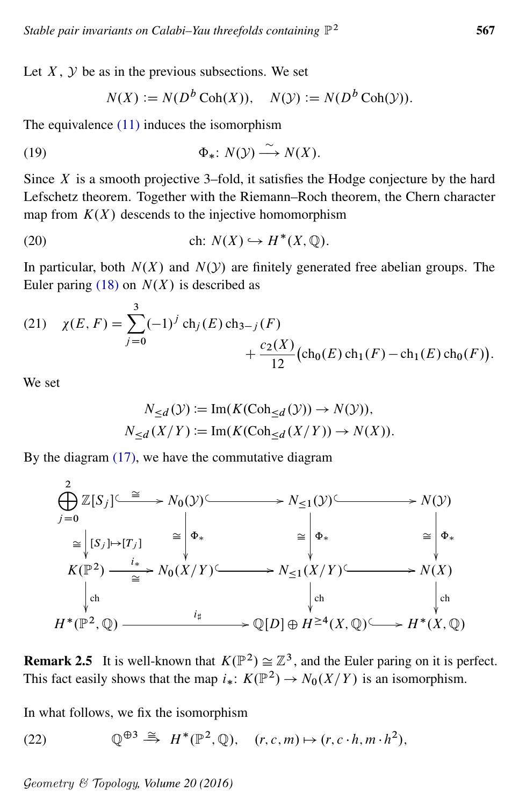Let  $X$ ,  $Y$  be as in the previous subsections. We set

<span id="page-12-1"></span>
$$
N(X) := N(Db \text{Coh}(X)), \quad N(Y) := N(Db \text{Coh}(Y)).
$$

The equivalence [\(11\)](#page-10-3) induces the isomorphism

(19) 
$$
\Phi_*: N(\mathcal{Y}) \xrightarrow{\sim} N(X).
$$

Since  $X$  is a smooth projective 3–fold, it satisfies the Hodge conjecture by the hard Lefschetz theorem. Together with the Riemann–Roch theorem, the Chern character map from  $K(X)$  descends to the injective homomorphism

(20) ch: 
$$
N(X) \hookrightarrow H^*(X, \mathbb{Q})
$$
.

In particular, both  $N(X)$  and  $N(Y)$  are finitely generated free abelian groups. The Euler paring [\(18\)](#page-11-1) on  $N(X)$  is described as

(21) 
$$
\chi(E, F) = \sum_{j=0}^{3} (-1)^{j} ch_{j}(E) ch_{3-j}(F) + \frac{c_{2}(X)}{12} (ch_{0}(E) ch_{1}(F) - ch_{1}(E) ch_{0}(F)).
$$

We set

<span id="page-12-3"></span>
$$
N_{\leq d}(\mathcal{Y}) \coloneqq \text{Im}(K(\text{Coh}_{\leq d}(\mathcal{Y})) \to N(\mathcal{Y})),
$$
  

$$
N_{\leq d}(X/Y) \coloneqq \text{Im}(K(\text{Coh}_{\leq d}(X/Y)) \to N(X)).
$$

By the diagram [\(17\),](#page-11-2) we have the commutative diagram

$$
\begin{aligned}\n &\stackrel{2}{\bigoplus} \mathbb{Z}[S_j] \xrightarrow{\cong} N_0(\mathcal{Y}) \xrightarrow{\cong} N_{\leq 1}(\mathcal{Y}) \xrightarrow{\cong} N(\mathcal{Y}) \\
&\stackrel{\cong}{=} \left| \mathfrak{S}_j \right| \mapsto [T_j] \\
&\stackrel{2}{\longrightarrow} \left| \mathfrak{S}_k \right| \\
&\stackrel{I*}{\longrightarrow} N_0(X/Y) \xrightarrow{\cong} N_{\leq 1}(X/Y) \xrightarrow{\cong} N(X) \\
&\stackrel{I*}{\longrightarrow} N_0(X/Y) \xrightarrow{\cong} N_{\leq 1}(X/Y) \xrightarrow{\cong} N(X) \\
&\stackrel{I*}{\longrightarrow} \left| \mathfrak{S}_k \right| \\
&\stackrel{I*}{\longrightarrow} \left| \mathfrak{S}_k \right| \\
&\stackrel{I*}{\longrightarrow} \left| \mathfrak{S}_k \right| \\
&\stackrel{I*}{\longrightarrow} \left| \mathfrak{S}_k \right| \\
&\stackrel{I*}{\longrightarrow} \left| \mathfrak{S}_k \right| \\
&\stackrel{I*}{\longrightarrow} \left| \mathfrak{S}_k \right| \\
&\stackrel{I*}{\longrightarrow} \left| \mathfrak{S}_k \right| \\
&\stackrel{I*}{\longrightarrow} \left| \mathfrak{S}_k \right| \\
&\stackrel{I*}{\longrightarrow} \left| \mathfrak{S}_k \right| \\
&\stackrel{I*}{\longrightarrow} \left| \mathfrak{S}_k \right| \\
&\stackrel{I*}{\longrightarrow} \left| \mathfrak{S}_k \right| \\
&\stackrel{I*}{\longrightarrow} \left| \mathfrak{S}_k \right| \\
&\stackrel{I*}{\longrightarrow} \left| \mathfrak{S}_k \right| \\
&\stackrel{I*}{\longrightarrow} \left| \mathfrak{S}_k \right| \\
&\stackrel{I*}{\longrightarrow} \left| \mathfrak{S}_k \right| \\
&\stackrel{I*}{\longrightarrow} \left| \mathfrak{S}_k \right| \\
&\stackrel{I*}{\longrightarrow} \left| \mathfrak{S}_k \right| \\
&\stackrel{I*}{\longrightarrow} \left| \mathfrak{S}_k \right| \\
&\stackrel{I*}{\longrightarrow} \left| \mathfrak{S}_k \right| \\
&\stackrel{I*}{\longrightarrow} \left|
$$

<span id="page-12-2"></span>**Remark 2.5** It is well-known that  $K(\mathbb{P}^2) \cong \mathbb{Z}^3$ , and the Euler paring on it is perfect. This fact easily shows that the map  $i_*: K(\mathbb{P}^2) \to N_0(X/Y)$  is an isomorphism.

<span id="page-12-0"></span>In what follows, we fix the isomorphism

(22)  $\mathbb{Q}^{\oplus 3} \stackrel{\cong}{\to} H^*(\mathbb{P}^2, \mathbb{Q}), \quad (r, c, m) \mapsto (r, c \cdot h, m \cdot h^2),$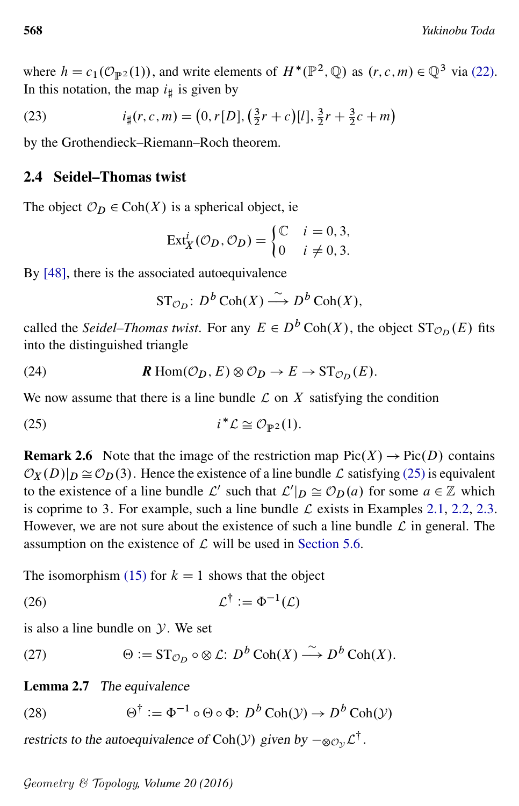where  $h = c_1(\mathcal{O}_{\mathbb{P}^2}(1))$ , and write elements of  $H^*(\mathbb{P}^2, \mathbb{Q})$  as  $(r, c, m) \in \mathbb{Q}^3$  via [\(22\).](#page-12-0) In this notation, the map  $i_{\sharp}$  is given by

(23) 
$$
i_{\sharp}(r, c, m) = (0, r[D], (\frac{3}{2}r + c)[l], \frac{3}{2}r + \frac{3}{2}c + m)
$$

by the Grothendieck–Riemann–Roch theorem.

### <span id="page-13-6"></span>2.4 Seidel–Thomas twist

The object  $\mathcal{O}_D \in \text{Coh}(X)$  is a spherical object, ie

<span id="page-13-5"></span>
$$
Ext_X^i(\mathcal{O}_D, \mathcal{O}_D) = \begin{cases} \mathbb{C} & i = 0, 3, \\ 0 & i \neq 0, 3. \end{cases}
$$

By [\[48\]](#page-55-5), there is the associated autoequivalence

<span id="page-13-4"></span><span id="page-13-0"></span>
$$
\mathrm{ST}_{\mathcal{O}_D}: D^b \operatorname{Coh}(X) \stackrel{\sim}{\longrightarrow} D^b \operatorname{Coh}(X),
$$

called the *Seidel–Thomas twist*. For any  $E \in D^b \text{Coh}(X)$ , the object  $ST_{\mathcal{O}_D}(E)$  fits into the distinguished triangle

(24) 
$$
\mathbf{R} \operatorname{Hom}(\mathcal{O}_D, E) \otimes \mathcal{O}_D \to E \to \operatorname{ST}_{\mathcal{O}_D}(E).
$$

We now assume that there is a line bundle  $\mathcal L$  on  $X$  satisfying the condition

$$
(25) \t i^* \mathcal{L} \cong \mathcal{O}_{\mathbb{P}^2}(1).
$$

**Remark 2.6** Note that the image of the restriction map  $Pic(X) \to Pic(D)$  contains  $\mathcal{O}_X(D)|_D \cong \mathcal{O}_D(3)$ . Hence the existence of a line bundle  $\mathcal L$  satisfying [\(25\)](#page-13-0) is equivalent to the existence of a line bundle  $\mathcal{L}'$  such that  $\mathcal{L}'|_D \cong \mathcal{O}_D(a)$  for some  $a \in \mathbb{Z}$  which is coprime to 3. For example, such a line bundle  $\mathcal L$  exists in Examples [2.1,](#page-8-0) [2.2,](#page-8-1) [2.3.](#page-8-2) However, we are not sure about the existence of such a line bundle  $\mathcal L$  in general. The assumption on the existence of  $\mathcal L$  will be used in [Section 5.6.](#page-47-0)

<span id="page-13-7"></span>The isomorphism [\(15\)](#page-10-2) for  $k = 1$  shows that the object

$$
(26) \t\t \mathcal{L}^{\dagger} := \Phi^{-1}(\mathcal{L})
$$

<span id="page-13-3"></span>is also a line bundle on  $\mathcal Y$ . We set

(27) 
$$
\Theta := \mathrm{ST}_{\mathcal{O}_D} \circ \otimes \mathcal{L} : D^b \operatorname{Coh}(X) \xrightarrow{\sim} D^b \operatorname{Coh}(X).
$$

### <span id="page-13-2"></span><span id="page-13-1"></span>Lemma 2.7 The equivalence

(28) 
$$
\Theta^{\dagger} := \Phi^{-1} \circ \Theta \circ \Phi \colon D^{b} \operatorname{Coh}(\mathcal{Y}) \to D^{b} \operatorname{Coh}(\mathcal{Y})
$$

restricts to the autoequivalence of Coh(Y) given by  $-\infty_{\mathcal{O}_{\mathcal{Y}}} \mathcal{L}^{\dagger}$ .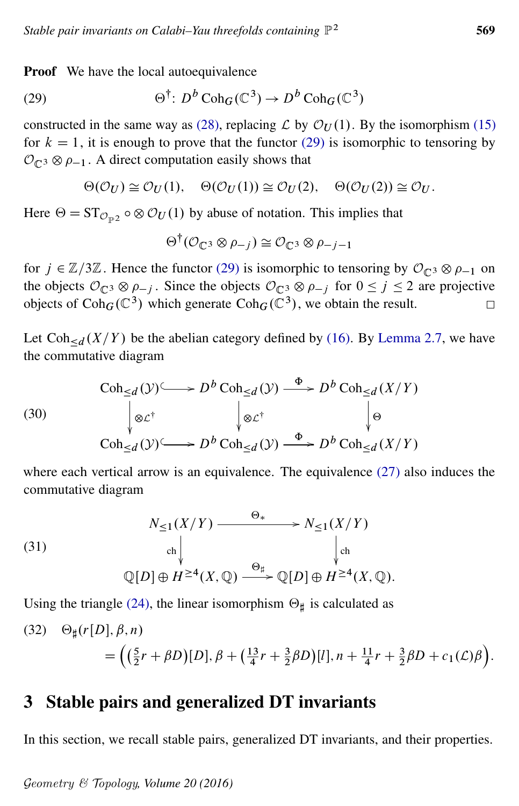*Stable pair invariants on Calabi–Yau threefolds containing*  $\mathbb{P}^2$ 

**Proof** We have the local autoequivalence

(29) 
$$
\Theta^{\dagger}: D^b \operatorname{Coh}_{G}(\mathbb{C}^3) \to D^b \operatorname{Coh}_{G}(\mathbb{C}^3)
$$

constructed in the same way as [\(28\),](#page-13-1) replacing  $\mathcal L$  by  $\mathcal O_U(1)$ . By the isomorphism [\(15\)](#page-10-2) for  $k = 1$ , it is enough to prove that the functor [\(29\)](#page-14-1) is isomorphic to tensoring by  $\mathcal{O}_{\mathbb{C}^3} \otimes \rho_{-1}$ . A direct computation easily shows that

$$
\Theta(\mathcal{O}_U) \cong \mathcal{O}_U(1), \quad \Theta(\mathcal{O}_U(1)) \cong \mathcal{O}_U(2), \quad \Theta(\mathcal{O}_U(2)) \cong \mathcal{O}_U.
$$

Here  $\Theta = \text{ST}_{\mathcal{O}_{\mathbb{P}^2}} \circ \otimes \mathcal{O}_U(1)$  by abuse of notation. This implies that

<span id="page-14-3"></span><span id="page-14-1"></span>
$$
\Theta^{\dagger}(\mathcal{O}_{\mathbb{C}^3} \otimes \rho_{-j}) \cong \mathcal{O}_{\mathbb{C}^3} \otimes \rho_{-j-1}
$$

for  $j \in \mathbb{Z}/3\mathbb{Z}$ . Hence the functor [\(29\)](#page-14-1) is isomorphic to tensoring by  $\mathcal{O}_{\mathbb{C}^3} \otimes \rho_{-1}$  on the objects  $\mathcal{O}_{\mathbb{C}^3} \otimes \rho_{-i}$ . Since the objects  $\mathcal{O}_{\mathbb{C}^3} \otimes \rho_{-i}$  for  $0 \leq j \leq 2$  are projective objects of  $\text{Coh}_G(\mathbb{C}^3)$  which generate  $\text{Coh}_G(\mathbb{C}^3)$ , we obtain the result.  $\Box$ 

Let  $\text{Coh}_{\le d}(X/Y)$  be the abelian category defined by [\(16\).](#page-11-3) By [Lemma 2.7,](#page-13-2) we have the commutative diagram

(30)  
\n
$$
\operatorname{Coh}_{\leq d}(\mathcal{Y}) \longrightarrow D^b \operatorname{Coh}_{\leq d}(\mathcal{Y}) \stackrel{\Phi}{\longrightarrow} D^b \operatorname{Coh}_{\leq d}(X/Y)
$$
\n
$$
\downarrow \otimes \mathcal{L}^{\dagger} \qquad \qquad \downarrow \otimes \mathcal{L}^{\dagger} \qquad \qquad \downarrow \oplus
$$
\n
$$
\operatorname{Coh}_{\leq d}(\mathcal{Y}) \longrightarrow D^b \operatorname{Coh}_{\leq d}(\mathcal{Y}) \stackrel{\Phi}{\longrightarrow} D^b \operatorname{Coh}_{\leq d}(X/Y)
$$

<span id="page-14-4"></span>where each vertical arrow is an equivalence. The equivalence [\(27\)](#page-13-3) also induces the commutative diagram

(31)  
\n
$$
N_{\leq 1}(X/Y) \xrightarrow{\Theta_{*}} N_{\leq 1}(X/Y)
$$
\n
$$
\downarrow_{\text{ch}}
$$
\n
$$
\mathbb{Q}[D] \oplus H^{\geq 4}(X, \mathbb{Q}) \xrightarrow{\Theta_{\sharp}} \mathbb{Q}[D] \oplus H^{\geq 4}(X, \mathbb{Q}).
$$

<span id="page-14-2"></span>Using the triangle [\(24\),](#page-13-4) the linear isomorphism  $\Theta_{\sharp}$  is calculated as

(32) 
$$
\Theta_{\sharp}(r[D], \beta, n) = \left( \left( \frac{5}{2}r + \beta D \right)[D], \beta + \left( \frac{13}{4}r + \frac{3}{2}\beta D \right)[l], n + \frac{11}{4}r + \frac{3}{2}\beta D + c_1(\mathcal{L})\beta \right).
$$

### <span id="page-14-0"></span>3 Stable pairs and generalized DT invariants

In this section, we recall stable pairs, generalized DT invariants, and their properties.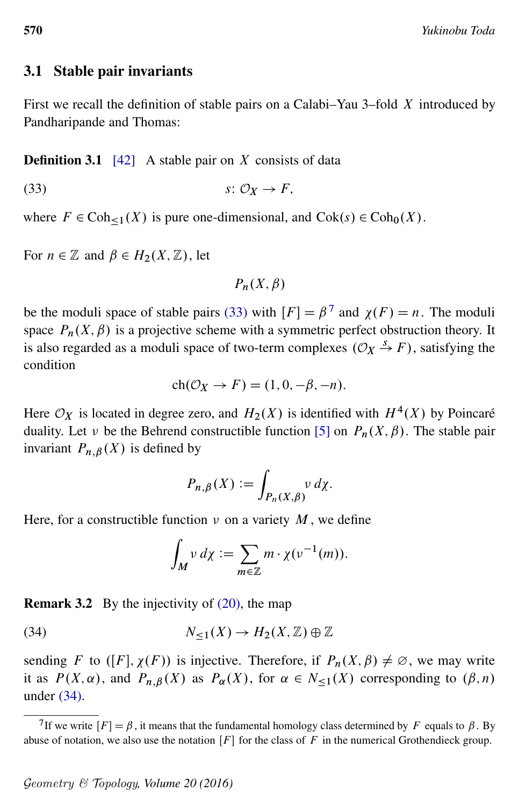### 3.1 Stable pair invariants

First we recall the definition of stable pairs on a Calabi–Yau 3–fold X introduced by Pandharipande and Thomas:

#### **Definition 3.1** [\[42\]](#page-55-1) A stable pair on X consists of data

$$
(33) \t\t s: \mathcal{O}_X \to F,
$$

where  $F \in \text{Coh}_{\leq 1}(X)$  is pure one-dimensional, and  $\text{Cok}(s) \in \text{Coh}_{0}(X)$ .

For  $n \in \mathbb{Z}$  and  $\beta \in H_2(X, \mathbb{Z})$ , let

<span id="page-15-0"></span>
$$
P_n(X,\beta)
$$

be the moduli space of stable pairs [\(33\)](#page-15-0) with  $[F] = \beta^7$  $[F] = \beta^7$  and  $\chi(F) = n$ . The moduli space  $P_n(X, \beta)$  is a projective scheme with a symmetric perfect obstruction theory. It is also regarded as a moduli space of two-term complexes  $(\mathcal{O}_X \stackrel{s}{\rightarrow} F)$ , satisfying the condition

$$
ch(\mathcal{O}_X \to F) = (1, 0, -\beta, -n).
$$

Here  $\mathcal{O}_X$  is located in degree zero, and  $H_2(X)$  is identified with  $H^4(X)$  by Poincaré duality. Let v be the Behrend constructible function [\[5\]](#page-53-12) on  $P_n(X, \beta)$ . The stable pair invariant  $P_{n,\beta}(X)$  is defined by

$$
P_{n,\beta}(X) := \int_{P_n(X,\beta)} \nu \, d\chi.
$$

Here, for a constructible function  $\nu$  on a variety M, we define

<span id="page-15-2"></span>
$$
\int_M v \, d\chi := \sum_{m \in \mathbb{Z}} m \cdot \chi(v^{-1}(m)).
$$

<span id="page-15-3"></span>Remark 3.2 By the injectivity of [\(20\),](#page-12-1) the map

(34)  $N_{\leq 1}(X) \to H_2(X, \mathbb{Z}) \oplus \mathbb{Z}$ 

sending F to  $([F], \chi(F))$  is injective. Therefore, if  $P_n(X, \beta) \neq \emptyset$ , we may write it as  $P(X, \alpha)$ , and  $P_{n,\beta}(X)$  as  $P_{\alpha}(X)$ , for  $\alpha \in N_{\leq 1}(X)$  corresponding to  $(\beta, n)$ under [\(34\).](#page-15-2)

<span id="page-15-4"></span><span id="page-15-1"></span><sup>&</sup>lt;sup>7</sup>If we write  $[F] = \beta$ , it means that the fundamental homology class determined by F equals to  $\beta$ . By abuse of notation, we also use the notation  $[F]$  for the class of F in the numerical Grothendieck group.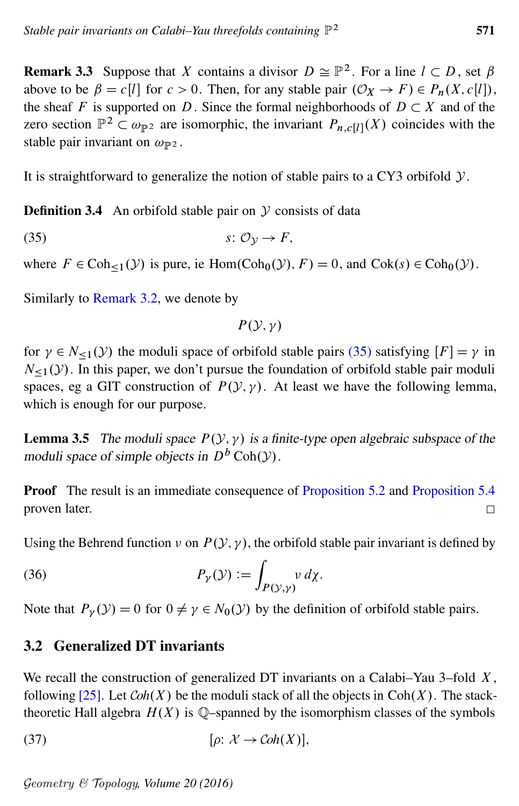**Remark 3.3** Suppose that X contains a divisor  $D \cong \mathbb{P}^2$ . For a line  $l \subset D$ , set  $\beta$ above to be  $\beta = c[l]$  for  $c > 0$ . Then, for any stable pair  $(\mathcal{O}_X \to F) \in P_n(X, c[l])$ , the sheaf F is supported on D. Since the formal neighborhoods of  $D \subset X$  and of the zero section  $\mathbb{P}^2 \subset \omega_{\mathbb{P}^2}$  are isomorphic, the invariant  $P_{n,c}[i](X)$  coincides with the stable pair invariant on  $\omega_{\mathbb{P}^2}$ .

It is straightforward to generalize the notion of stable pairs to a CY3 orbifold  $\mathcal{Y}$ .

**Definition 3.4** An orbifold stable pair on  $\mathcal Y$  consists of data

(35)  $s: \mathcal{O}_v \to F$ ,

where  $F \in \text{Coh}_{\leq 1}(\mathcal{Y})$  is pure, ie  $\text{Hom}(\text{Coh}_0(\mathcal{Y}), F) = 0$ , and  $\text{Cok}(s) \in \text{Coh}_0(\mathcal{Y})$ .

Similarly to [Remark 3.2,](#page-15-3) we denote by

<span id="page-16-2"></span><span id="page-16-0"></span> $P(Y, y)$ 

for  $\gamma \in N_{\leq 1}(\mathcal{Y})$  the moduli space of orbifold stable pairs [\(35\)](#page-16-0) satisfying  $[F] = \gamma$  in  $N_{\leq 1}(y)$ . In this paper, we don't pursue the foundation of orbifold stable pair moduli spaces, eg a GIT construction of  $P(Y, Y)$ . At least we have the following lemma, which is enough for our purpose.

**Lemma 3.5** The moduli space  $P(y, y)$  is a finite-type open algebraic subspace of the moduli space of simple objects in  $D^b$  Coh( $\mathcal Y$ ).

Proof The result is an immediate consequence of [Proposition 5.2](#page-34-0) and [Proposition 5.4](#page-38-0) proven later.  $\Box$ 

Using the Behrend function  $\nu$  on  $P(\mathcal{Y}, \gamma)$ , the orbifold stable pair invariant is defined by

(36) 
$$
P_{\gamma}(\mathcal{Y}) := \int_{P(\mathcal{Y}, \gamma)} \nu \, d\chi.
$$

Note that  $P_{\nu}(\mathcal{Y}) = 0$  for  $0 \neq \gamma \in N_0(\mathcal{Y})$  by the definition of orbifold stable pairs.

### <span id="page-16-1"></span>3.2 Generalized DT invariants

We recall the construction of generalized DT invariants on a Calabi–Yau 3–fold  $X$ , following [\[25\]](#page-54-2). Let  $Coh(X)$  be the moduli stack of all the objects in  $Coh(X)$ . The stacktheoretic Hall algebra  $H(X)$  is Q-spanned by the isomorphism classes of the symbols

(37) 
$$
[\rho: \mathcal{X} \to \mathcal{C}oh(X)],
$$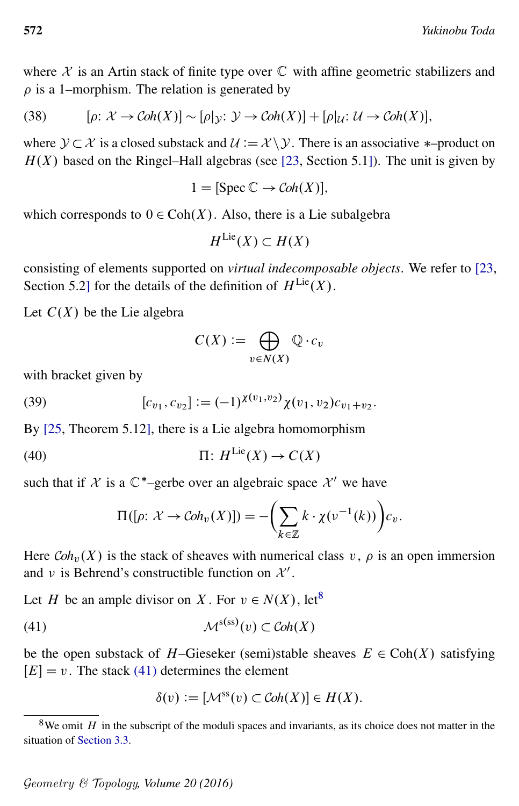where  $X$  is an Artin stack of finite type over  $\mathbb C$  with affine geometric stabilizers and  $\rho$  is a 1–morphism. The relation is generated by

(38) 
$$
[\rho: \mathcal{X} \to \mathcal{C}oh(X)] \sim [\rho]_{\mathcal{Y}}: \mathcal{Y} \to \mathcal{C}oh(X)] + [\rho]_{\mathcal{U}}: \mathcal{U} \to \mathcal{C}oh(X)],
$$

where  $\mathcal{Y} \subset \mathcal{X}$  is a closed substack and  $\mathcal{U} := \mathcal{X} \setminus \mathcal{Y}$ . There is an associative \*-product on  $H(X)$  based on the Ringel–Hall algebras (see [\[23,](#page-54-8) Section 5.1]). The unit is given by

<span id="page-17-3"></span>
$$
1 = [\text{Spec } \mathbb{C} \to \text{Coh}(X)],
$$

which corresponds to  $0 \in \text{Coh}(X)$ . Also, there is a Lie subalgebra

$$
H^{\mathrm{Lie}}(X) \subset H(X)
$$

consisting of elements supported on *virtual indecomposable objects*. We refer to [\[23,](#page-54-8) Section 5.2] for the details of the definition of  $H^{Lie}(X)$ .

Let  $C(X)$  be the Lie algebra

<span id="page-17-4"></span><span id="page-17-2"></span>
$$
C(X) := \bigoplus_{v \in N(X)} \mathbb{Q} \cdot c_v
$$

with bracket given by

(39) 
$$
[c_{v_1}, c_{v_2}] := (-1)^{\chi(v_1, v_2)} \chi(v_1, v_2) c_{v_1 + v_2}.
$$

By [\[25,](#page-54-2) Theorem 5.12], there is a Lie algebra homomorphism

(40) 
$$
\Pi: H^{\text{Lie}}(X) \to C(X)
$$

such that if X is a  $\mathbb{C}^*$ -gerbe over an algebraic space  $\mathcal{X}'$  we have

$$
\Pi([\rho: \mathcal{X} \to \mathcal{C}oh_{\nu}(X)]) = -\left(\sum_{k \in \mathbb{Z}} k \cdot \chi(\nu^{-1}(k))\right) c_{\nu}.
$$

Here  $Coh<sub>v</sub>(X)$  is the stack of sheaves with numerical class v,  $\rho$  is an open immersion and v is Behrend's constructible function on  $\mathcal{X}'$ .

Let H be an ample divisor on X. For  $v \in N(X)$ , let<sup>[8](#page-17-0)</sup>

(41) 
$$
\mathcal{M}^{\text{s}(ss)}(v) \subset \mathcal{C}oh(X)
$$

be the open substack of H–Gieseker (semi)stable sheaves  $E \in \text{Coh}(X)$  satisfying  $[E] = v$ . The stack [\(41\)](#page-17-1) determines the element

<span id="page-17-1"></span>
$$
\delta(v) := [\mathcal{M}^{ss}(v) \subset \mathcal{C}oh(X)] \in H(X).
$$

<span id="page-17-0"></span> $8$ We omit H in the subscript of the moduli spaces and invariants, as its choice does not matter in the situation of [Section 3.3.](#page-18-0)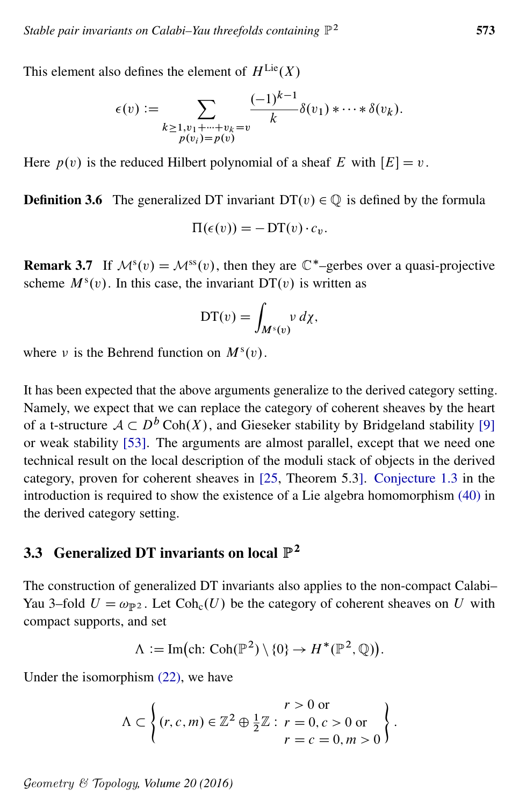This element also defines the element of  $H^{\text{Lie}}(X)$ 

$$
\epsilon(v) := \sum_{\substack{k \geq 1, v_1 + \dots + v_k = v \\ p(v_i) = p(v)}} \frac{(-1)^{k-1}}{k} \delta(v_1) * \dots * \delta(v_k).
$$

Here  $p(v)$  is the reduced Hilbert polynomial of a sheaf E with  $|E| = v$ .

**Definition 3.6** The generalized DT invariant  $DT(v) \in \mathbb{Q}$  is defined by the formula

$$
\Pi(\epsilon(v)) = -DT(v)\cdot c_v.
$$

**Remark 3.7** If  $\mathcal{M}^s(v) = \mathcal{M}^{ss}(v)$ , then they are  $\mathbb{C}^*$ -gerbes over a quasi-projective scheme  $M^{s}(v)$ . In this case, the invariant DT $(v)$  is written as

$$
DT(v) = \int_{M^s(v)} v \, d\chi,
$$

where v is the Behrend function on  $M<sup>s</sup>(v)$ .

It has been expected that the above arguments generalize to the derived category setting. Namely, we expect that we can replace the category of coherent sheaves by the heart of a t-structure  $A \subset D^b \text{Coh}(X)$ , and Gieseker stability by Bridgeland stability [\[9\]](#page-53-13) or weak stability [\[53\]](#page-55-2). The arguments are almost parallel, except that we need one technical result on the local description of the moduli stack of objects in the derived category, proven for coherent sheaves in [\[25,](#page-54-2) Theorem 5.3]. [Conjecture 1.3](#page-2-1) in the introduction is required to show the existence of a Lie algebra homomorphism [\(40\)](#page-17-2) in the derived category setting.

## <span id="page-18-0"></span>3.3 Generalized DT invariants on local  $\mathbb{P}^2$

The construction of generalized DT invariants also applies to the non-compact Calabi– Yau 3–fold  $U = \omega_{\mathbb{P}^2}$ . Let  $\text{Coh}_c(U)$  be the category of coherent sheaves on U with compact supports, and set

$$
\Lambda := \text{Im}(\text{ch: Coh}(\mathbb{P}^2) \setminus \{0\} \to H^*(\mathbb{P}^2, \mathbb{Q})).
$$

Under the isomorphism [\(22\),](#page-12-0) we have

$$
\Lambda \subset \left\{ (r, c, m) \in \mathbb{Z}^2 \oplus \frac{1}{2}\mathbb{Z} : r = 0, c > 0 \text{ or } \atop r = c = 0, m > 0 \right\}.
$$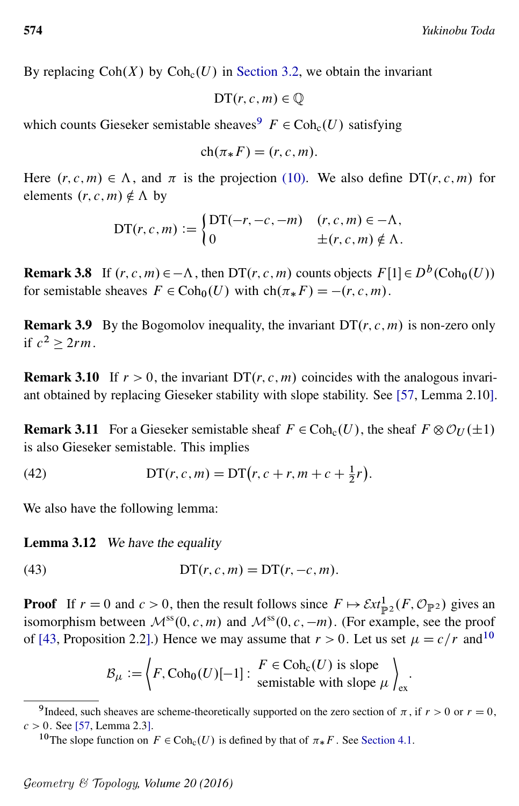By replacing  $Coh(X)$  by  $Coh<sub>c</sub>(U)$  in [Section 3.2,](#page-16-1) we obtain the invariant

$$
\mathsf{DT}(r,c,m) \in \mathbb{Q}
$$

which counts Gieseker semistable sheaves  $F \in \text{Coh}_{c}(U)$  satisfying

$$
ch(\pi_* F) = (r, c, m).
$$

Here  $(r, c, m) \in \Lambda$ , and  $\pi$  is the projection [\(10\).](#page-9-6) We also define DT $(r, c, m)$  for elements  $(r, c, m) \notin \Lambda$  by

$$
DT(r, c, m) := \begin{cases} DT(-r, -c, -m) & (r, c, m) \in -\Lambda, \\ 0 & \pm (r, c, m) \notin \Lambda. \end{cases}
$$

**Remark 3.8** If  $(r, c, m) \in -\Lambda$ , then DT $(r, c, m)$  counts objects  $F[1] \in D^b(\text{Coh}_0(U))$ for semistable sheaves  $F \in \text{Coh}_0(U)$  with  $\text{ch}(\pi_* F) = -(r, c, m)$ .

<span id="page-19-5"></span>**Remark 3.9** By the Bogomolov inequality, the invariant  $DT(r, c, m)$  is non-zero only if  $c^2 \geq 2rm$ .

<span id="page-19-2"></span>**Remark 3.10** If  $r > 0$ , the invariant DT $(r, c, m)$  coincides with the analogous invariant obtained by replacing Gieseker stability with slope stability. See [\[57,](#page-56-1) Lemma 2.10].

<span id="page-19-4"></span>**Remark 3.11** For a Gieseker semistable sheaf  $F \in Coh<sub>c</sub>(U)$ , the sheaf  $F \otimes \mathcal{O}_U(\pm 1)$ is also Gieseker semistable. This implies

(42) 
$$
DT(r, c, m) = DT(r, c + r, m + c + \frac{1}{2}r).
$$

We also have the following lemma:

Lemma 3.12 We have the equality

(43) 
$$
DT(r, c, m) = DT(r, -c, m).
$$

**Proof** If  $r = 0$  and  $c > 0$ , then the result follows since  $F \mapsto \mathcal{E}xt_{\mathbb{P}^2}^1(F, \mathcal{O}_{\mathbb{P}^2})$  gives an isomorphism between  $\mathcal{M}^{ss}(0, c, m)$  and  $\mathcal{M}^{ss}(0, c, -m)$ . (For example, see the proof of [\[43,](#page-55-15) Proposition 2.2].) Hence we may assume that  $r > 0$ . Let us set  $\mu = c/r$  and  $10^{-10}$  $10^{-10}$ 

<span id="page-19-3"></span>
$$
\mathcal{B}_{\mu} := \left\langle F, \mathrm{Coh}_0(U)[-1] : \begin{array}{l} F \in \mathrm{Coh}_{\mathrm{c}}(U) \text{ is slope} \\ \text{semistable with slope } \mu \end{array} \right\rangle_{\mathrm{ex}}.
$$

<span id="page-19-0"></span><sup>&</sup>lt;sup>9</sup>Indeed, such sheaves are scheme-theoretically supported on the zero section of  $\pi$ , if  $r > 0$  or  $r = 0$ ,  $c > 0$ . See [\[57,](#page-56-1) Lemma 2.3].

<span id="page-19-1"></span><sup>&</sup>lt;sup>10</sup>The slope function on  $F \in \text{Coh}_{\mathcal{C}}(U)$  is defined by that of  $\pi_* F$ . See [Section 4.1.](#page-24-1)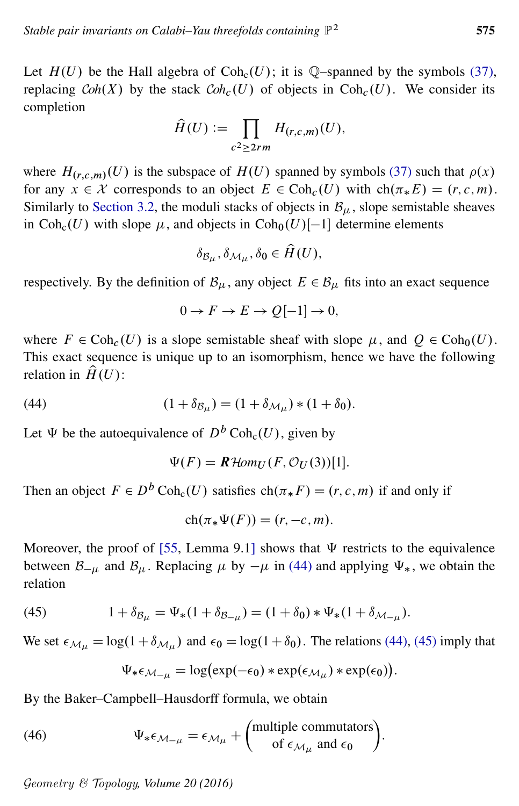Let  $H(U)$  be the Hall algebra of Coh<sub>c</sub> $(U)$ ; it is Q-spanned by the symbols [\(37\),](#page-16-2) replacing  $Coh(X)$  by the stack  $Coh<sub>c</sub>(U)$  of objects in  $Coh<sub>c</sub>(U)$ . We consider its completion

$$
\widehat{H}(U) := \prod_{c^2 \geq 2rm} H_{(r,c,m)}(U),
$$

where  $H_{(r,c,m)}(U)$  is the subspace of  $H(U)$  spanned by symbols [\(37\)](#page-16-2) such that  $\rho(x)$ for any  $x \in \mathcal{X}$  corresponds to an object  $E \in \text{Coh}_{c}(U)$  with  $\text{ch}(\pi_{*} E) = (r, c, m)$ . Similarly to [Section 3.2,](#page-16-1) the moduli stacks of objects in  $B<sub>u</sub>$ , slope semistable sheaves in Coh<sub>c</sub> $(U)$  with slope  $\mu$ , and objects in Coh<sub>0</sub> $(U)[-1]$  determine elements

$$
\delta_{\mathcal{B}_\mu}, \delta_{\mathcal{M}_\mu}, \delta_0 \in \hat{H}(U),
$$

respectively. By the definition of  $\mathcal{B}_{\mu}$ , any object  $E \in \mathcal{B}_{\mu}$  fits into an exact sequence

<span id="page-20-0"></span>
$$
0 \to F \to E \to Q[-1] \to 0,
$$

where  $F \in \text{Coh}_{c}(U)$  is a slope semistable sheaf with slope  $\mu$ , and  $Q \in \text{Coh}_{0}(U)$ . This exact sequence is unique up to an isomorphism, hence we have the following relation in  $\hat{H}(U)$ :

(44) 
$$
(1 + \delta_{\mathcal{B}_{\mu}}) = (1 + \delta_{\mathcal{M}_{\mu}}) * (1 + \delta_{0}).
$$

Let  $\Psi$  be the autoequivalence of  $D^b \text{Coh}_c(U)$ , given by

$$
\Psi(F) = \mathbf{R} \text{Hom}_U(F, \mathcal{O}_U(3))[1].
$$

Then an object  $F \in D^b \text{Coh}_c(U)$  satisfies  $\text{ch}(\pi * F) = (r, c, m)$  if and only if

$$
ch(\pi_*\Psi(F)) = (r, -c, m).
$$

<span id="page-20-1"></span>Moreover, the proof of [\[55,](#page-55-8) Lemma 9.1] shows that  $\Psi$  restricts to the equivalence between  $\mathcal{B}_{-\mu}$  and  $\mathcal{B}_{\mu}$ . Replacing  $\mu$  by  $-\mu$  in [\(44\)](#page-20-0) and applying  $\Psi_{*}$ , we obtain the relation

(45) 
$$
1 + \delta_{\mathcal{B}_{\mu}} = \Psi_*(1 + \delta_{\mathcal{B}_{-\mu}}) = (1 + \delta_0) * \Psi_*(1 + \delta_{\mathcal{M}_{-\mu}}).
$$

We set  $\epsilon_{\mathcal{M}_{\mu}} = \log(1 + \delta_{\mathcal{M}_{\mu}})$  and  $\epsilon_0 = \log(1 + \delta_0)$ . The relations [\(44\),](#page-20-0) [\(45\)](#page-20-1) imply that

<span id="page-20-2"></span>
$$
\Psi_* \epsilon_{\mathcal{M}-\mu} = \log(\exp(-\epsilon_0) * \exp(\epsilon_{\mathcal{M}_\mu}) * \exp(\epsilon_0)).
$$

By the Baker–Campbell–Hausdorff formula, we obtain

(46) 
$$
\Psi_* \epsilon_{\mathcal{M}_{-\mu}} = \epsilon_{\mathcal{M}_{\mu}} + \begin{pmatrix} \text{multiple commutators} \\ \text{of } \epsilon_{\mathcal{M}_{\mu}} \text{ and } \epsilon_0 \end{pmatrix}.
$$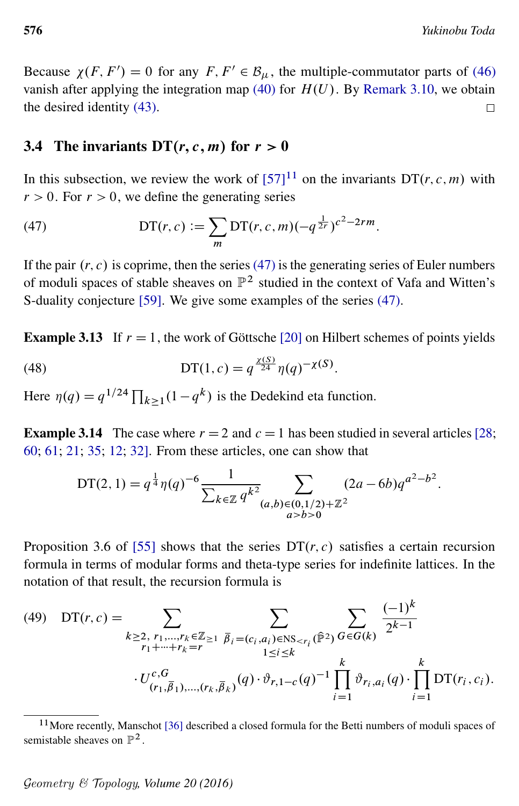Because  $\chi(F, F') = 0$  for any  $F, F' \in \mathcal{B}_{\mu}$ , the multiple-commutator parts of [\(46\)](#page-20-2) vanish after applying the integration map [\(40\)](#page-17-2) for  $H(U)$ . By [Remark 3.10,](#page-19-2) we obtain the desired identity [\(43\).](#page-19-3)  $\Box$ 

### 3.4 The invariants  $DT(r, c, m)$  for  $r > 0$

<span id="page-21-1"></span>In this subsection, we review the work of  $[57]$ <sup>[11](#page-21-0)</sup> on the invariants DT $(r, c, m)$  with  $r > 0$ . For  $r > 0$ , we define the generating series

(47) 
$$
\mathrm{DT}(r,c) := \sum_{m} \mathrm{DT}(r,c,m) (-q^{\frac{1}{2r}})^{c^2 - 2rm}.
$$

If the pair  $(r, c)$  is coprime, then the series [\(47\)](#page-21-1) is the generating series of Euler numbers of moduli spaces of stable sheaves on  $\mathbb{P}^2$  studied in the context of Vafa and Witten's S-duality conjecture [\[59\]](#page-56-3). We give some examples of the series [\(47\).](#page-21-1)

**Example 3.13** If  $r = 1$ , the work of Göttsche [\[20\]](#page-53-14) on Hilbert schemes of points yields

(48) 
$$
\mathsf{DT}(1,c) = q^{\frac{\chi(S)}{24}} \eta(q)^{-\chi(S)}.
$$

Here  $\eta(q) = q^{1/24} \prod_{k \ge 1} (1 - q^k)$  is the Dedekind eta function.

**Example 3.14** The case where  $r = 2$  and  $c = 1$  has been studied in several articles [\[28;](#page-54-9) [60;](#page-56-4) [61;](#page-56-5) [21;](#page-53-15) [35;](#page-54-10) [12;](#page-53-16) [32\]](#page-54-11). From these articles, one can show that

<span id="page-21-3"></span><span id="page-21-2"></span>
$$
DT(2, 1) = q^{\frac{1}{4}} \eta(q)^{-6} \frac{1}{\sum_{k \in \mathbb{Z}} q^{k^2}} \sum_{\substack{(a, b) \in (0, 1/2) + \mathbb{Z}^2 \\ a > b > 0}} (2a - 6b) q^{a^2 - b^2}.
$$

Proposition 3.6 of [\[55\]](#page-55-8) shows that the series  $DT(r, c)$  satisfies a certain recursion formula in terms of modular forms and theta-type series for indefinite lattices. In the notation of that result, the recursion formula is

(49) 
$$
DT(r, c) = \sum_{\substack{k \geq 2, r_1, \dots, r_k \in \mathbb{Z} \geq 1 \\ r_1 + \dots + r_k = r}} \sum_{\substack{\overline{\beta}_i = (c_i, a_i) \in \text{NS}_{\leq r_i}(\hat{\mathbb{P}}^2) \\ 1 \leq i \leq k}} \sum_{G \in G(k)} \frac{(-1)^k}{2^{k-1}}
$$

$$
\cdot U_{(r_1, \overline{\beta}_1), \dots, (r_k, \overline{\beta}_k)}^{\overline{c}, G}(q) \cdot \vartheta_{r, 1 - c}(q)^{-1} \prod_{i = 1}^k \vartheta_{r_i, a_i}(q) \cdot \prod_{i = 1}^k DT(r_i, c_i).
$$

<span id="page-21-0"></span><sup>&</sup>lt;sup>11</sup> More recently, Manschot [\[36\]](#page-54-12) described a closed formula for the Betti numbers of moduli spaces of semistable sheaves on  $\mathbb{P}^2$ .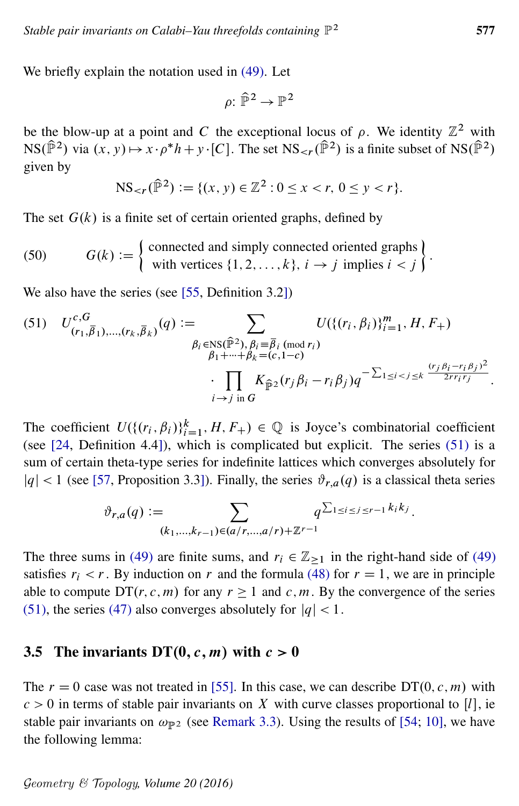We briefly explain the notation used in [\(49\).](#page-21-2) Let

<span id="page-22-2"></span><span id="page-22-1"></span>
$$
\rho\colon \widehat{\mathbb{P}}^2 \to \mathbb{P}^2
$$

be the blow-up at a point and C the exceptional locus of  $\rho$ . We identity  $\mathbb{Z}^2$  with  $NS(\hat{\mathbb{P}}^2)$  via  $(x, y) \mapsto x \cdot \rho^* h + y \cdot [C]$ . The set  $NS_{\leq r}(\hat{\mathbb{P}}^2)$  is a finite subset of  $NS(\hat{\mathbb{P}}^2)$ given by

$$
NS_{< r}(\hat{\mathbb{P}}^2) := \{(x, y) \in \mathbb{Z}^2 : 0 \le x < r, \ 0 \le y < r\}.
$$

The set  $G(k)$  is a finite set of certain oriented graphs, defined by

(50) 
$$
G(k) := \begin{cases} \text{connected and simply connected oriented graphs} \\ \text{with vertices } \{1, 2, ..., k\}, \ i \rightarrow j \text{ implies } i < j \end{cases}.
$$

We also have the series (see [\[55,](#page-55-8) Definition 3.2])

(51) 
$$
U_{(r_1,\bar{\beta}_1),..., (r_k,\bar{\beta}_k)}^{c,G}(q) := \sum_{\substack{\beta_i \in \text{NS}(\hat{\mathbb{P}}^2), \beta_i \equiv \bar{\beta}_i \pmod{r_i} \\ \beta_1 + \dots + \beta_k = (c, 1-c)}} U(\{(r_i, \beta_i)\}_{i=1}^m, H, F_+)
$$

$$
\cdot \prod_{i \to j \text{ in } G} K_{\hat{\mathbb{P}}^2}(r_j \beta_i - r_i \beta_j) q^{-\sum_{1 \le i < j \le k} \frac{(r_j \beta_i - r_i \beta_j)^2}{2rr_ir_j}}.
$$

The coefficient  $U(\{(r_i, \beta_i)\}_{i=1}^k, H, F_+) \in \mathbb{Q}$  is Joyce's combinatorial coefficient (see [\[24,](#page-54-13) Definition 4.4]), which is complicated but explicit. The series [\(51\)](#page-22-1) is a sum of certain theta-type series for indefinite lattices which converges absolutely for  $|q|$  < 1 (see [\[57,](#page-56-1) Proposition 3.3]). Finally, the series  $\vartheta_{r,a}(q)$  is a classical theta series

$$
\vartheta_{r,a}(q) := \sum_{(k_1,\ldots,k_{r-1}) \in (a/r,\ldots,a/r) + \mathbb{Z}^{r-1}} q^{\sum_{1 \le i \le j \le r-1} k_i k_j}.
$$

The three sums in [\(49\)](#page-21-2) are finite sums, and  $r_i \in \mathbb{Z}_{\geq 1}$  in the right-hand side of (49) satisfies  $r_i < r$ . By induction on r and the formula [\(48\)](#page-21-3) for  $r = 1$ , we are in principle able to compute  $DT(r, c, m)$  for any  $r \ge 1$  and c, m. By the convergence of the series [\(51\),](#page-22-1) the series [\(47\)](#page-21-1) also converges absolutely for  $|q| < 1$ .

### 3.5 The invariants DT $(0, c, m)$  with  $c > 0$

<span id="page-22-0"></span>The  $r = 0$  case was not treated in [\[55\]](#page-55-8). In this case, we can describe  $DT(0, c, m)$  with  $c > 0$  in terms of stable pair invariants on X with curve classes proportional to [*l*], ie stable pair invariants on  $\omega_{\mathbb{P}^2}$  (see [Remark 3.3\)](#page-15-4). Using the results of [\[54;](#page-55-7) [10\]](#page-53-0), we have the following lemma: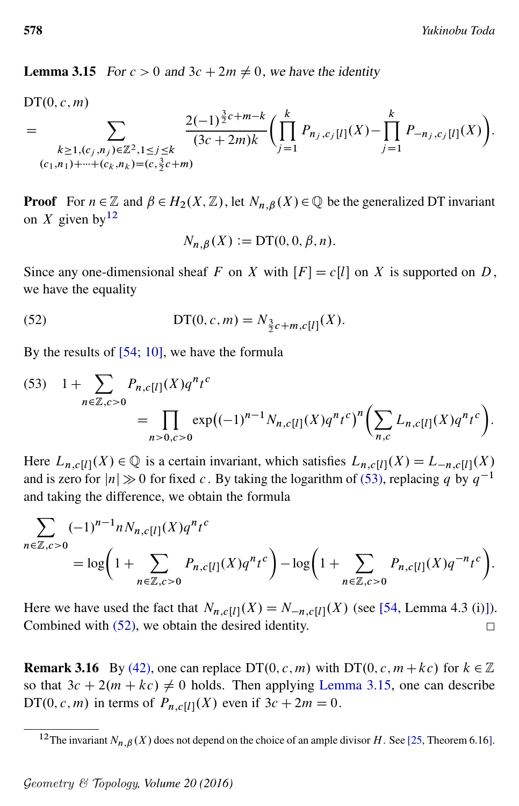**Lemma 3.15** For  $c > 0$  and  $3c + 2m \neq 0$ , we have the identity

 $DT(0, c, m)$ 

$$
= \sum_{\substack{k \ge 1, (c_j, n_j) \in \mathbb{Z}^2, 1 \le j \le k \\ (c_1, n_1) + \dots + (c_k, n_k) = (c, \frac{3}{2}c + m)}} \frac{2(-1)^{\frac{3}{2}c + m - k}}{(3c + 2m)k} \left( \prod_{j=1}^k P_{n_j, c_j[l]}(X) - \prod_{j=1}^k P_{-n_j, c_j[l]}(X) \right).
$$

**Proof** For  $n \in \mathbb{Z}$  and  $\beta \in H_2(X, \mathbb{Z})$ , let  $N_{n,\beta}(X) \in \mathbb{Q}$  be the generalized DT invariant on X given by  $12$ 

<span id="page-23-2"></span><span id="page-23-1"></span>
$$
N_{n,\beta}(X) := DT(0,0,\beta,n).
$$

Since any one-dimensional sheaf F on X with  $[F] = c[l]$  on X is supported on D, we have the equality

(52) 
$$
\mathop{\rm DT}\nolimits(0, c, m) = N_{\frac{3}{2}c + m, c[l]}(X).
$$

By the results of [\[54;](#page-55-7) [10\]](#page-53-0), we have the formula

(53) 
$$
1 + \sum_{n \in \mathbb{Z}, c > 0} P_{n,c[l]}(X) q^n t^c
$$
  
= 
$$
\prod_{n > 0, c > 0} \exp((-1)^{n-1} N_{n,c[l]}(X) q^n t^c)^n \left( \sum_{n,c} L_{n,c[l]}(X) q^n t^c \right).
$$

Here  $L_{n, c[[t]]}(X) \in \mathbb{Q}$  is a certain invariant, which satisfies  $L_{n, c[[t]]}(X) = L_{-n, c[[t]]}(X)$ and is zero for  $|n| \gg 0$  for fixed c. By taking the logarithm of [\(53\),](#page-23-1) replacing q by  $q^{-1}$ and taking the difference, we obtain the formula

$$
\sum_{n \in \mathbb{Z}, c>0} (-1)^{n-1} n N_{n,c[l]}(X) q^n t^c
$$
  
=  $\log \left( 1 + \sum_{n \in \mathbb{Z}, c>0} P_{n,c[l]}(X) q^n t^c \right) - \log \left( 1 + \sum_{n \in \mathbb{Z}, c>0} P_{n,c[l]}(X) q^{-n} t^c \right).$ 

Here we have used the fact that  $N_{n,c}[i](X) = N_{-n,c}[i](X)$  (see [\[54,](#page-55-7) Lemma 4.3 (i)]). Combined with [\(52\),](#page-23-2) we obtain the desired identity.  $\Box$ 

**Remark 3.16** By [\(42\),](#page-19-4) one can replace DT(0, c, m) with DT(0, c,  $m + kc$ ) for  $k \in \mathbb{Z}$ so that  $3c + 2(m + kc) \neq 0$  holds. Then applying [Lemma 3.15,](#page-22-0) one can describe DT(0, c, m) in terms of  $P_{n, c[t]}(X)$  even if  $3c + 2m = 0$ .

<span id="page-23-0"></span><sup>&</sup>lt;sup>12</sup>The invariant  $N_{n,\beta}(X)$  does not depend on the choice of an ample divisor H. See [\[25,](#page-54-2) Theorem 6.16].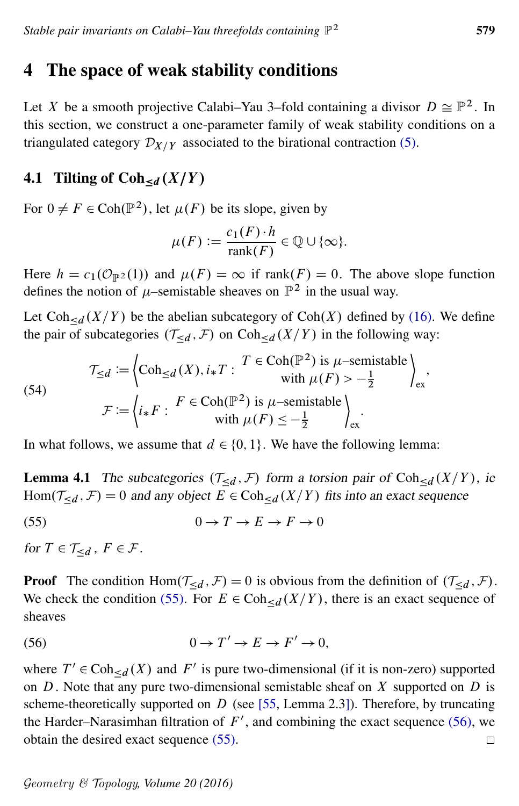## <span id="page-24-0"></span>4 The space of weak stability conditions

Let X be a smooth projective Calabi–Yau 3–fold containing a divisor  $D \cong \mathbb{P}^2$ . In this section, we construct a one-parameter family of weak stability conditions on a triangulated category  $\mathcal{D}_{X/Y}$  associated to the birational contraction [\(5\).](#page-8-3)

## <span id="page-24-1"></span>4.1 Tilting of  $Coh_{\le d}(X/Y)$

For  $0 \neq F \in \text{Coh}(\mathbb{P}^2)$ , let  $\mu(F)$  be its slope, given by

<span id="page-24-2"></span>
$$
\mu(F) := \frac{c_1(F) \cdot h}{\text{rank}(F)} \in \mathbb{Q} \cup \{\infty\}.
$$

Here  $h = c_1(\mathcal{O}_{\mathbb{P}^2}(1))$  and  $\mu(F) = \infty$  if rank $(F) = 0$ . The above slope function defines the notion of  $\mu$ –semistable sheaves on  $\mathbb{P}^2$  in the usual way.

Let  $Coh_{< d}(X/Y)$  be the abelian subcategory of  $Coh(X)$  defined by [\(16\).](#page-11-3) We define the pair of subcategories  $(\mathcal{T}_{\leq d}, \mathcal{F})$  on Coh $_{\leq d}(X/Y)$  in the following way:

(54)  
\n
$$
\mathcal{T}_{\leq d} := \left\{ \text{Coh}_{\leq d}(X), i_{*}T : T \in \text{Coh}(\mathbb{P}^{2}) \text{ is } \mu\text{-semistable} \right\}_{\text{ex}},
$$
\n
$$
\mathcal{F} := \left\{ i_{*}F : F \in \text{Coh}(\mathbb{P}^{2}) \text{ is } \mu\text{-semistable} \right\}_{\text{ext}}.
$$

In what follows, we assume that  $d \in \{0, 1\}$ . We have the following lemma:

**Lemma 4.1** The subcategories  $(T_{\leq d}, F)$  form a torsion pair of Coh<sub> $\leq d$ </sub>  $(X/Y)$ , ie  $Hom(\mathcal{T}_{\leq d}, \mathcal{F}) = 0$  and any object  $E \in Coh_{\leq d}(X/Y)$  fits into an exact sequence

$$
(55) \t\t 0 \to T \to E \to F \to 0
$$

for  $T \in \mathcal{T}_{\le d}$ ,  $F \in \mathcal{F}$ .

**Proof** The condition Hom $(\mathcal{T}_{\leq d}, \mathcal{F}) = 0$  is obvious from the definition of  $(\mathcal{T}_{\leq d}, \mathcal{F})$ . We check the condition [\(55\).](#page-24-2) For  $E \in \text{Coh}_{\le d}(X/Y)$ , there is an exact sequence of sheaves

<span id="page-24-3"></span>(56) 
$$
0 \to T' \to E \to F' \to 0,
$$

where  $T' \in \text{Coh}_{\leq d}(X)$  and  $F'$  is pure two-dimensional (if it is non-zero) supported on  $D$ . Note that any pure two-dimensional semistable sheaf on  $X$  supported on  $D$  is scheme-theoretically supported on  $D$  (see [\[55,](#page-55-8) Lemma 2.3]). Therefore, by truncating the Harder–Narasimhan filtration of  $F'$ , and combining the exact sequence [\(56\),](#page-24-3) we obtain the desired exact sequence [\(55\).](#page-24-2)  $\Box$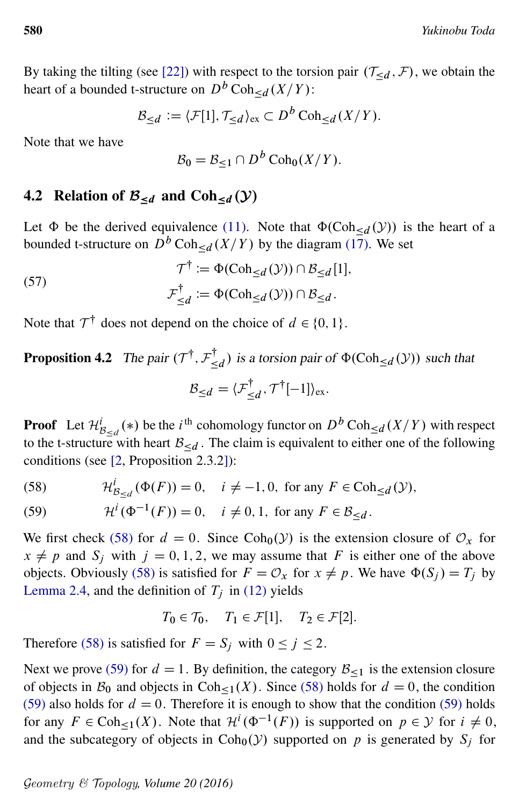By taking the tilting (see [\[22\]](#page-54-14)) with respect to the torsion pair  $(\mathcal{T}_{\le d}, \mathcal{F})$ , we obtain the heart of a bounded t-structure on  $D^b \text{Coh}_{\leq d}(X/Y)$ :

$$
\mathcal{B}_{\leq d} := \langle \mathcal{F}[1], \mathcal{T}_{\leq d} \rangle_{\text{ex}} \subset D^b \operatorname{Coh}_{\leq d}(X/Y).
$$

Note that we have

<span id="page-25-3"></span>
$$
\mathcal{B}_0 = \mathcal{B}_{\leq 1} \cap D^b \operatorname{Coh}_0(X/Y).
$$

### 4.2 Relation of  $\mathcal{B}_{\le d}$  and  $Coh_{\le d}(\mathcal{Y})$

Let  $\Phi$  be the derived equivalence [\(11\).](#page-10-3) Note that  $\Phi(\text{Coh}_{\leq d}(\mathcal{Y}))$  is the heart of a bounded t-structure on  $\overline{D}^b \text{Coh}_{\le d}(X/Y)$  by the diagram [\(17\).](#page-11-2) We set

(57) 
$$
\mathcal{T}^{\dagger} := \Phi(\text{Coh}_{\leq d}(\mathcal{Y})) \cap \mathcal{B}_{\leq d}[1],
$$

$$
\mathcal{F}_{\leq d}^{\dagger} := \Phi(\text{Coh}_{\leq d}(\mathcal{Y})) \cap \mathcal{B}_{\leq d}.
$$

<span id="page-25-2"></span>Note that  $\mathcal{T}^{\dagger}$  does not depend on the choice of  $d \in \{0, 1\}$ .

#### **Proposition 4.2** The pair  $(\mathcal{T}^{\dagger}, \mathcal{F}_{\leq})$  $\mathcal{A}_{\leq d}^{d}$ ) is a torsion pair of  $\Phi(\text{Coh}_{\leq d}(\mathcal{Y}))$  such that  $\mathcal{B}_{\leq d} = \langle \mathcal{F}^{\dagger}_{<}$  $\sum_{i=1}^{n}$ ,  $\mathcal{T}^{\dagger}[-1]$ <sub>ex</sub>.

**Proof** Let  $\mathcal{H}_{\mathcal{B}_{\leq d}}^i(*)$  be the *i*<sup>th</sup> cohomology functor on  $D^b$  Coh<sub> $\leq d$ </sub>  $(X/Y)$  with respect to the t-structure with heart  $\mathcal{B}_{\le d}$ . The claim is equivalent to either one of the following conditions (see [\[2,](#page-52-3) Proposition 2.3.2]):

<span id="page-25-0"></span>(58) 
$$
\mathcal{H}_{\mathcal{B}_{\leq d}}^i(\Phi(F)) = 0, \quad i \neq -1, 0, \text{ for any } F \in \text{Coh}_{\leq d}(\mathcal{Y}),
$$

<span id="page-25-1"></span>(59) 
$$
\mathcal{H}^{i}(\Phi^{-1}(F)) = 0, \quad i \neq 0, 1, \text{ for any } F \in \mathcal{B}_{\leq d}.
$$

We first check [\(58\)](#page-25-0) for  $d = 0$ . Since Coh<sub>0</sub>(*y*) is the extension closure of  $\mathcal{O}_x$  for  $x \neq p$  and  $S_j$  with  $j = 0, 1, 2$ , we may assume that F is either one of the above objects. Obviously [\(58\)](#page-25-0) is satisfied for  $F = \mathcal{O}_x$  for  $x \neq p$ . We have  $\Phi(S_i) = T_i$  by [Lemma 2.4,](#page-10-4) and the definition of  $T_j$  in [\(12\)](#page-10-5) yields

$$
T_0 \in \mathcal{T}_0, \quad T_1 \in \mathcal{F}[1], \quad T_2 \in \mathcal{F}[2].
$$

Therefore [\(58\)](#page-25-0) is satisfied for  $F = S_j$  with  $0 \le j \le 2$ .

Next we prove [\(59\)](#page-25-1) for  $d = 1$ . By definition, the category  $\mathcal{B}_{\leq 1}$  is the extension closure of objects in  $\mathcal{B}_0$  and objects in Coh<sub><1</sub>(X). Since [\(58\)](#page-25-0) holds for  $d = 0$ , the condition [\(59\)](#page-25-1) also holds for  $d = 0$ . Therefore it is enough to show that the condition (59) holds for any  $F \in \text{Coh}_{\leq 1}(X)$ . Note that  $\mathcal{H}^i(\Phi^{-1}(F))$  is supported on  $p \in \mathcal{Y}$  for  $i \neq 0$ , and the subcategory of objects in  $Coh<sub>0</sub>( $\mathcal{Y}$ ) supported on  $p$  is generated by  $S<sub>j</sub>$  for$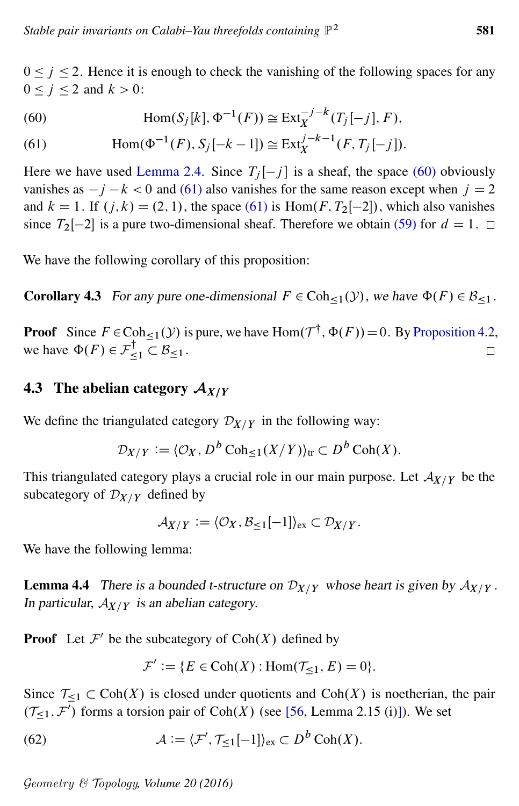$0 \le j \le 2$ . Hence it is enough to check the vanishing of the following spaces for any  $0 < j < 2$  and  $k > 0$ :

<span id="page-26-0"></span>(60) 
$$
\text{Hom}(S_j[k], \Phi^{-1}(F)) \cong \text{Ext}^{-j-k}_X(T_j[-j], F),
$$

<span id="page-26-1"></span>(61) 
$$
\text{Hom}(\Phi^{-1}(F), S_j[-k-1]) \cong \text{Ext}^{j-k-1}_X(F, T_j[-j]).
$$

Here we have used [Lemma 2.4.](#page-10-4) Since  $T_j[-j]$  is a sheaf, the space [\(60\)](#page-26-0) obviously vanishes as  $-i - k < 0$  and [\(61\)](#page-26-1) also vanishes for the same reason except when  $j = 2$ and  $k = 1$ . If  $(j, k) = (2, 1)$ , the space [\(61\)](#page-26-1) is Hom $(F, T_2[-2])$ , which also vanishes since  $T_2[-2]$  is a pure two-dimensional sheaf. Therefore we obtain [\(59\)](#page-25-1) for  $d = 1$ .  $\Box$ 

<span id="page-26-3"></span>We have the following corollary of this proposition:

**Corollary 4.3** For any pure one-dimensional  $F \in \text{Coh}_{\leq 1}(\mathcal{Y})$ , we have  $\Phi(F) \in \mathcal{B}_{\leq 1}$ .

**Proof** Since  $F \in \text{Coh}_{\leq 1}(\mathcal{Y})$  is pure, we have Hom $(\mathcal{T}^{\dagger}, \Phi(F)) = 0$ . By [Proposition 4.2,](#page-25-2) we have  $\Phi(F) \in \mathcal{F}_{\leq 1}^{\dagger} \subset \mathcal{B}_{\leq 1}$ .  $\Box$ 

### 4.3 The abelian category  $A_{X/Y}$

We define the triangulated category  $\mathcal{D}_{X/Y}$  in the following way:

$$
\mathcal{D}_{X/Y} := \langle \mathcal{O}_X, D^b \operatorname{Coh}_{\leq 1}(X/Y) \rangle_{\text{tr}} \subset D^b \operatorname{Coh}(X).
$$

This triangulated category plays a crucial role in our main purpose. Let  $A_{X/Y}$  be the subcategory of  $\mathcal{D}_{X/Y}$  defined by

$$
\mathcal{A}_{X/Y} := \langle \mathcal{O}_X, \mathcal{B}_{\leq 1}[-1] \rangle_{\text{ex}} \subset \mathcal{D}_{X/Y}.
$$

<span id="page-26-4"></span>We have the following lemma:

**Lemma 4.4** There is a bounded t-structure on  $\mathcal{D}_{X/Y}$  whose heart is given by  $\mathcal{A}_{X/Y}$ . In particular,  $A_{X/Y}$  is an abelian category.

**Proof** Let  $\mathcal{F}'$  be the subcategory of  $Coh(X)$  defined by

<span id="page-26-2"></span>
$$
\mathcal{F}' := \{ E \in \text{Coh}(X) : \text{Hom}(\mathcal{T}_{\leq 1}, E) = 0 \}.
$$

Since  $\mathcal{T}_{\leq 1} \subset \text{Coh}(X)$  is closed under quotients and  $\text{Coh}(X)$  is noetherian, the pair  $(\mathcal{T}_{\leq 1}, \mathcal{F}')$  forms a torsion pair of Coh $(X)$  (see [\[56,](#page-56-0) Lemma 2.15 (i)]). We set

(62) 
$$
\mathcal{A} := \langle \mathcal{F}', \mathcal{T}_{\leq 1}[-1] \rangle_{\text{ex}} \subset D^b \operatorname{Coh}(X).
$$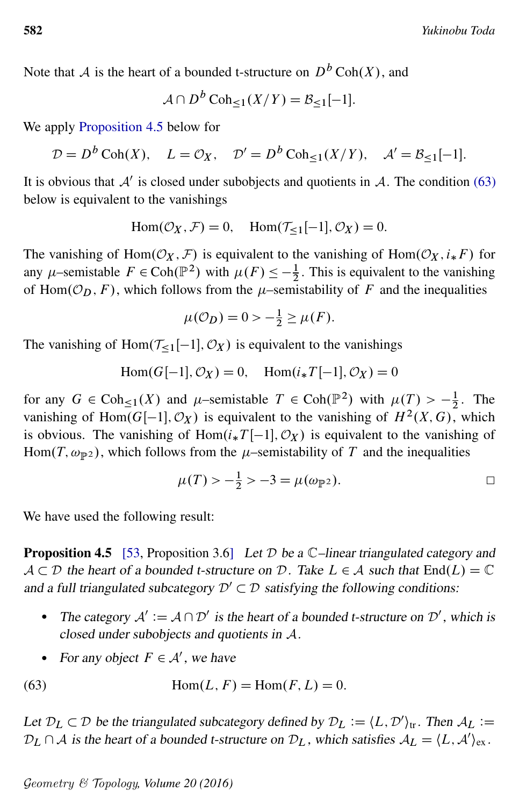Note that A is the heart of a bounded t-structure on  $D^b \text{Coh}(X)$ , and

$$
\mathcal{A} \cap D^b \operatorname{Coh}_{\leq 1}(X/Y) = \mathcal{B}_{\leq 1}[-1].
$$

We apply [Proposition 4.5](#page-27-0) below for

$$
\mathcal{D} = D^b \operatorname{Coh}(X), \quad L = \mathcal{O}_X, \quad \mathcal{D}' = D^b \operatorname{Coh}_{\leq 1}(X/Y), \quad \mathcal{A}' = \mathcal{B}_{\leq 1}[-1].
$$

It is obvious that  $A'$  is closed under subobjects and quotients in  $A$ . The condition [\(63\)](#page-27-1) below is equivalent to the vanishings

$$
Hom(\mathcal{O}_X, \mathcal{F}) = 0, \quad Hom(\mathcal{T}_{\leq 1}[-1], \mathcal{O}_X) = 0.
$$

The vanishing of Hom $(\mathcal{O}_X, \mathcal{F})$  is equivalent to the vanishing of Hom $(\mathcal{O}_X, i_*F)$  for any  $\mu$ -semistable  $F \in \text{Coh}(\mathbb{P}^2)$  with  $\mu(F) \leq -\frac{1}{2}$ . This is equivalent to the vanishing of Hom $(\mathcal{O}_D, F)$ , which follows from the  $\mu$ -semistability of F and the inequalities

$$
\mu(\mathcal{O}_D) = 0 > -\frac{1}{2} \ge \mu(F).
$$

The vanishing of Hom $(\mathcal{T}_{\leq 1}[-1], \mathcal{O}_X)$  is equivalent to the vanishings

 $Hom(G[-1], \mathcal{O}_X) = 0$ ,  $Hom(i_*T[-1], \mathcal{O}_X) = 0$ 

for any  $G \in \text{Coh}_{\leq 1}(X)$  and  $\mu$ -semistable  $T \in \text{Coh}(\mathbb{P}^2)$  with  $\mu(T) > -\frac{1}{2}$  $\frac{1}{2}$ . The vanishing of Hom $(G[-1], \mathcal{O}_X)$  is equivalent to the vanishing of  $H^2(X, G)$ , which is obvious. The vanishing of Hom $(i_*T[-1], \mathcal{O}_X)$  is equivalent to the vanishing of Hom $(T, \omega_{\mathbb{P}^2})$ , which follows from the  $\mu$ -semistability of T and the inequalities

<span id="page-27-1"></span>
$$
\mu(T) > -\frac{1}{2} > -3 = \mu(\omega_{\mathbb{P}^2}).
$$

<span id="page-27-0"></span>We have used the following result:

**Proposition 4.5** [\[53,](#page-55-2) Proposition 3.6] Let  $D$  be a  $C$ -linear triangulated category and  $A \subset \mathcal{D}$  the heart of a bounded t-structure on  $\mathcal{D}$ . Take  $L \in \mathcal{A}$  such that  $End(L) = \mathbb{C}$ and a full triangulated subcategory  $\mathcal{D}' \subset \mathcal{D}$  satisfying the following conditions:

- The category  $A' := A \cap \mathcal{D}'$  is the heart of a bounded t-structure on  $\mathcal{D}'$ , which is closed under subobjects and quotients in A.
- For any object  $F \in \mathcal{A}'$ , we have

(63) 
$$
Hom(L, F) = Hom(F, L) = 0.
$$

Let  $\mathcal{D}_L \subset \mathcal{D}$  be the triangulated subcategory defined by  $\mathcal{D}_L := \langle L, \mathcal{D}' \rangle_{tr}$ . Then  $\mathcal{A}_L :=$  $\mathcal{D}_L \cap \mathcal{A}$  is the heart of a bounded t-structure on  $\mathcal{D}_L$ , which satisfies  $\mathcal{A}_L = \langle L, \mathcal{A}' \rangle_{\text{ex}}$ .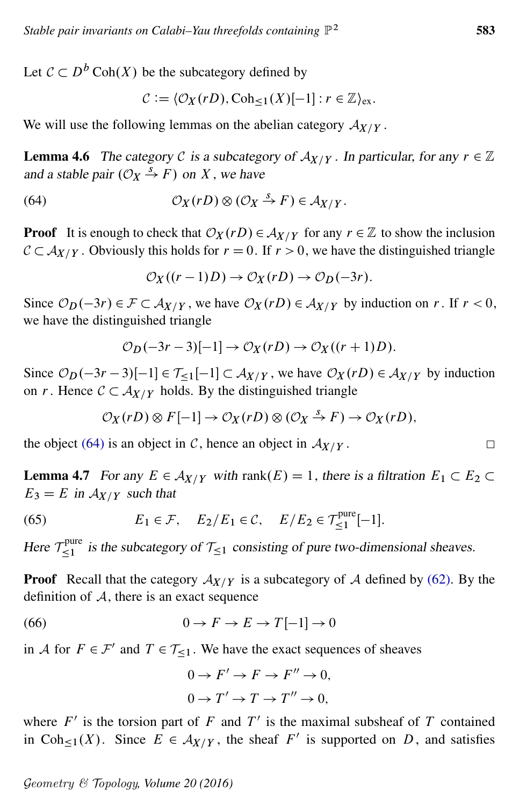Let  $\mathcal{C} \subset D^b \operatorname{Coh}(X)$  be the subcategory defined by

<span id="page-28-0"></span>
$$
\mathcal{C} := \langle \mathcal{O}_X(rD), \mathrm{Coh}_{\leq 1}(X)[-1] : r \in \mathbb{Z}\rangle_{\mathrm{ex}}.
$$

<span id="page-28-2"></span>We will use the following lemmas on the abelian category  $A_{X/Y}$ .

**Lemma 4.6** The category C is a subcategory of  $A_{X/Y}$ . In particular, for any  $r \in \mathbb{Z}$ and a stable pair  $(\mathcal{O}_X \stackrel{s}{\rightarrow} F)$  on X, we have

(64) 
$$
\mathcal{O}_X(rD) \otimes (\mathcal{O}_X \stackrel{s}{\to} F) \in \mathcal{A}_{X/Y}.
$$

**Proof** It is enough to check that  $\mathcal{O}_X(rD) \in \mathcal{A}_{X/Y}$  for any  $r \in \mathbb{Z}$  to show the inclusion  $C \subset A_{X/Y}$ . Obviously this holds for  $r = 0$ . If  $r > 0$ , we have the distinguished triangle

$$
\mathcal{O}_X((r-1)D) \to \mathcal{O}_X(rD) \to \mathcal{O}_D(-3r).
$$

Since  $\mathcal{O}_D(-3r) \in \mathcal{F} \subset \mathcal{A}_{X/Y}$ , we have  $\mathcal{O}_X(rD) \in \mathcal{A}_{X/Y}$  by induction on r. If  $r < 0$ , we have the distinguished triangle

$$
\mathcal{O}_D(-3r-3)[-1] \to \mathcal{O}_X(rD) \to \mathcal{O}_X((r+1)D).
$$

Since  $\mathcal{O}_D(-3r-3)[-1] \in \mathcal{T}_{\leq 1}[-1] \subset \mathcal{A}_{X/Y}$ , we have  $\mathcal{O}_X(rD) \in \mathcal{A}_{X/Y}$  by induction on r. Hence  $C \subset A_{X/Y}$  holds. By the distinguished triangle

$$
\mathcal{O}_X(rD) \otimes F[-1] \to \mathcal{O}_X(rD) \otimes (\mathcal{O}_X \xrightarrow{S} F) \to \mathcal{O}_X(rD),
$$

the object [\(64\)](#page-28-0) is an object in C, hence an object in  $A_{X/Y}$ .

<span id="page-28-1"></span>**Lemma 4.7** For any  $E \in \mathcal{A}_{X/Y}$  with rank $(E) = 1$ , there is a filtration  $E_1 \subset E_2 \subset$  $E_3 = E$  in  $A_{X/Y}$  such that

(65) 
$$
E_1 \in \mathcal{F}
$$
,  $E_2/E_1 \in \mathcal{C}$ ,  $E/E_2 \in \mathcal{T}_{\leq 1}^{\text{pure}}[-1]$ .

Here  $\mathcal{T}_{\leq 1}^{\text{pure}}$  is the subcategory of  $\mathcal{T}_{\leq 1}$  consisting of pure two-dimensional sheaves.

**Proof** Recall that the category  $A_{X/Y}$  is a subcategory of A defined by [\(62\).](#page-26-2) By the definition of  $A$ , there is an exact sequence

(66) 
$$
0 \to F \to E \to T[-1] \to 0
$$

in A for  $F \in \mathcal{F}'$  and  $T \in \mathcal{T}_{\leq 1}$ . We have the exact sequences of sheaves

$$
0 \to F' \to F \to F'' \to 0,
$$
  

$$
0 \to T' \to T \to T'' \to 0,
$$

where  $F'$  is the torsion part of F and T' is the maximal subsheaf of T contained in Coh<sub> $\leq 1$ </sub> $(X)$ . Since  $E \in A_{X/Y}$ , the sheaf F' is supported on D, and satisfies

$$
\Box
$$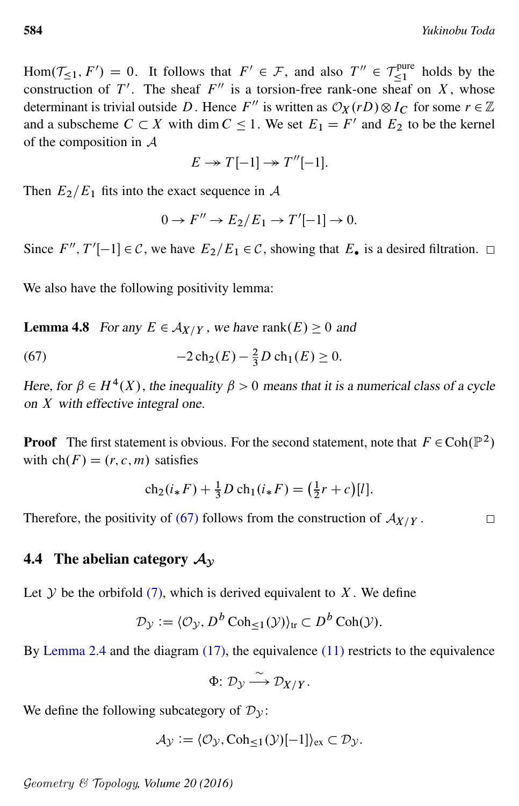$\Box$ 

Hom $(\mathcal{T}_{\leq 1}, F') = 0$ . It follows that  $F' \in \mathcal{F}$ , and also  $T'' \in \mathcal{T}_{\leq 1}^{\text{pure}}$  holds by the construction of T'. The sheaf  $F''$  is a torsion-free rank-one sheaf on X, whose determinant is trivial outside D. Hence F'' is written as  $\mathcal{O}_X(rD) \otimes I_C$  for some  $r \in \mathbb{Z}$ and a subscheme  $C \subset X$  with dim  $C \leq 1$ . We set  $E_1 = F'$  and  $E_2$  to be the kernel of the composition in A

$$
E \to T[-1] \to T''[-1].
$$

Then  $E_2/E_1$  fits into the exact sequence in A

<span id="page-29-0"></span>
$$
0 \to F'' \to E_2/E_1 \to T'[-1] \to 0.
$$

Since  $F''$ ,  $T'[-1] \in \mathcal{C}$ , we have  $E_2/E_1 \in \mathcal{C}$ , showing that  $E_{\bullet}$  is a desired filtration.

<span id="page-29-1"></span>We also have the following positivity lemma:

**Lemma 4.8** For any  $E \in \mathcal{A}_{X/Y}$ , we have rank $(E) \geq 0$  and

(67) 
$$
-2\operatorname{ch}_2(E) - \frac{2}{3}D\operatorname{ch}_1(E) \ge 0.
$$

Here, for  $\beta \in H^4(X)$ , the inequality  $\beta > 0$  means that it is a numerical class of a cycle on X with effective integral one.

**Proof** The first statement is obvious. For the second statement, note that  $F \in Coh(\mathbb{P}^2)$ with  $ch(F) = (r, c, m)$  satisfies

$$
ch_2(i_*F) + \frac{1}{3}D \, ch_1(i_*F) = \left(\frac{1}{2}r + c\right)[l].
$$

Therefore, the positivity of [\(67\)](#page-29-0) follows from the construction of  $A_{X/Y}$ .

### 4.4 The abelian category  $A_v$

Let  $Y$  be the orbifold [\(7\),](#page-9-7) which is derived equivalent to  $X$ . We define

$$
\mathcal{D}_{\mathcal{Y}} := \langle \mathcal{O}_{\mathcal{Y}}, D^b \operatorname{Coh}_{\leq 1}(\mathcal{Y}) \rangle_{\text{tr}} \subset D^b \operatorname{Coh}(\mathcal{Y}).
$$

By [Lemma 2.4](#page-10-4) and the diagram [\(17\),](#page-11-2) the equivalence [\(11\)](#page-10-3) restricts to the equivalence

$$
\Phi\colon \mathcal{D}_{\mathcal{Y}} \stackrel{\sim}{\longrightarrow} \mathcal{D}_{X/Y}.
$$

We define the following subcategory of  $\mathcal{D}_{\mathcal{V}}$ :

$$
\mathcal{A}_{\mathcal{Y}} := \langle \mathcal{O}_{\mathcal{Y}}, \mathrm{Coh}_{\leq 1}(\mathcal{Y})[-1] \rangle_{\mathrm{ex}} \subset \mathcal{D}_{\mathcal{Y}}.
$$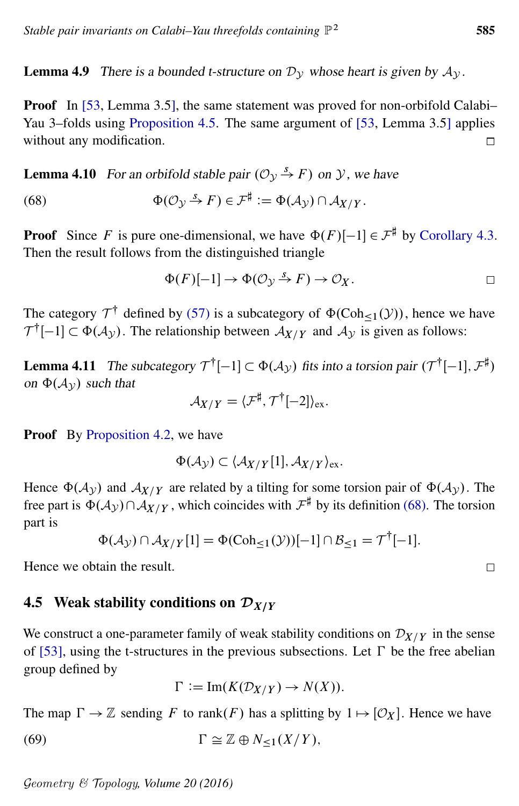<span id="page-30-2"></span>**Lemma 4.9** There is a bounded t-structure on  $\mathcal{D}_{\mathcal{V}}$  whose heart is given by  $\mathcal{A}_{\mathcal{V}}$ .

Proof In [\[53,](#page-55-2) Lemma 3.5], the same statement was proved for non-orbifold Calabi– Yau 3–folds using [Proposition 4.5.](#page-27-0) The same argument of [\[53,](#page-55-2) Lemma 3.5] applies without any modification.  $\Box$ 

**Lemma 4.10** For an orbifold stable pair  $(\mathcal{O}_v \overset{s}{\rightarrow} F)$  on y, we have

(68) 
$$
\Phi(\mathcal{O}_{\mathcal{Y}} \stackrel{s}{\to} F) \in \mathcal{F}^{\sharp} := \Phi(\mathcal{A}_{\mathcal{Y}}) \cap \mathcal{A}_{X/Y}.
$$

**Proof** Since F is pure one-dimensional, we have  $\Phi(F)[-1] \in \mathcal{F}^{\sharp}$  by [Corollary 4.3.](#page-26-3) Then the result follows from the distinguished triangle

<span id="page-30-0"></span>
$$
\Phi(F)[-1] \to \Phi(\mathcal{O}_{\mathcal{Y}} \xrightarrow{S} F) \to \mathcal{O}_X. \square
$$

The category  $\mathcal{T}^{\dagger}$  defined by [\(57\)](#page-25-3) is a subcategory of  $\Phi(\text{Coh}_{\leq 1}(\mathcal{Y}))$ , hence we have  $\mathcal{T}^{\dagger}[-1] \subset \Phi(\mathcal{A}_{\mathcal{Y}})$ . The relationship between  $\mathcal{A}_{X/Y}$  and  $\mathcal{A}_{\mathcal{Y}}$  is given as follows:

<span id="page-30-1"></span>**Lemma 4.11** The subcategory  $\mathcal{T}^{\dagger}[-1] \subset \Phi(\mathcal{A}_{\mathcal{Y}})$  fits into a torsion pair  $(\mathcal{T}^{\dagger}[-1], \mathcal{F}^{\sharp})$ on  $\Phi(A_{\mathcal{V}})$  such that

$$
\mathcal{A}_{X/Y} = \langle \mathcal{F}^\sharp, \mathcal{T}^\dagger[-2] \rangle_{\text{ex}}.
$$

**Proof** By [Proposition 4.2,](#page-25-2) we have

$$
\Phi(\mathcal{A}_{\mathcal{Y}}) \subset \langle \mathcal{A}_{X/Y}[1], \mathcal{A}_{X/Y} \rangle_{\text{ex}}.
$$

Hence  $\Phi(\mathcal{A}_{\gamma})$  and  $\mathcal{A}_{X/Y}$  are related by a tilting for some torsion pair of  $\Phi(\mathcal{A}_{\gamma})$ . The free part is  $\Phi(\mathcal{A}_{\mathcal{Y}}) \cap \mathcal{A}_{X/Y}$ , which coincides with  $\mathcal{F}^{\sharp}$  by its definition [\(68\).](#page-30-0) The torsion part is

$$
\Phi(\mathcal{A}_{\mathcal{Y}}) \cap \mathcal{A}_{X/Y}[1] = \Phi(\mathrm{Coh}_{\leq 1}(\mathcal{Y}))[-1] \cap \mathcal{B}_{\leq 1} = \mathcal{T}^{\dagger}[-1].
$$

Hence we obtain the result.

### 4.5 Weak stability conditions on  $\mathcal{D}_{X/Y}$

We construct a one-parameter family of weak stability conditions on  $\mathcal{D}_{X/Y}$  in the sense of [\[53\]](#page-55-2), using the t-structures in the previous subsections. Let  $\Gamma$  be the free abelian group defined by

$$
\Gamma := \operatorname{Im}(K(\mathcal{D}_{X/Y}) \to N(X)).
$$

The map  $\Gamma \to \mathbb{Z}$  sending F to rank(F) has a splitting by  $1 \mapsto [\mathcal{O}_X]$ . Hence we have

(69) 
$$
\Gamma \cong \mathbb{Z} \oplus N_{\leq 1}(X/Y),
$$

<span id="page-30-3"></span>
$$
\Box
$$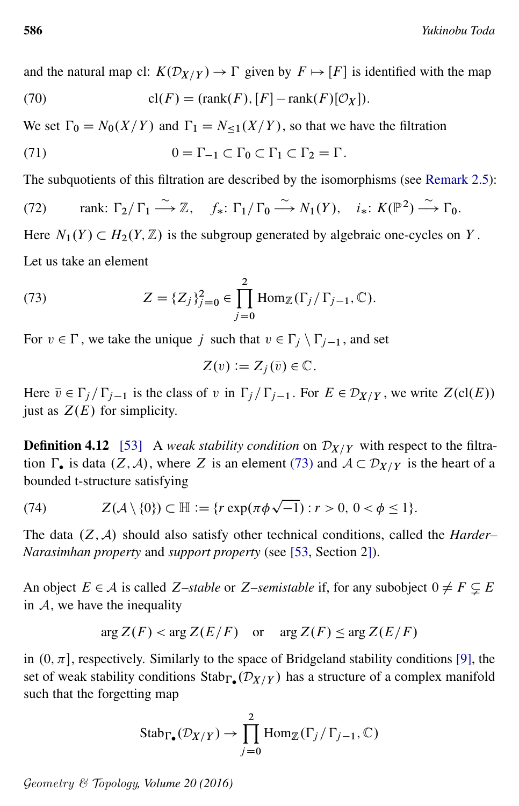and the natural map cl:  $K(\mathcal{D}_{X/Y}) \to \Gamma$  given by  $F \mapsto [F]$  is identified with the map

(70) 
$$
\operatorname{cl}(F) = (\operatorname{rank}(F), [F] - \operatorname{rank}(F)[\mathcal{O}_X]).
$$

We set  $\Gamma_0 = N_0(X/Y)$  and  $\Gamma_1 = N_{\leq 1}(X/Y)$ , so that we have the filtration

(71) 
$$
0 = \Gamma_{-1} \subset \Gamma_0 \subset \Gamma_1 \subset \Gamma_2 = \Gamma.
$$

The subquotients of this filtration are described by the isomorphisms (see [Remark 2.5\)](#page-12-2):

(72) rank: 
$$
\Gamma_2/\Gamma_1 \xrightarrow{\sim} \mathbb{Z}
$$
,  $f_*: \Gamma_1/\Gamma_0 \xrightarrow{\sim} N_1(Y)$ ,  $i_*: K(\mathbb{P}^2) \xrightarrow{\sim} \Gamma_0$ .

Here  $N_1(Y) \subset H_2(Y, \mathbb{Z})$  is the subgroup generated by algebraic one-cycles on Y. Let us take an element

(73) 
$$
Z = \{Z_j\}_{j=0}^2 \in \prod_{j=0}^2 \text{Hom}_{\mathbb{Z}}(\Gamma_j/\Gamma_{j-1}, \mathbb{C}).
$$

For  $v \in \Gamma$ , we take the unique j such that  $v \in \Gamma_j \setminus \Gamma_{j-1}$ , and set

<span id="page-31-4"></span><span id="page-31-3"></span><span id="page-31-2"></span><span id="page-31-1"></span><span id="page-31-0"></span>
$$
Z(v) := Z_j(\overline{v}) \in \mathbb{C}.
$$

Here  $\overline{v} \in \Gamma_j / \Gamma_{j-1}$  is the class of v in  $\Gamma_j / \Gamma_{j-1}$ . For  $E \in \mathcal{D}_{X/Y}$ , we write  $Z(cl(E))$ just as  $Z(E)$  for simplicity.

**Definition 4.12** [\[53\]](#page-55-2) A *weak stability condition* on  $\mathcal{D}_{X/Y}$  with respect to the filtration  $\Gamma_{\bullet}$  is data  $(Z, \mathcal{A})$ , where Z is an element [\(73\)](#page-31-0) and  $\mathcal{A} \subset \mathcal{D}_{X/Y}$  is the heart of a bounded t-structure satisfying

(74) 
$$
Z(\mathcal{A}\setminus\{0\}) \subset \mathbb{H} := \{r \exp(\pi \phi \sqrt{-1}) : r > 0, 0 < \phi \le 1\}.
$$

The data  $(Z, \mathcal{A})$  should also satisfy other technical conditions, called the *Harder– Narasimhan property* and *support property* (see [\[53,](#page-55-2) Section 2]).

An object  $E \in \mathcal{A}$  is called Z-*stable* or Z-*semistable* if, for any subobject  $0 \neq F \subseteq E$ in  $A$ , we have the inequality

$$
\arg Z(F) < \arg Z(E/F) \quad \text{or} \quad \arg Z(F) \leq \arg Z(E/F)
$$

in  $(0, \pi]$ , respectively. Similarly to the space of Bridgeland stability conditions [\[9\]](#page-53-13), the set of weak stability conditions  $\text{Stab}_{\Gamma_{\bullet}}(\mathcal{D}_{X/Y})$  has a structure of a complex manifold such that the forgetting map

Stab<sub>Γ</sub><sub>•</sub>
$$
(\mathcal{D}_{X/Y}) \rightarrow \prod_{j=0}^{2} \text{Hom}_{\mathbb{Z}}(\Gamma_j/\Gamma_{j-1}, \mathbb{C})
$$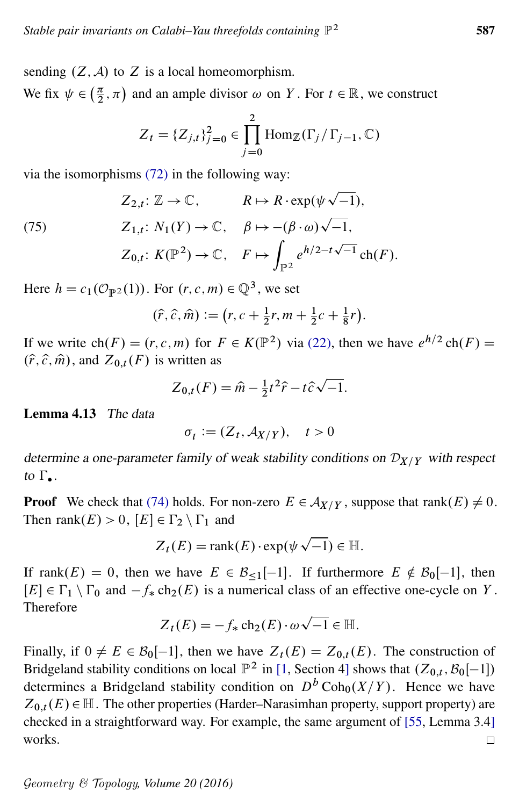sending  $(Z, \mathcal{A})$  to Z is a local homeomorphism.

We fix  $\psi \in \left(\frac{\pi}{2}\right)$  $(\frac{\pi}{2}, \pi)$  and an ample divisor  $\omega$  on Y. For  $t \in \mathbb{R}$ , we construct

$$
Z_{t} = \{Z_{j,t}\}_{j=0}^{2} \in \prod_{j=0}^{2} \text{Hom}_{\mathbb{Z}}(\Gamma_{j} / \Gamma_{j-1}, \mathbb{C})
$$

via the isomorphisms [\(72\)](#page-31-1) in the following way:

$$
Z_{2,t}: \mathbb{Z} \to \mathbb{C}, \qquad R \mapsto R \cdot \exp(\psi \sqrt{-1}),
$$

<span id="page-32-1"></span>(75)  $Z_{1,t}: N_1(Y) \to \mathbb{C}, \quad \beta \mapsto -(\beta \cdot \omega)\sqrt{-1},$  $Z_{0,t}$ :  $K(\mathbb{P}^2) \to \mathbb{C}, \quad F \mapsto$  $\mathbb{P}^2$  $e^{h/2-t\sqrt{-1}} \ch(F).$ 

Here  $h = c_1(\mathcal{O}_{\mathbb{P}^2}(1))$ . For  $(r, c, m) \in \mathbb{Q}^3$ , we set

$$
(\hat{r}, \hat{c}, \hat{m}) := (r, c + \frac{1}{2}r, m + \frac{1}{2}c + \frac{1}{8}r).
$$

If we write  $\text{ch}(F) = (r, c, m)$  for  $F \in K(\mathbb{P}^2)$  via [\(22\),](#page-12-0) then we have  $e^{h/2} \text{ch}(F) =$  $(\hat{r}, \hat{c}, \hat{m})$ , and  $Z_{0,t}(F)$  is written as p

$$
Z_{0,t}(F) = \hat{m} - \frac{1}{2}t^2\hat{r} - t\hat{c}\sqrt{-1}.
$$

<span id="page-32-0"></span>Lemma 4.13 The data

$$
\sigma_t \coloneqq (Z_t, \mathcal{A}_{X/Y}), \quad t > 0
$$

determine a one-parameter family of weak stability conditions on  $\mathcal{D}_{X/Y}$  with respect to  $\Gamma_{\bullet}$ .

**Proof** We check that [\(74\)](#page-31-2) holds. For non-zero  $E \in \mathcal{A}_{X/Y}$ , suppose that rank $(E) \neq 0$ . Then rank $(E) > 0$ ,  $[E] \in \Gamma_2 \setminus \Gamma_1$  and

$$
Z_t(E) = \text{rank}(E) \cdot \exp(\psi \sqrt{-1}) \in \mathbb{H}.
$$

If rank $(E) = 0$ , then we have  $E \in \mathcal{B}_{\le 1}[-1]$ . If furthermore  $E \notin \mathcal{B}_0[-1]$ , then  $[E] \in \Gamma_1 \setminus \Gamma_0$  and  $-f_* \text{ch}_2(E)$  is a numerical class of an effective one-cycle on Y. Therefore p

$$
Z_t(E) = -f_* \operatorname{ch}_2(E) \cdot \omega \sqrt{-1} \in \mathbb{H}.
$$

Finally, if  $0 \neq E \in \mathcal{B}_0[-1]$ , then we have  $Z_t(E) = Z_{0,t}(E)$ . The construction of Bridgeland stability conditions on local  $\mathbb{P}^2$  in [\[1,](#page-52-1) Section 4] shows that  $(Z_{0,t}, \mathcal{B}_0[-1])$ determines a Bridgeland stability condition on  $D^b \text{Coh}_0(X/Y)$ . Hence we have  $Z_{0,t}(E) \in \mathbb{H}$ . The other properties (Harder–Narasimhan property, support property) are checked in a straightforward way. For example, the same argument of [\[55,](#page-55-8) Lemma 3.4] works.  $\Box$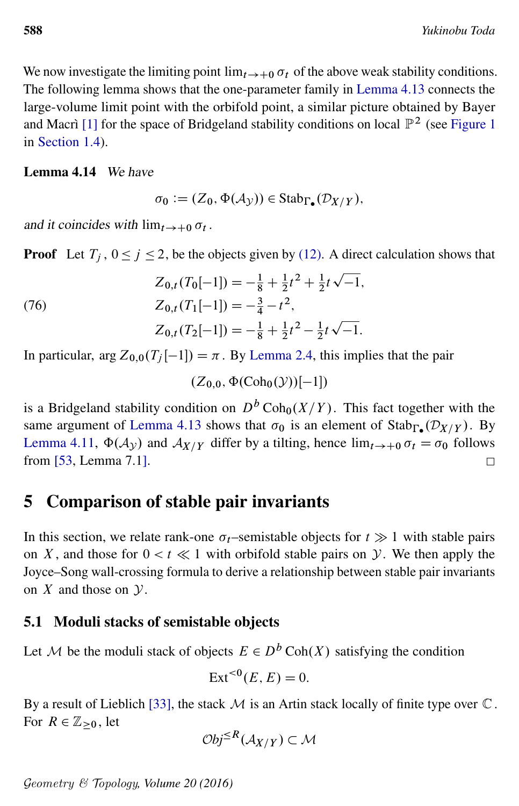We now investigate the limiting point  $\lim_{t\to 0} \sigma_t$  of the above weak stability conditions. The following lemma shows that the one-parameter family in [Lemma 4.13](#page-32-0) connects the large-volume limit point with the orbifold point, a similar picture obtained by Bayer and Macrì [\[1\]](#page-52-1) for the space of Bridgeland stability conditions on local  $\mathbb{P}^2$  (see [Figure 1](#page-5-0) in [Section 1.4\)](#page-4-0).

#### <span id="page-33-1"></span>Lemma 4.14 We have

$$
\sigma_0 := (Z_0, \Phi(\mathcal{A}_{\mathcal{Y}})) \in \mathrm{Stab}_{\Gamma_{\bullet}}(\mathcal{D}_{X/Y}),
$$

and it coincides with  $\lim_{t\to 0} \sigma_t$ .

**Proof** Let  $T_i$ ,  $0 \le j \le 2$ , be the objects given by [\(12\).](#page-10-5) A direct calculation shows that p

(76) 
$$
Z_{0,t}(T_0[-1]) = -\frac{1}{8} + \frac{1}{2}t^2 + \frac{1}{2}t\sqrt{-1},
$$

$$
Z_{0,t}(T_1[-1]) = -\frac{3}{4} - t^2,
$$

$$
Z_{0,t}(T_2[-1]) = -\frac{1}{8} + \frac{1}{2}t^2 - \frac{1}{2}t\sqrt{-1}.
$$

In particular, arg  $Z_{0,0}(T_i[-1]) = \pi$ . By [Lemma 2.4,](#page-10-4) this implies that the pair

 $(Z_{0.0}, \Phi(Coh_0(\mathcal{Y}))[-1])$ 

is a Bridgeland stability condition on  $D^b \text{Coh}_0(X/Y)$ . This fact together with the same argument of [Lemma 4.13](#page-32-0) shows that  $\sigma_0$  is an element of Stab<sub> $\Gamma_{\bullet}(\mathcal{D}_{X/Y})$ . By</sub> [Lemma 4.11,](#page-30-1)  $\Phi(\mathcal{A}_{\mathcal{Y}})$  and  $\mathcal{A}_{X/Y}$  differ by a tilting, hence  $\lim_{t\to 0} \sigma_t = \sigma_0$  follows from [\[53,](#page-55-2) Lemma 7.1].  $\Box$ 

## <span id="page-33-0"></span>5 Comparison of stable pair invariants

In this section, we relate rank-one  $\sigma_t$ –semistable objects for  $t \gg 1$  with stable pairs on X, and those for  $0 < t \ll 1$  with orbifold stable pairs on  $\mathcal Y$ . We then apply the Joyce–Song wall-crossing formula to derive a relationship between stable pair invariants on  $X$  and those on  $Y$ .

### 5.1 Moduli stacks of semistable objects

Let M be the moduli stack of objects  $E \in D^b \text{Coh}(X)$  satisfying the condition

$$
Ext^{<0}(E, E) = 0.
$$

By a result of Lieblich [\[33\]](#page-54-15), the stack  $\mathcal M$  is an Artin stack locally of finite type over  $\mathbb C$ . For  $R \in \mathbb{Z}_{\geq 0}$ , let

$$
\mathcal{O}bj^{\leq R}(\mathcal{A}_{X/Y}) \subset \mathcal{M}
$$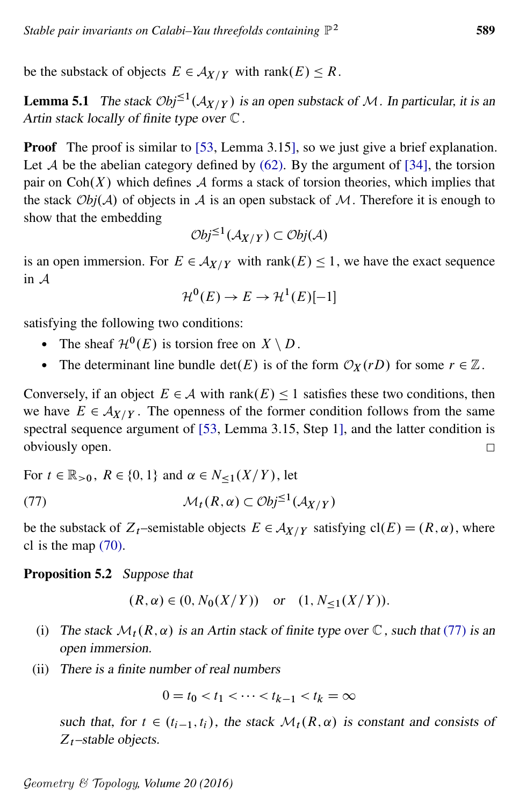be the substack of objects  $E \in \mathcal{A}_{X/Y}$  with rank $(E) \leq R$ .

**Lemma 5.1** The stack  $\mathcal{O}bj^{\leq 1}(\mathcal{A}_{X/Y})$  is an open substack of M. In particular, it is an Artin stack locally of finite type over  $\mathbb C$ .

Proof The proof is similar to [\[53,](#page-55-2) Lemma 3.15], so we just give a brief explanation. Let A be the abelian category defined by  $(62)$ . By the argument of [\[34\]](#page-54-16), the torsion pair on  $Coh(X)$  which defines A forms a stack of torsion theories, which implies that the stack  $Obj(A)$  of objects in A is an open substack of M. Therefore it is enough to show that the embedding

$$
\mathcal{O}bj^{\leq 1}(\mathcal{A}_{X/Y}) \subset \mathcal{O}bj(\mathcal{A})
$$

is an open immersion. For  $E \in \mathcal{A}_{X/Y}$  with rank $(E) \leq 1$ , we have the exact sequence in A

<span id="page-34-1"></span>
$$
\mathcal{H}^0(E) \to E \to \mathcal{H}^1(E)[-1]
$$

satisfying the following two conditions:

- The sheaf  $\mathcal{H}^0(E)$  is torsion free on  $X \setminus D$ .
- The determinant line bundle  $\det(E)$  is of the form  $\mathcal{O}_X(rD)$  for some  $r \in \mathbb{Z}$ .

Conversely, if an object  $E \in \mathcal{A}$  with rank $(E) \le 1$  satisfies these two conditions, then we have  $E \in A_{X/Y}$ . The openness of the former condition follows from the same spectral sequence argument of [\[53,](#page-55-2) Lemma 3.15, Step 1], and the latter condition is obviously open.  $\Box$ 

For 
$$
t \in \mathbb{R}_{>0}
$$
,  $R \in \{0, 1\}$  and  $\alpha \in N_{\leq 1}(X/Y)$ , let  
\n(77) 
$$
\mathcal{M}_t(R, \alpha) \subset \mathcal{O}bj^{\leq 1}(\mathcal{A}_{X/Y})
$$

be the substack of  $Z_t$ –semistable objects  $E \in A_{X/Y}$  satisfying  $cl(E) = (R, \alpha)$ , where cl is the map [\(70\).](#page-31-3)

#### <span id="page-34-0"></span>Proposition 5.2 Suppose that

$$
(R, \alpha) \in (0, N_0(X/Y))
$$
 or  $(1, N_{\leq 1}(X/Y)).$ 

- (i) The stack  $\mathcal{M}_t(R,\alpha)$  is an Artin stack of finite type over  $\mathbb C$ , such that [\(77\)](#page-34-1) is an open immersion.
- (ii) There is a finite number of real numbers

 $0 = t_0 < t_1 < \cdots < t_{k-1} < t_k = \infty$ 

such that, for  $t \in (t_{i-1}, t_i)$ , the stack  $\mathcal{M}_t(R, \alpha)$  is constant and consists of  $Z_t$ –stable objects.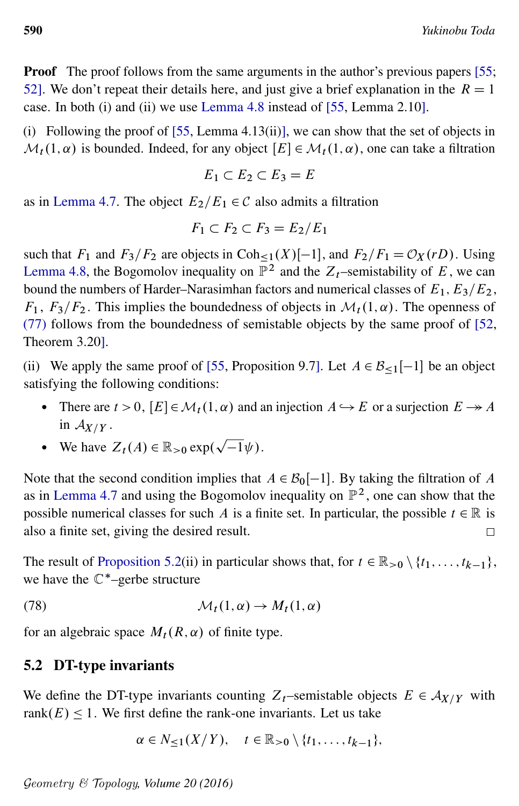**Proof** The proof follows from the same arguments in the author's previous papers [\[55;](#page-55-8) [52\]](#page-55-16). We don't repeat their details here, and just give a brief explanation in the  $R = 1$ case. In both (i) and (ii) we use [Lemma 4.8](#page-29-1) instead of [\[55,](#page-55-8) Lemma 2.10].

(i) Following the proof of  $[55,$  Lemma 4.13(ii)], we can show that the set of objects in  $\mathcal{M}_t(1,\alpha)$  is bounded. Indeed, for any object  $[E] \in \mathcal{M}_t(1,\alpha)$ , one can take a filtration

$$
E_1 \subset E_2 \subset E_3 = E
$$

as in [Lemma 4.7.](#page-28-1) The object  $E_2/E_1 \in \mathcal{C}$  also admits a filtration

$$
F_1 \subset F_2 \subset F_3 = E_2/E_1
$$

such that  $F_1$  and  $F_3/F_2$  are objects in Coh<sub><1</sub>(X)[-1], and  $F_2/F_1 = \mathcal{O}_X(rD)$ . Using [Lemma 4.8,](#page-29-1) the Bogomolov inequality on  $\mathbb{P}^2$  and the  $Z_t$ -semistability of E, we can bound the numbers of Harder–Narasimhan factors and numerical classes of  $E_1, E_3/E_2$ ,  $F_1$ ,  $F_3/F_2$ . This implies the boundedness of objects in  $\mathcal{M}_t(1,\alpha)$ . The openness of [\(77\)](#page-34-1) follows from the boundedness of semistable objects by the same proof of [\[52,](#page-55-16) Theorem 3.20].

(ii) We apply the same proof of [\[55,](#page-55-8) Proposition 9.7]. Let  $A \in \mathcal{B}_{\leq 1}[-1]$  be an object satisfying the following conditions:

- There are  $t > 0$ ,  $[E] \in \mathcal{M}_t(1, \alpha)$  and an injection  $A \hookrightarrow E$  or a surjection  $E \to A$ in  $A_{X/Y}$ . p
- We have  $Z_t(A) \in \mathbb{R}_{>0}$  exp.  $\overline{-1}\psi$ ).

Note that the second condition implies that  $A \in \mathcal{B}_0[-1]$ . By taking the filtration of A as in [Lemma 4.7](#page-28-1) and using the Bogomolov inequality on  $\mathbb{P}^2$ , one can show that the possible numerical classes for such A is a finite set. In particular, the possible  $t \in \mathbb{R}$  is also a finite set, giving the desired result. П

The result of [Proposition 5.2\(](#page-34-0)ii) in particular shows that, for  $t \in \mathbb{R}_{\geq 0} \setminus \{t_1, \ldots, t_{k-1}\},$ we have the  $\mathbb{C}^*$ -gerbe structure

(78) 
$$
\mathcal{M}_t(1,\alpha) \to M_t(1,\alpha)
$$

for an algebraic space  $M_t(R, \alpha)$  of finite type.

#### 5.2 DT-type invariants

We define the DT-type invariants counting  $Z_t$ -semistable objects  $E \in A_{X/Y}$  with rank $(E)$  < 1. We first define the rank-one invariants. Let us take

<span id="page-35-0"></span>
$$
\alpha \in N_{\leq 1}(X/Y), \quad t \in \mathbb{R}_{>0} \setminus \{t_1,\ldots,t_{k-1}\},
$$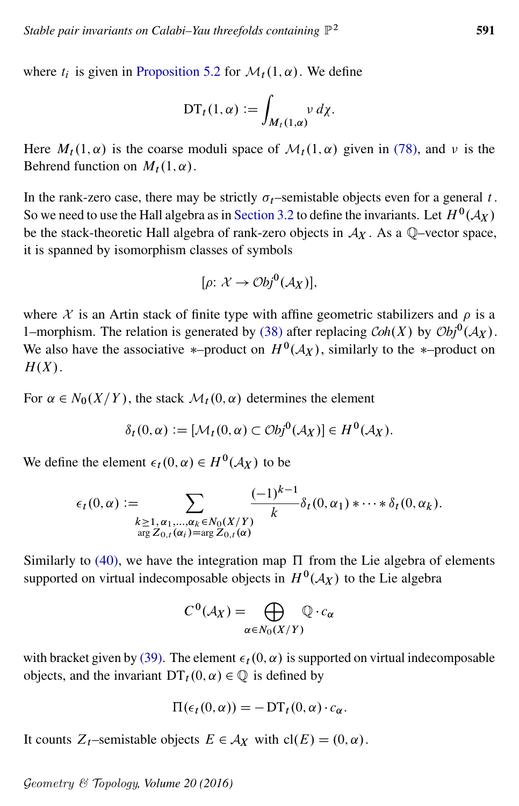where  $t_i$  is given in [Proposition 5.2](#page-34-0) for  $\mathcal{M}_t(1,\alpha)$ . We define

$$
\mathrm{DT}_t(1,\alpha) := \int_{M_t(1,\alpha)} v \, d\chi.
$$

Here  $M_t(1, \alpha)$  is the coarse moduli space of  $\mathcal{M}_t(1, \alpha)$  given in [\(78\),](#page-35-0) and  $\nu$  is the Behrend function on  $M_t(1, \alpha)$ .

In the rank-zero case, there may be strictly  $\sigma_t$ –semistable objects even for a general t. So we need to use the Hall algebra as in [Section 3.2](#page-16-1) to define the invariants. Let  $H^0({\mathcal A}_X)$ be the stack-theoretic Hall algebra of rank-zero objects in  $A_X$ . As a  $\mathbb{Q}$ -vector space, it is spanned by isomorphism classes of symbols

$$
[\rho: \mathcal{X} \to \mathcal{O}bj^0(\mathcal{A}_X)],
$$

where  $X$  is an Artin stack of finite type with affine geometric stabilizers and  $\rho$  is a 1–morphism. The relation is generated by [\(38\)](#page-17-3) after replacing *Coh*(*X*) by  $\mathcal{O}bj^0(\mathcal{A}_X)$ . We also have the associative \*-product on  $H^0(\mathcal{A}_X)$ , similarly to the \*-product on  $H(X)$ .

For  $\alpha \in N_0(X/Y)$ , the stack  $\mathcal{M}_t(0,\alpha)$  determines the element

$$
\delta_t(0,\alpha) := [\mathcal{M}_t(0,\alpha) \subset \mathcal{O}bj^0(\mathcal{A}_X)] \in H^0(\mathcal{A}_X).
$$

We define the element  $\epsilon_t(0, \alpha) \in H^0(\mathcal{A}_X)$  to be

$$
\epsilon_t(0,\alpha) := \sum_{\substack{k \geq 1, \alpha_1, \dots, \alpha_k \in N_0(X/Y) \\ \arg Z_{0,t}(\alpha_i) = \arg Z_{0,t}(\alpha)}} \frac{(-1)^{k-1}}{k} \delta_t(0,\alpha_1) * \cdots * \delta_t(0,\alpha_k).
$$

Similarly to [\(40\),](#page-17-2) we have the integration map  $\Pi$  from the Lie algebra of elements supported on virtual indecomposable objects in  $H^0(\mathcal{A}_X)$  to the Lie algebra

$$
C^0(\mathcal{A}_X) = \bigoplus_{\alpha \in N_0(X/Y)} \mathbb{Q} \cdot c_{\alpha}
$$

with bracket given by [\(39\).](#page-17-4) The element  $\epsilon_t(0, \alpha)$  is supported on virtual indecomposable objects, and the invariant  $DT_t(0, \alpha) \in \mathbb{Q}$  is defined by

$$
\Pi(\epsilon_t(0,\alpha)) = -DT_t(0,\alpha)\cdot c_\alpha.
$$

It counts  $Z_t$ –semistable objects  $E \in A_X$  with  $cl(E) = (0, \alpha)$ .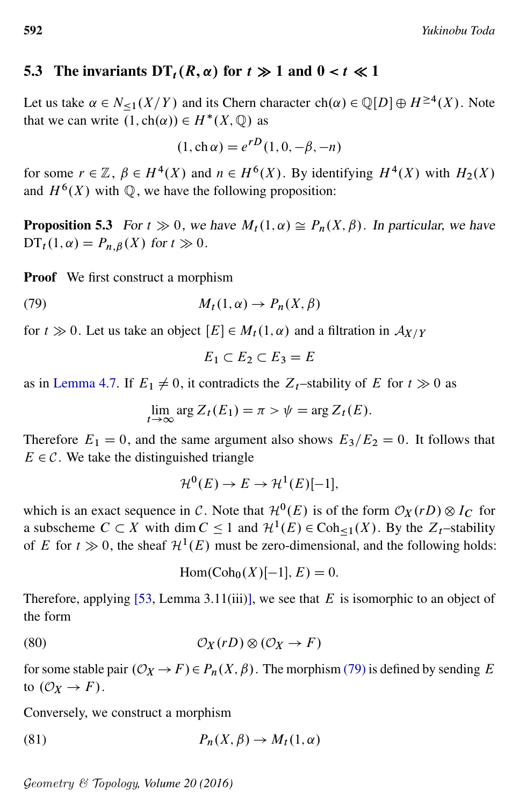### 5.3 The invariants  $DT_t(R, \alpha)$  for  $t \gg 1$  and  $0 < t \ll 1$

Let us take  $\alpha \in N_{\leq 1}(X/Y)$  and its Chern character  $ch(\alpha) \in \mathbb{Q}[D] \oplus H^{\geq 4}(X)$ . Note that we can write  $(1, ch(\alpha)) \in H^*(X, \mathbb{Q})$  as

$$
(1, \mathrm{ch}\,\alpha) = e^{rD}(1, 0, -\beta, -n)
$$

for some  $r \in \mathbb{Z}$ ,  $\beta \in H^4(X)$  and  $n \in H^6(X)$ . By identifying  $H^4(X)$  with  $H_2(X)$ and  $H^6(X)$  with  $\mathbb Q$ , we have the following proposition:

<span id="page-37-3"></span>**Proposition 5.3** For  $t \gg 0$ , we have  $M_t(1, \alpha) \cong P_n(X, \beta)$ . In particular, we have  $DT_t(1, \alpha) = P_{n,\beta}(X)$  for  $t \gg 0$ .

Proof We first construct a morphism

(79) 
$$
M_t(1,\alpha) \to P_n(X,\beta)
$$

for  $t \gg 0$ . Let us take an object  $[E] \in M_t(1, \alpha)$  and a filtration in  $\mathcal{A}_{X/Y}$ 

<span id="page-37-0"></span>
$$
E_1 \subset E_2 \subset E_3 = E
$$

as in [Lemma 4.7.](#page-28-1) If  $E_1 \neq 0$ , it contradicts the  $Z_t$ -stability of E for  $t \gg 0$  as

$$
\lim_{t \to \infty} \arg Z_t(E_1) = \pi > \psi = \arg Z_t(E).
$$

Therefore  $E_1 = 0$ , and the same argument also shows  $E_3/E_2 = 0$ . It follows that  $E \in \mathcal{C}$ . We take the distinguished triangle

$$
\mathcal{H}^0(E) \to E \to \mathcal{H}^1(E)[-1],
$$

which is an exact sequence in C. Note that  $\mathcal{H}^0(E)$  is of the form  $\mathcal{O}_X(rD) \otimes I_C$  for a subscheme  $C \subset X$  with dim  $C \le 1$  and  $\mathcal{H}^1(E) \in \text{Coh}_{\le 1}(X)$ . By the  $Z_t$ -stability of E for  $t \gg 0$ , the sheaf  $\mathcal{H}^1(E)$  must be zero-dimensional, and the following holds:

<span id="page-37-2"></span>
$$
\operatorname{Hom}(\operatorname{Coh}_0(X)[-1], E) = 0.
$$

<span id="page-37-1"></span>Therefore, applying [\[53,](#page-55-2) Lemma 3.11(iii)], we see that  $E$  is isomorphic to an object of the form

(80) 
$$
\mathcal{O}_X(rD) \otimes (\mathcal{O}_X \to F)
$$

for some stable pair  $(\mathcal{O}_X \to F) \in P_n(X, \beta)$ . The morphism [\(79\)](#page-37-0) is defined by sending E to  $(\mathcal{O}_X \rightarrow F)$ .

Conversely, we construct a morphism

(81) 
$$
P_n(X,\beta) \to M_t(1,\alpha)
$$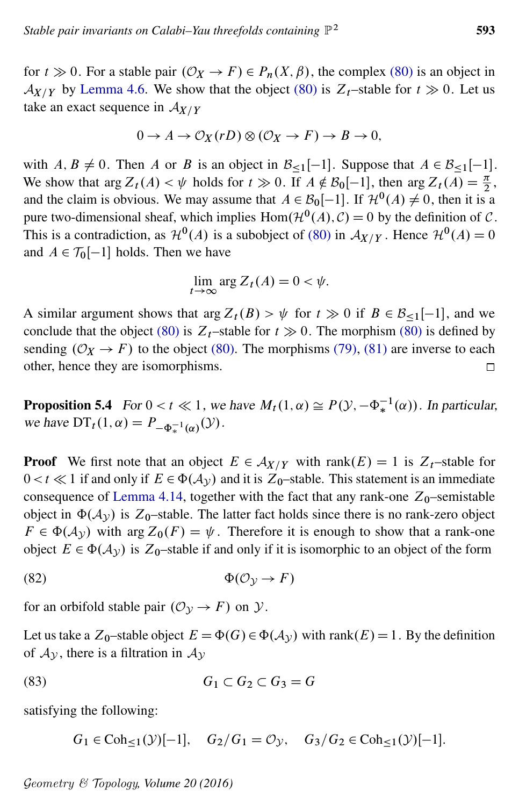for  $t \gg 0$ . For a stable pair  $(\mathcal{O}_X \to F) \in P_n(X, \beta)$ , the complex [\(80\)](#page-37-1) is an object in  $\mathcal{A}_{X/Y}$  by [Lemma 4.6.](#page-28-2) We show that the object [\(80\)](#page-37-1) is  $Z_t$ –stable for  $t \gg 0$ . Let us take an exact sequence in  $A_{X/Y}$ 

$$
0 \to A \to \mathcal{O}_X(rD) \otimes (\mathcal{O}_X \to F) \to B \to 0,
$$

with  $A, B \neq 0$ . Then A or B is an object in  $\mathcal{B}_{\leq 1}[-1]$ . Suppose that  $A \in \mathcal{B}_{\leq 1}[-1]$ . We show that arg  $Z_t(A) < \psi$  holds for  $t \gg 0$ . If  $A \notin B_0[-1]$ , then arg  $Z_t(A) = \frac{\pi}{2}$ , and the claim is obvious. We may assume that  $A \in \mathcal{B}_0[-1]$ . If  $\mathcal{H}^0(A) \neq 0$ , then it is a pure two-dimensional sheaf, which implies  $Hom(\mathcal{H}^0(A), \mathcal{C}) = 0$  by the definition of  $\mathcal{C}$ . This is a contradiction, as  $\mathcal{H}^0(A)$  is a subobject of [\(80\)](#page-37-1) in  $\mathcal{A}_{X/Y}$ . Hence  $\mathcal{H}^0(A) = 0$ and  $A \in \mathcal{T}_0[-1]$  holds. Then we have

<span id="page-38-2"></span>
$$
\lim_{t \to \infty} \arg Z_t(A) = 0 < \psi.
$$

A similar argument shows that arg  $Z_t(B) > \psi$  for  $t \gg 0$  if  $B \in \mathcal{B}_{\le 1}[-1]$ , and we conclude that the object [\(80\)](#page-37-1) is  $Z_t$ –stable for  $t \gg 0$ . The morphism (80) is defined by sending  $(\mathcal{O}_X \rightarrow F)$  to the object [\(80\).](#page-37-1) The morphisms [\(79\),](#page-37-0) [\(81\)](#page-37-2) are inverse to each other, hence they are isomorphisms.  $\Box$ 

<span id="page-38-0"></span>**Proposition 5.4** For  $0 < t \ll 1$ , we have  $M_t(1, \alpha) \cong P(\mathcal{Y}, -\Phi_*^{-1}(\alpha))$ . In particular, we have  $DT_t(1, \alpha) = P_{-\Phi_*^{-1}(\alpha)}(\mathcal{Y})$ .

**Proof** We first note that an object  $E \in \mathcal{A}_{X/Y}$  with rank $(E) = 1$  is  $Z_t$ -stable for  $0 < t \ll 1$  if and only if  $E \in \Phi(\mathcal{A}_{\mathcal{Y}})$  and it is  $Z_0$ -stable. This statement is an immediate consequence of [Lemma 4.14,](#page-33-1) together with the fact that any rank-one  $Z_0$ –semistable object in  $\Phi(\mathcal{A}_{\mathcal{V}})$  is Z<sub>0</sub>–stable. The latter fact holds since there is no rank-zero object  $F \in \Phi(\mathcal{A}_{\mathcal{V}})$  with arg  $Z_0(F) = \psi$ . Therefore it is enough to show that a rank-one object  $E \in \Phi(\mathcal{A}_{\mathcal{V}})$  is  $Z_0$ -stable if and only if it is isomorphic to an object of the form

$$
\Phi(\mathcal{O}_{\mathcal{Y}} \to F)
$$

for an orbifold stable pair  $(\mathcal{O}_{\mathcal{Y}} \to F)$  on  $\mathcal{Y}$ .

Let us take a  $Z_0$ -stable object  $E = \Phi(G) \in \Phi(\mathcal{A}_{\mathcal{Y}})$  with rank $(E) = 1$ . By the definition of  $A_y$ , there is a filtration in  $A_y$ 

$$
(83) \tG_1 \subset G_2 \subset G_3 = G
$$

satisfying the following:

<span id="page-38-1"></span> $G_1 \in \text{Coh}_{\leq 1}(\mathcal{Y})[-1], \quad G_2/G_1 = \mathcal{O}_{\mathcal{Y}}, \quad G_3/G_2 \in \text{Coh}_{\leq 1}(\mathcal{Y})[-1].$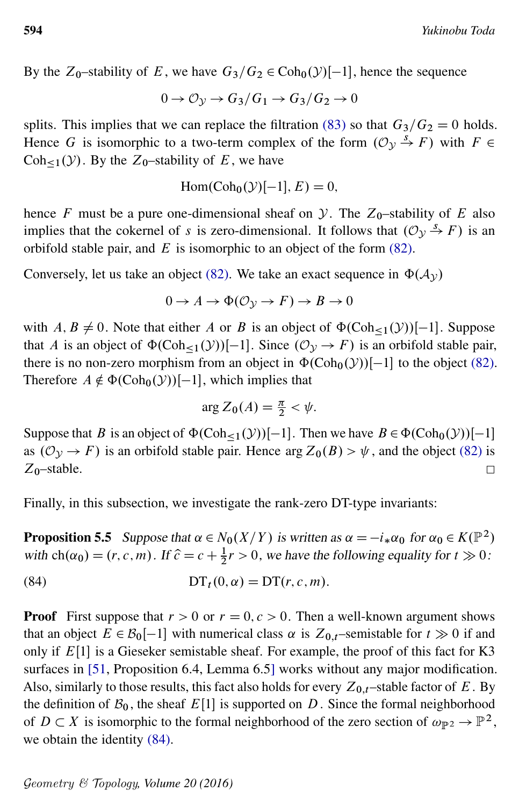By the  $Z_0$ -stability of E, we have  $G_3/G_2 \in \text{Coh}_0(\mathcal{Y})[-1]$ , hence the sequence

$$
0 \to \mathcal{O}_{\mathcal{Y}} \to G_3/G_1 \to G_3/G_2 \to 0
$$

splits. This implies that we can replace the filtration [\(83\)](#page-38-1) so that  $G_3/G_2=0$  holds. Hence G is isomorphic to a two-term complex of the form  $(\mathcal{O}_v \stackrel{s}{\rightarrow} F)$  with  $F \in$  $Coh_{\leq 1}(y)$ . By the  $Z_0$ -stability of E, we have

$$
Hom(Coh_0(\mathcal{Y})[-1], E) = 0,
$$

hence F must be a pure one-dimensional sheaf on  $\mathcal Y$ . The  $Z_0$ -stability of E also implies that the cokernel of s is zero-dimensional. It follows that  $(\mathcal{O}_v \stackrel{s}{\rightarrow} F)$  is an orbifold stable pair, and  $E$  is isomorphic to an object of the form  $(82)$ .

Conversely, let us take an object [\(82\).](#page-38-2) We take an exact sequence in  $\Phi(\mathcal{A}_{\nu})$ 

$$
0 \to A \to \Phi(\mathcal{O}_{\mathcal{Y}} \to F) \to B \to 0
$$

with  $A, B \neq 0$ . Note that either A or B is an object of  $\Phi(\text{Coh}_{\leq 1}(\mathcal{Y}))[-1]$ . Suppose that A is an object of  $\Phi(\text{Coh}_{\leq 1}(\mathcal{Y}))[-1]$ . Since  $(\mathcal{O}_{\mathcal{Y}} \to F)$  is an orbifold stable pair, there is no non-zero morphism from an object in  $\Phi(\text{Coh}_0(\mathcal{Y}))[-1]$  to the object [\(82\).](#page-38-2) Therefore  $A \notin \Phi(\text{Coh}_0(\mathcal{Y}))[-1]$ , which implies that

<span id="page-39-0"></span>
$$
\arg Z_0(A) = \frac{\pi}{2} < \psi.
$$

Suppose that B is an object of  $\Phi(\text{Coh}_{\leq 1}(\mathcal{Y}))[-1]$ . Then we have  $B \in \Phi(\text{Coh}_0(\mathcal{Y}))[-1]$ . as  $(\mathcal{O}_{\mathcal{Y}} \to F)$  is an orbifold stable pair. Hence arg  $Z_0(B) > \psi$ , and the object [\(82\)](#page-38-2) is  $Z_0$ -stable.  $\Box$ 

<span id="page-39-1"></span>Finally, in this subsection, we investigate the rank-zero DT-type invariants:

**Proposition 5.5** Suppose that  $\alpha \in N_0(X/Y)$  is written as  $\alpha = -i_*\alpha_0$  for  $\alpha_0 \in K(\mathbb{P}^2)$ with  $ch(\alpha_0) = (r, c, m)$ . If  $\hat{c} = c + \frac{1}{2}r > 0$ , we have the following equality for  $t \gg 0$ :

(84) 
$$
DT_t(0,\alpha) = DT(r,c,m).
$$

**Proof** First suppose that  $r > 0$  or  $r = 0, c > 0$ . Then a well-known argument shows that an object  $E \in \mathcal{B}_0[-1]$  with numerical class  $\alpha$  is  $Z_{0,t}$ –semistable for  $t \gg 0$  if and only if  $E[1]$  is a Gieseker semistable sheaf. For example, the proof of this fact for K3 surfaces in [\[51,](#page-55-9) Proposition 6.4, Lemma 6.5] works without any major modification. Also, similarly to those results, this fact also holds for every  $Z_{0,t}$ –stable factor of E. By the definition of  $B_0$ , the sheaf  $E[1]$  is supported on D. Since the formal neighborhood of  $D \subset X$  is isomorphic to the formal neighborhood of the zero section of  $\omega_{\mathbb{P}^2} \to \mathbb{P}^2$ , we obtain the identity [\(84\).](#page-39-0)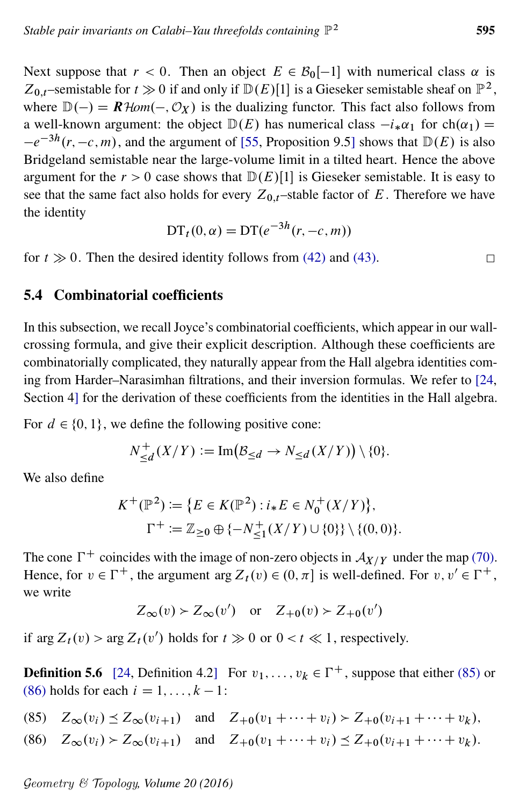Next suppose that  $r < 0$ . Then an object  $E \in \mathcal{B}_0[-1]$  with numerical class  $\alpha$  is Z<sub>0,t</sub>-semistable for  $t \gg 0$  if and only if  $D(E)[1]$  is a Gieseker semistable sheaf on  $\mathbb{P}^2$ , where  $\mathbb{D}(-) = \mathbb{R}$  Hom $(-, \mathcal{O}_X)$  is the dualizing functor. This fact also follows from a well-known argument: the object  $D(E)$  has numerical class  $-i_{*}\alpha_{1}$  for ch $(\alpha_{1})$  =  $-e^{-3h}(r, -c, m)$ , and the argument of [\[55,](#page-55-8) Proposition 9.5] shows that  $D(E)$  is also Bridgeland semistable near the large-volume limit in a tilted heart. Hence the above argument for the  $r > 0$  case shows that  $D(E)[1]$  is Gieseker semistable. It is easy to see that the same fact also holds for every  $Z_{0,t}$ –stable factor of E. Therefore we have the identity

$$
DTt(0, \alpha) = DT(e^{-3h}(r, -c, m))
$$

for  $t \gg 0$ . Then the desired identity follows from [\(42\)](#page-19-4) and [\(43\).](#page-19-3)

### 5.4 Combinatorial coefficients

In this subsection, we recall Joyce's combinatorial coefficients, which appear in our wallcrossing formula, and give their explicit description. Although these coefficients are combinatorially complicated, they naturally appear from the Hall algebra identities coming from Harder–Narasimhan filtrations, and their inversion formulas. We refer to [\[24,](#page-54-13) Section 4] for the derivation of these coefficients from the identities in the Hall algebra.

For  $d \in \{0, 1\}$ , we define the following positive cone:

$$
N_{\leq d}^+(X/Y) \mathrel{\mathop:}= \text{Im}(\mathcal{B}_{\leq d} \to N_{\leq d}(X/Y)) \setminus \{0\}.
$$

We also define

$$
K^+(\mathbb{P}^2) := \{ E \in K(\mathbb{P}^2) : i_* E \in N_0^+(X/Y) \},
$$
  
\n
$$
\Gamma^+ := \mathbb{Z}_{\geq 0} \oplus \{ -N_{\leq 1}^+(X/Y) \cup \{0\} \} \setminus \{ (0,0) \}.
$$

The cone  $\Gamma^+$  coincides with the image of non-zero objects in  $\mathcal{A}_{X/Y}$  under the map [\(70\).](#page-31-3) Hence, for  $v \in \Gamma^+$ , the argument arg  $Z_t(v) \in (0, \pi]$  is well-defined. For  $v, v' \in \Gamma^+$ , we write

 $Z_{\infty}(v) > Z_{\infty}(v')$  or  $Z_{+0}(v) > Z_{+0}(v')$ 

if arg  $Z_t(v)$  > arg  $Z_t(v')$  holds for  $t \gg 0$  or  $0 < t \ll 1$ , respectively.

**Definition 5.6** [\[24,](#page-54-13) Definition 4.2] For  $v_1, \ldots, v_k \in \Gamma^+$ , suppose that either [\(85\)](#page-40-0) or [\(86\)](#page-40-1) holds for each  $i = 1, \ldots, k - 1$ :

- <span id="page-40-0"></span>(85)  $Z_{\infty}(v_i) \leq Z_{\infty}(v_{i+1})$  and  $Z_{+0}(v_1 + \cdots + v_i) > Z_{+0}(v_{i+1} + \cdots + v_k)$ ,
- <span id="page-40-1"></span>(86)  $Z_{\infty}(v_i) > Z_{\infty}(v_{i+1})$  and  $Z_{\pm 0}(v_1 + \cdots + v_i) \le Z_{\pm 0}(v_{i+1} + \cdots + v_k).$

Geometry & Topology*, Volume 20 (2016)*

 $\Box$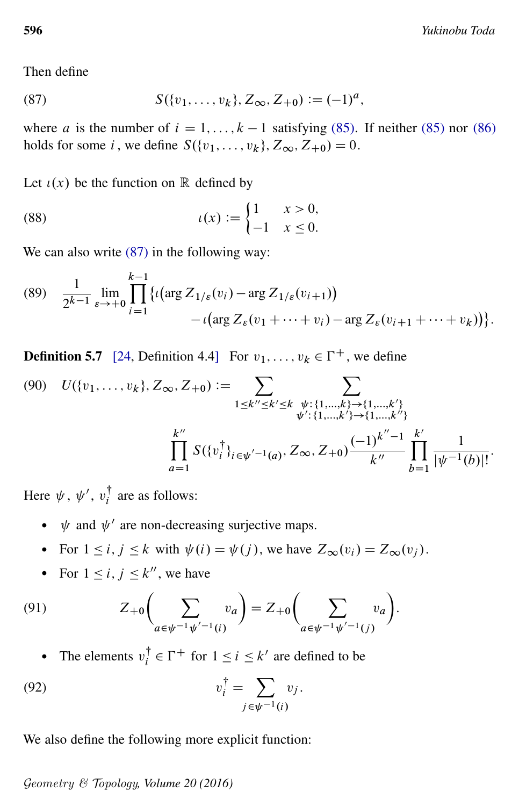<span id="page-41-0"></span>Then define

(87) 
$$
S({v_1,\ldots,v_k},Z_{\infty},Z_{+0}):=(-1)^a,
$$

where a is the number of  $i = 1, ..., k - 1$  satisfying [\(85\).](#page-40-0) If neither [\(85\)](#page-40-0) nor [\(86\)](#page-40-1) holds for some i, we define  $S({v_1}, \ldots, v_k), Z_\infty, Z_{+0}) = 0.$ 

<span id="page-41-1"></span>Let  $\iota(x)$  be the function on R defined by

(88) 
$$
t(x) := \begin{cases} 1 & x > 0, \\ -1 & x \le 0. \end{cases}
$$

<span id="page-41-4"></span>We can also write  $(87)$  in the following way:

(89) 
$$
\frac{1}{2^{k-1}} \lim_{\varepsilon \to +0} \prod_{i=1}^{k-1} \{ \iota(\arg Z_{1/\varepsilon}(v_i) - \arg Z_{1/\varepsilon}(v_{i+1})) - \iota(\arg Z_{\varepsilon}(v_1 + \dots + v_i) - \arg Z_{\varepsilon}(v_{i+1} + \dots + v_k)) \}.
$$

<span id="page-41-2"></span>**Definition 5.7** [\[24,](#page-54-13) Definition 4.4] For  $v_1, \ldots, v_k \in \Gamma^+$ , we define

$$
(90) \quad U(\{v_1, \ldots, v_k\}, Z_{\infty}, Z_{+0}) := \sum_{1 \le k'' \le k' \le k} \sum_{\substack{\psi : \{1, \ldots, k\} \to \{1, \ldots, k'\} \\ \psi': \{1, \ldots, k'\} \to \{1, \ldots, k''\} \\ \prod_{a=1}^{k''} S(\{v_i^{\dagger}\}_{i \in \psi'^{-1}(a)}, Z_{\infty}, Z_{+0}) \frac{(-1)^{k''-1}}{k''} \prod_{b=1}^{k'} \frac{1}{|\psi^{-1}(b)|!}.
$$

Here  $\psi$ ,  $\psi'$ ,  $v_i^{\dagger}$  $i<sub>i</sub>$  are as follows:

- $\psi$  and  $\psi'$  are non-decreasing surjective maps.
- For  $1 \le i, j \le k$  with  $\psi(i) = \psi(j)$ , we have  $Z_{\infty}(v_i) = Z_{\infty}(v_i)$ .
- <span id="page-41-3"></span>• For  $1 \leq i, j \leq k''$ , we have

(91) 
$$
Z_{+0}\left(\sum_{a\in\psi^{-1}\psi'^{-1}(i)} v_a\right) = Z_{+0}\left(\sum_{a\in\psi^{-1}\psi'^{-1}(j)} v_a\right).
$$

• The elements  $v_i^{\dagger}$  $i \in \Gamma^+$  for  $1 \le i \le k'$  are defined to be

$$
v_i^{\dagger} = \sum_{j \in \psi^{-1}(i)} v_j.
$$

<span id="page-41-5"></span>We also define the following more explicit function: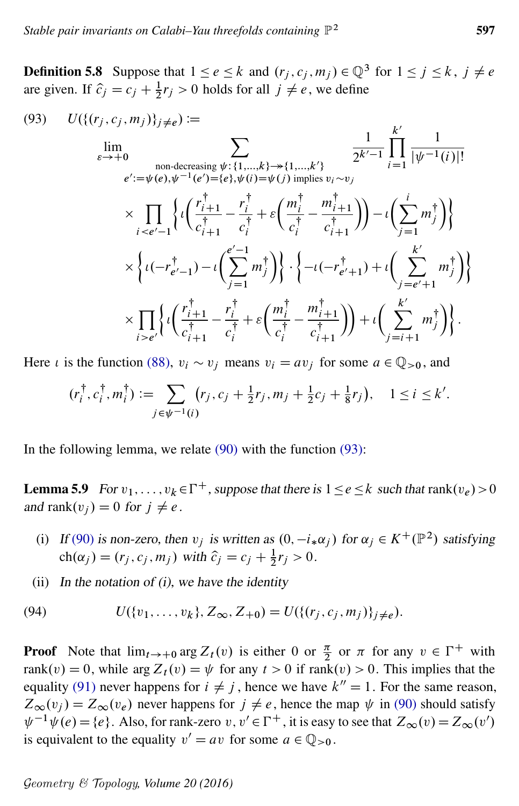**Definition 5.8** Suppose that  $1 \le e \le k$  and  $(r_j, c_j, m_j) \in \mathbb{Q}^3$  for  $1 \le j \le k$ ,  $j \ne e$ are given. If  $\hat{c}_j = c_j + \frac{1}{2}r_j > 0$  holds for all  $j \neq e$ , we define

<span id="page-42-0"></span>(93) 
$$
U(\{(r_j, c_j, m_j)\}_{j \neq e}) := \lim_{\epsilon \to +0} \sum_{\substack{\text{non-decreasing } \psi : \{1, \dots, k\} \to \{1, \dots, k'\} \\ e': = \psi(e), \psi^{-1}(e') = \{e\}, \psi(i) = \psi(j) \text{ implies } v_i \sim v_j}} \frac{\frac{1}{2^{k'-1}} \prod_{i=1}^{k'} \frac{1}{|\psi^{-1}(i)|!}}{\frac{1}{\psi^{-1}(i)!}} \\ \times \prod_{i < e'-1} \left\{ \iota\left(\frac{r_{i+1}^{\dagger}}{c_{i+1}^{\dagger}} - \frac{r_i^{\dagger}}{c_i^{\dagger}} + \varepsilon\left(\frac{m_i^{\dagger}}{c_i^{\dagger}} - \frac{m_{i+1}^{\dagger}}{c_{i+1}^{\dagger}}\right)\right) - \iota\left(\sum_{j=1}^{k'} m_j^{\dagger}\right) \right\} \\ \times \left\{ \iota(-r_{e'-1}^{\dagger}) - \iota\left(\sum_{j=1}^{e'-1} m_j^{\dagger}\right) \right\} \cdot \left\{ - \iota(-r_{e'+1}^{\dagger}) + \iota\left(\sum_{j=e'+1}^{k'} m_j^{\dagger}\right) \right\} \\ \times \prod_{i > e'} \left\{ \iota\left(\frac{r_{i+1}^{\dagger}}{c_{i+1}^{\dagger}} - \frac{r_i^{\dagger}}{c_i^{\dagger}} + \varepsilon\left(\frac{m_i^{\dagger}}{c_i^{\dagger}} - \frac{m_{i+1}^{\dagger}}{c_{i+1}^{\dagger}}\right)\right) + \iota\left(\sum_{j=i+1}^{k'} m_j^{\dagger}\right) \right\}.
$$

Here *i* is the function [\(88\),](#page-41-1)  $v_i \sim v_j$  means  $v_i = av_j$  for some  $a \in \mathbb{Q}_{>0}$ , and

$$
(r_i^{\dagger}, c_i^{\dagger}, m_i^{\dagger}) := \sum_{j \in \psi^{-1}(i)} (r_j, c_j + \frac{1}{2}r_j, m_j + \frac{1}{2}c_j + \frac{1}{8}r_j), \quad 1 \le i \le k'.
$$

<span id="page-42-2"></span>In the following lemma, we relate  $(90)$  with the function  $(93)$ :

**Lemma 5.9** For  $v_1, \ldots, v_k \in \Gamma^+$ , suppose that there is  $1 \le e \le k$  such that  $\text{rank}(v_e) > 0$ and rank $(v_i) = 0$  for  $i \neq e$ .

- <span id="page-42-1"></span>(i) If [\(90\)](#page-41-2) is non-zero, then  $v_j$  is written as  $(0, -i_*\alpha_j)$  for  $\alpha_j \in K^+(\mathbb{P}^2)$  satisfying  $ch(\alpha_j) = (r_j, c_j, m_j)$  with  $\hat{c}_j = c_j + \frac{1}{2}r_j > 0$ .
- (ii) In the notation of  $(i)$ , we have the identity

(94) 
$$
U({v_1,\ldots,v_k},Z_\infty,Z_{+0})=U({(r_j,c_j,m_j)}_{j\neq e}).
$$

**Proof** Note that  $\lim_{t\to 0} \arg Z_t(v)$  is either 0 or  $\frac{\pi}{2}$  or  $\pi$  for any  $v \in \Gamma^+$  with rank $(v) = 0$ , while arg  $Z_t(v) = \psi$  for any  $t > 0$  if rank $(v) > 0$ . This implies that the equality [\(91\)](#page-41-3) never happens for  $i \neq j$ , hence we have  $k'' = 1$ . For the same reason,  $Z_{\infty}(v_i) = Z_{\infty}(v_e)$  never happens for  $j \neq e$ , hence the map  $\psi$  in [\(90\)](#page-41-2) should satisfy  $\psi^{-1}\psi(e) = \{e\}$ . Also, for rank-zero  $v, v' \in \Gamma^+$ , it is easy to see that  $Z_{\infty}(v) = Z_{\infty}(v')$ is equivalent to the equality  $v' = av$  for some  $a \in \mathbb{Q}_{>0}$ .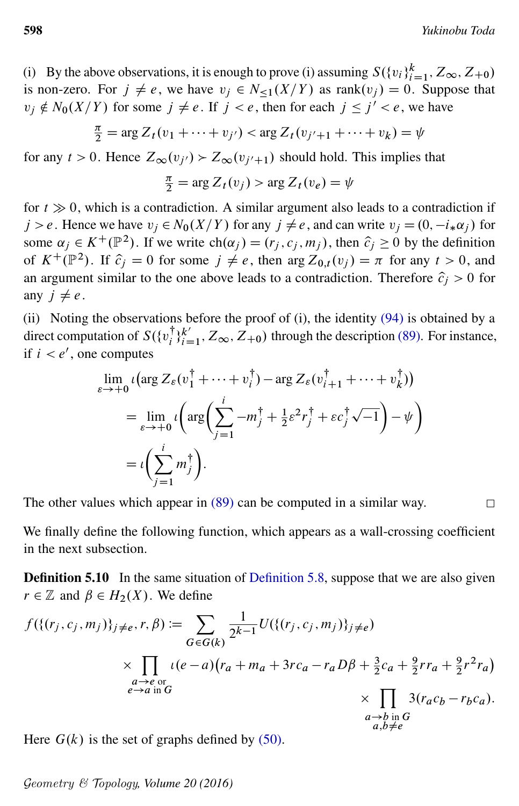(i) By the above observations, it is enough to prove (i) assuming  $S({v_i}_{i=1}^k, Z_\infty, Z_{+0})$ is non-zero. For  $j \neq e$ , we have  $v_j \in N_{\leq 1}(X/Y)$  as rank $(v_j) = 0$ . Suppose that  $v_j \notin N_0(X/Y)$  for some  $j \neq e$ . If  $j < e$ , then for each  $j \leq j' < e$ , we have

$$
\frac{\pi}{2} = \arg Z_t(v_1 + \dots + v_{j'}) < \arg Z_t(v_{j'+1} + \dots + v_k) = \psi
$$

for any  $t > 0$ . Hence  $Z_{\infty}(v_{j'}) > Z_{\infty}(v_{j'+1})$  should hold. This implies that

$$
\frac{\pi}{2} = \arg Z_t(v_j) > \arg Z_t(v_e) = \psi
$$

for  $t \gg 0$ , which is a contradiction. A similar argument also leads to a contradiction if  $j > e$ . Hence we have  $v_j \in N_0(X/Y)$  for any  $j \neq e$ , and can write  $v_j = (0, -i_*\alpha_j)$  for some  $\alpha_j \in K^+(\mathbb{P}^2)$ . If we write  $ch(\alpha_j) = (r_j, c_j, m_j)$ , then  $\hat{c}_j \geq 0$  by the definition of  $K^+(\mathbb{P}^2)$ . If  $\hat{c}_j = 0$  for some  $j \neq e$ , then  $\arg Z_{0,t}(v_j) = \pi$  for any  $t > 0$ , and an argument similar to the one above leads to a contradiction. Therefore  $\hat{c}_i > 0$  for any  $j \neq e$ .

(ii) Noting the observations before the proof of (i), the identity [\(94\)](#page-42-1) is obtained by a direct computation of  $S(\{v_i^{\dagger}\})$  $i^{\dagger}$ <sub>i</sub> $k'$ <sub>i=</sub>  $\binom{k'}{i=1}$ ,  $Z_{\infty}$ ,  $Z_{+0}$ ) through the description [\(89\).](#page-41-4) For instance, if  $i < e'$ , one computes

$$
\lim_{\varepsilon \to +0} \iota \left( \arg Z_{\varepsilon} (v_1^{\dagger} + \dots + v_i^{\dagger}) - \arg Z_{\varepsilon} (v_{i+1}^{\dagger} + \dots + v_k^{\dagger}) \right)
$$
\n
$$
= \lim_{\varepsilon \to +0} \iota \left( \arg \left( \sum_{j=1}^i -m_j^{\dagger} + \frac{1}{2} \varepsilon^2 r_j^{\dagger} + \varepsilon c_j^{\dagger} \sqrt{-1} \right) - \psi \right)
$$
\n
$$
= \iota \left( \sum_{j=1}^i m_j^{\dagger} \right).
$$

The other values which appear in [\(89\)](#page-41-4) can be computed in a similar way.  $\Box$ 

We finally define the following function, which appears as a wall-crossing coefficient in the next subsection.

<span id="page-43-0"></span>**Definition 5.10** In the same situation of [Definition 5.8,](#page-41-5) suppose that we are also given  $r \in \mathbb{Z}$  and  $\beta \in H_2(X)$ . We define

$$
f(\{(r_j, c_j, m_j)\}_{j \neq e}, r, \beta) := \sum_{G \in G(k)} \frac{1}{2^{k-1}} U(\{(r_j, c_j, m_j)\}_{j \neq e})
$$
  
 
$$
\times \prod_{\substack{a \to e \text{ or } \\ e \to a \text{ in } G}} \iota(e-a)(r_a + m_a + 3rc_a - r_a D\beta + \frac{3}{2}c_a + \frac{9}{2}rr_a + \frac{9}{2}r^2r_a)
$$
  
 
$$
\times \prod_{\substack{a \to b \text{ in } G \\ a, b \neq e}} 3(r_a c_b - r_b c_a).
$$

Here  $G(k)$  is the set of graphs defined by [\(50\).](#page-22-2)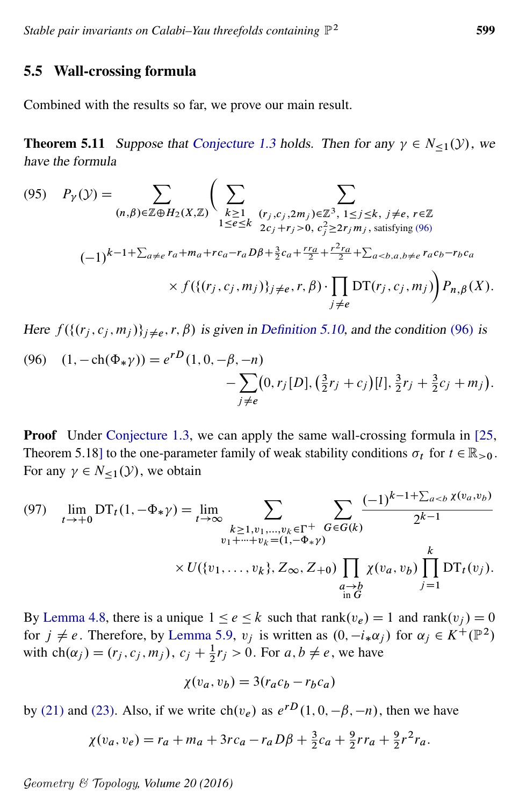### 5.5 Wall-crossing formula

<span id="page-44-0"></span>Combined with the results so far, we prove our main result.

<span id="page-44-3"></span>**Theorem 5.11** Suppose that [Conjecture 1.3](#page-2-1) holds. Then for any  $\gamma \in N_{\leq 1}(\mathcal{Y})$ , we have the formula

$$
(95) \quad P_{\gamma}(\mathcal{Y}) = \sum_{(n,\beta)\in\mathbb{Z}\oplus H_2(X,\mathbb{Z})} \Bigg( \sum_{\substack{k\geq 1\\1\leq e\leq k}} \sum_{\substack{(r_j,c_j,2m_j)\in\mathbb{Z}^3,\\2c_j+r_j>0,\ c_j^2\geq 2r_jm_j,\text{ satisfying } (96)}} \sum_{\substack{1\leq i\leq k,\\(r_j,c_j+r_j>0,\ c_j^2\geq 2r_jm_j,\text{ satisfying } (96)}} (-1)^{k-1+\sum_{a\neq e}r_a+m_a+rc_a-r_aD\beta+\frac{3}{2}c_a+\frac{rr_a}{2}+\frac{r^2r_a}{2}+\sum_{a
$$

<span id="page-44-1"></span>Here  $f({(r_j, c_j, m_j)}_{j \neq e}, r, \beta)$  is given in [Definition 5.10,](#page-43-0) and the condition [\(96\)](#page-44-1) is

(96) 
$$
(1, -ch(\Phi_{*}\gamma)) = e^{rD}(1, 0, -\beta, -n) - \sum_{j \neq e} (0, r_{j}[D], (\frac{3}{2}r_{j} + c_{j})[l], \frac{3}{2}r_{j} + \frac{3}{2}c_{j} + m_{j}).
$$

**Proof** Under [Conjecture 1.3,](#page-2-1) we can apply the same wall-crossing formula in [\[25,](#page-54-2) Theorem 5.18] to the one-parameter family of weak stability conditions  $\sigma_t$  for  $t \in \mathbb{R}_{>0}$ . For any  $\gamma \in N_{\leq 1}(\mathcal{Y})$ , we obtain

<span id="page-44-2"></span>(97) 
$$
\lim_{t \to +0} DT_t(1, -\Phi_* \gamma) = \lim_{t \to \infty} \sum_{\substack{k \ge 1, v_1, ..., v_k \in \Gamma^+ \\ v_1 + ... + v_k = (1, -\Phi_* \gamma)}} \sum_{\substack{G \in G(k) \\ \text{with } G}} \frac{(-1)^{k-1+\sum_{a < b} \chi(v_a, v_b)}}{2^{k-1}}
$$

$$
\times U(\{v_1, ..., v_k\}, Z_\infty, Z_{+0}) \prod_{\substack{a \to b \\ \text{in } G}} \chi(v_a, v_b) \prod_{j=1}^k DT_t(v_j).
$$

By [Lemma 4.8,](#page-29-1) there is a unique  $1 \le e \le k$  such that  $\text{rank}(v_e) = 1$  and  $\text{rank}(v_i) = 0$ for  $j \neq e$ . Therefore, by [Lemma 5.9,](#page-42-2)  $v_j$  is written as  $(0, -i_*\alpha_j)$  for  $\alpha_j \in K^+(\mathbb{P}^2)$ with  $ch(\alpha_j) = (r_j, c_j, m_j), c_j + \frac{1}{2}r_j > 0$ . For  $a, b \neq e$ , we have

$$
\chi(v_a, v_b) = 3(r_a c_b - r_b c_a)
$$

by [\(21\)](#page-12-3) and [\(23\).](#page-13-5) Also, if we write  $\text{ch}(v_e)$  as  $e^{rD}(1, 0, -\beta, -n)$ , then we have

$$
\chi(v_a, v_e) = r_a + m_a + 3rc_a - r_a D\beta + \frac{3}{2}c_a + \frac{9}{2}rr_a + \frac{9}{2}r^2r_a.
$$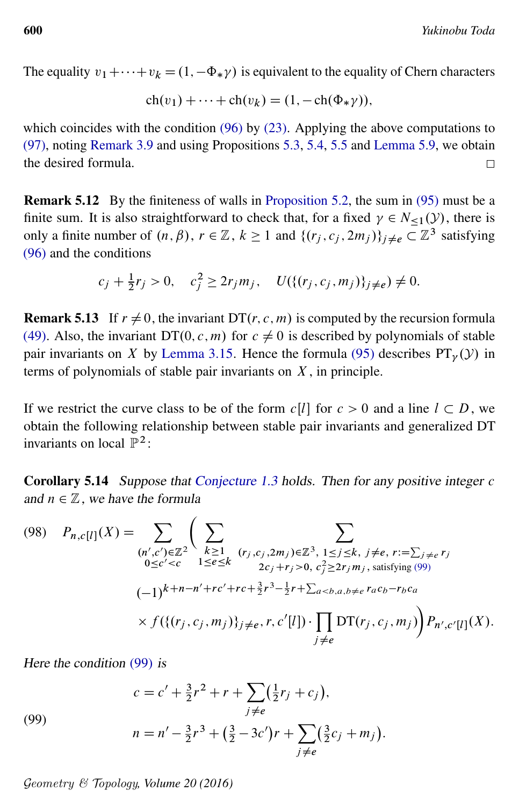The equality  $v_1 + \cdots + v_k = (1, -\Phi_* \gamma)$  is equivalent to the equality of Chern characters

$$
ch(v_1) + \cdots + ch(v_k) = (1, -ch(\Phi_*\gamma)),
$$

which coincides with the condition [\(96\)](#page-44-1) by [\(23\).](#page-13-5) Applying the above computations to [\(97\),](#page-44-2) noting [Remark 3.9](#page-19-5) and using Propositions [5.3,](#page-37-3) [5.4,](#page-38-0) [5.5](#page-39-1) and [Lemma 5.9,](#page-42-2) we obtain the desired formula.  $\Box$ 

Remark 5.12 By the finiteness of walls in [Proposition 5.2,](#page-34-0) the sum in [\(95\)](#page-44-3) must be a finite sum. It is also straightforward to check that, for a fixed  $\gamma \in N_{\leq 1}(\mathcal{Y})$ , there is only a finite number of  $(n, \beta)$ ,  $r \in \mathbb{Z}$ ,  $k \ge 1$  and  $\{(r_j, c_j, 2m_j)\}_{j \neq e} \subset \mathbb{Z}^3$  satisfying [\(96\)](#page-44-1) and the conditions

$$
c_j + \frac{1}{2}r_j > 0
$$
,  $c_j^2 \ge 2r_jm_j$ ,  $U({{(r_j, c_j, m_j)}}_{j \ne e}) \ne 0$ .

**Remark 5.13** If  $r \neq 0$ , the invariant DT $(r, c, m)$  is computed by the recursion formula [\(49\).](#page-21-2) Also, the invariant DT $(0, c, m)$  for  $c \neq 0$  is described by polynomials of stable pair invariants on X by [Lemma 3.15.](#page-22-0) Hence the formula [\(95\)](#page-44-3) describes  $PT_v(y)$  in terms of polynomials of stable pair invariants on  $X$ , in principle.

If we restrict the curve class to be of the form  $c[l]$  for  $c > 0$  and a line  $l \subset D$ , we obtain the following relationship between stable pair invariants and generalized DT invariants on local  $\mathbb{P}^2$ :

<span id="page-45-2"></span><span id="page-45-0"></span>Corollary 5.14 Suppose that [Conjecture 1.3](#page-2-1) holds. Then for any positive integer c and  $n \in \mathbb{Z}$ , we have the formula

$$
(98) \quad P_{n,c[l]}(X) = \sum_{\substack{(n',c') \in \mathbb{Z}^2}} \Biggl( \sum_{\substack{k \geq 1 \\ 0 \leq c' < c}} \sum_{\substack{1 \leq e \leq k \\ 1 \leq e \leq k}} \sum_{\substack{(r_j,c_j,2m_j) \in \mathbb{Z}^3, 1 \leq j \leq k, j \neq e, r := \sum_{j \neq e} r_j \\ 2c_j + r_j > 0, c_j^2 \geq 2r_j m_j, \text{ satisfying (99)}}} (-1)^{k+n-n'+rc'+rc + \frac{3}{2}r^3 - \frac{1}{2}r + \sum_{a < b, a, b \neq e} r_a c_b - r_b c_a} \times f(\{(r_j, c_j, m_j)\}_{j \neq e}, r, c'[l]) \cdot \prod_{j \neq e} DT(r_j, c_j, m_j) \Biggr) P_{n',c'[l]}(X).
$$

<span id="page-45-1"></span>Here the condition [\(99\)](#page-45-1) is

(99)  

$$
c = c' + \frac{3}{2}r^2 + r + \sum_{j \neq e} (\frac{1}{2}r_j + c_j),
$$

$$
n = n' - \frac{3}{2}r^3 + (\frac{3}{2} - 3c')r + \sum_{j \neq e} (\frac{3}{2}c_j + m_j).
$$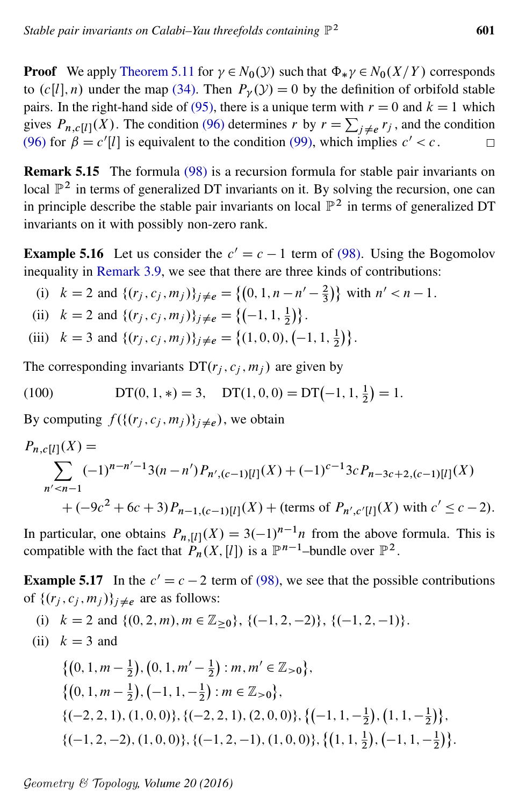**Proof** We apply [Theorem 5.11](#page-44-0) for  $\gamma \in N_0(\mathcal{Y})$  such that  $\Phi_*\gamma \in N_0(X/Y)$  corresponds to  $(c[l], n)$  under the map [\(34\).](#page-15-2) Then  $P_{\nu}(\mathcal{Y}) = 0$  by the definition of orbifold stable pairs. In the right-hand side of [\(95\),](#page-44-3) there is a unique term with  $r = 0$  and  $k = 1$  which gives  $P_{n,c}[l](X)$ . The condition [\(96\)](#page-44-1) determines r by  $r = \sum_{j \neq e} r_j$ , and the condition [\(96\)](#page-44-1) for  $\beta = c'[l]$  is equivalent to the condition [\(99\),](#page-45-1) which implies  $c' < c$ .

Remark 5.15 The formula [\(98\)](#page-45-2) is a recursion formula for stable pair invariants on local  $\mathbb{P}^2$  in terms of generalized DT invariants on it. By solving the recursion, one can in principle describe the stable pair invariants on local  $\mathbb{P}^2$  in terms of generalized DT invariants on it with possibly non-zero rank.

<span id="page-46-1"></span>**Example 5.16** Let us consider the  $c' = c - 1$  term of [\(98\).](#page-45-2) Using the Bogomolov inequality in [Remark 3.9,](#page-19-5) we see that there are three kinds of contributions:

(i) 
$$
k = 2
$$
 and  $\{(r_j, c_j, m_j)\}_{j \neq e} = \{(0, 1, n - n' - \frac{2}{3})\}$  with  $n' < n - 1$ .

(ii) 
$$
k = 2
$$
 and  $\{(r_j, c_j, m_j)\}_{j \neq e} = \{(-1, 1, \frac{1}{2})\}.$ 

<span id="page-46-0"></span>(iii) 
$$
k = 3
$$
 and  $\{(r_j, c_j, m_j)\}_{j \neq e} = \{(1, 0, 0), (-1, 1, \frac{1}{2})\}.$ 

The corresponding invariants  $DT(r_j, c_j, m_j)$  are given by

(100) 
$$
DT(0, 1, *) = 3, \quad DT(1, 0, 0) = DT(-1, 1, \frac{1}{2}) = 1.
$$

By computing  $f({{(r_j, c_j, m_j)}_{j \neq e}})$ , we obtain

$$
P_{n,c[l]}(X) = \sum_{n' < n-1} (-1)^{n-n'-1} 3(n-n') P_{n',(c-1)[l]}(X) + (-1)^{c-1} 3c P_{n-3c+2,(c-1)[l]}(X) + (-9c^2 + 6c + 3) P_{n-1,(c-1)[l]}(X) + \text{(terms of } P_{n',c'[l]}(X) \text{ with } c' \leq c - 2\text{)}.
$$

In particular, one obtains  $P_{n, [l]}(X) = 3(-1)^{n-1}n$  from the above formula. This is compatible with the fact that  $P_n(X, [l])$  is a  $\mathbb{P}^{n-1}$ -bundle over  $\mathbb{P}^2$ .

**Example 5.17** In the  $c' = c - 2$  term of [\(98\),](#page-45-2) we see that the possible contributions of  $\{(r_i, c_i, m_i)\}_{i \neq e}$  are as follows:

(i) 
$$
k = 2
$$
 and  $\{(0, 2, m), m \in \mathbb{Z}_{\geq 0}\}, \{(-1, 2, -2)\}, \{(-1, 2, -1)\}.$ 

(ii) 
$$
k = 3
$$
 and

$$
\{(0, 1, m - \frac{1}{2}), (0, 1, m' - \frac{1}{2}) : m, m' \in \mathbb{Z}_{>0}\},\
$$
  

$$
\{(0, 1, m - \frac{1}{2}), (-1, 1, -\frac{1}{2}) : m \in \mathbb{Z}_{>0}\},\
$$
  

$$
\{(-2, 2, 1), (1, 0, 0)\}, \{(-2, 2, 1), (2, 0, 0)\}, \{(-1, 1, -\frac{1}{2}), (1, 1, -\frac{1}{2})\},\
$$
  

$$
\{(-1, 2, -2), (1, 0, 0)\}, \{(-1, 2, -1), (1, 0, 0)\}, \{(1, 1, \frac{1}{2}), (-1, 1, -\frac{1}{2})\}.
$$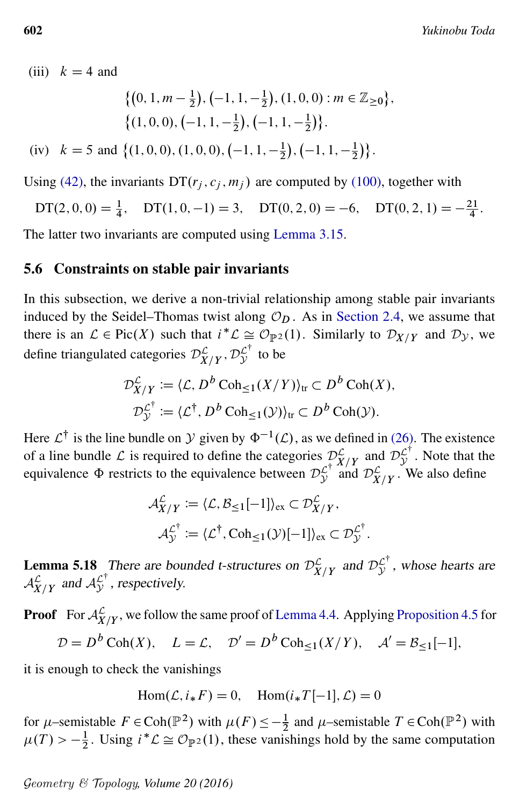(iii)  $k = 4$  and

$$
\begin{aligned} & \left\{ \left(0, 1, m - \frac{1}{2}\right), \left(-1, 1, -\frac{1}{2}\right), (1, 0, 0) : m \in \mathbb{Z}_{\geq 0} \right\}, \\ & \left\{ \left(1, 0, 0\right), \left(-1, 1, -\frac{1}{2}\right), \left(-1, 1, -\frac{1}{2}\right) \right\}. \end{aligned}
$$

(iv) 
$$
k = 5
$$
 and  $\{(1, 0, 0), (1, 0, 0), (-1, 1, -\frac{1}{2}), (-1, 1, -\frac{1}{2})\}.$ 

Using [\(42\),](#page-19-4) the invariants  $DT(r_i, c_i, m_i)$  are computed by [\(100\),](#page-46-0) together with

 $DT(2, 0, 0) = \frac{1}{4}$ ,  $DT(1, 0, -1) = 3$ ,  $DT(0, 2, 0) = -6$ ,  $DT(0, 2, 1) = -\frac{21}{4}$  $\frac{21}{4}$ .

The latter two invariants are computed using [Lemma 3.15.](#page-22-0)

#### <span id="page-47-0"></span>5.6 Constraints on stable pair invariants

In this subsection, we derive a non-trivial relationship among stable pair invariants induced by the Seidel–Thomas twist along  $\mathcal{O}_D$ . As in [Section 2.4,](#page-13-6) we assume that there is an  $\mathcal{L} \in \text{Pic}(X)$  such that  $i^*\mathcal{L} \cong \mathcal{O}_{\mathbb{P}^2}(1)$ . Similarly to  $\mathcal{D}_{X/Y}$  and  $\mathcal{D}_{\mathcal{Y}}$ , we define triangulated categories  $\mathcal{D}_{X/Y}^{\mathcal{L}}, \mathcal{D}_{\mathcal{Y}}^{\mathcal{L}^{\dagger}}$  $\int y^{\prime}$  to be

$$
\mathcal{D}_{X/Y}^{\mathcal{L}} := \langle \mathcal{L}, D^b \operatorname{Coh}_{\leq 1}(X/Y) \rangle_{\text{tr}} \subset D^b \operatorname{Coh}(X),
$$
  

$$
\mathcal{D}_{\mathcal{Y}}^{\mathcal{L}^{\dagger}} := \langle \mathcal{L}^{\dagger}, D^b \operatorname{Coh}_{\leq 1}(\mathcal{Y}) \rangle_{\text{tr}} \subset D^b \operatorname{Coh}(\mathcal{Y}).
$$

Here  $\mathcal{L}^{\dagger}$  is the line bundle on  $\mathcal{Y}$  given by  $\Phi^{-1}(\mathcal{L})$ , as we defined in [\(26\).](#page-13-7) The existence of a line bundle L is required to define the categories  $\mathcal{D}_{X/Y}^{\mathcal{L}}$  and  $\mathcal{D}_{Y}^{\mathcal{L}^{\dagger}}$  $\mathcal{L}^{\prime}$ . Note that the equivalence  $\Phi$  restricts to the equivalence between  $\mathcal{D}_{\mathcal{V}}^{\mathcal{L}^{\dagger}}$  $\mathcal{L}^{\top}$  and  $\mathcal{D}_{X/Y}^{\mathcal{L}}$ . We also define

$$
\mathcal{A}_{X/Y}^{\mathcal{L}} := \langle \mathcal{L}, \mathcal{B}_{\leq 1}[-1] \rangle_{\text{ex}} \subset \mathcal{D}_{X/Y}^{\mathcal{L}},
$$
  

$$
\mathcal{A}_{\mathcal{Y}}^{\mathcal{L}^{\dagger}} := \langle \mathcal{L}^{\dagger}, \text{Coh}_{\leq 1}(\mathcal{Y})[-1] \rangle_{\text{ex}} \subset \mathcal{D}_{\mathcal{Y}}^{\mathcal{L}^{\dagger}}.
$$

**Lemma 5.18** There are bounded t-structures on  $\mathcal{D}_{X/Y}^{\mathcal{L}}$  and  $\mathcal{D}_{Y}^{\mathcal{L}^{\dagger}}$  $\mathcal{L}^{\prime}$ , whose hearts are  $\mathcal{A}_{X/Y}^{\mathcal{L}}$  and  $\mathcal{A}_{\mathcal{Y}}^{\mathcal{L}^{\dagger}}$  $\mathcal{L}^{\prime}$ , respectively.

**Proof** For  $\mathcal{A}_{X/Y}^{\mathcal{L}}$ , we follow the same proof of [Lemma 4.4.](#page-26-4) Applying [Proposition 4.5](#page-27-0) for  $\mathcal{D} = D^b \operatorname{Coh}(X), \quad L = \mathcal{L}, \quad \mathcal{D}' = D^b \operatorname{Coh}_{\leq 1}(X/Y), \quad \mathcal{A}' = \mathcal{B}_{\leq 1}[-1],$ 

it is enough to check the vanishings

$$
Hom(\mathcal{L}, i_* F) = 0, \quad Hom(i_* T[-1], \mathcal{L}) = 0
$$

for  $\mu$ -semistable  $F \in \text{Coh}(\mathbb{P}^2)$  with  $\mu(F) \leq -\frac{1}{2}$  and  $\mu$ -semistable  $T \in \text{Coh}(\mathbb{P}^2)$  with  $\mu(T) > -\frac{1}{2}$  $\frac{1}{2}$ . Using  $i^*\mathcal{L} \cong \mathcal{O}_{\mathbb{P}^2}(1)$ , these vanishings hold by the same computation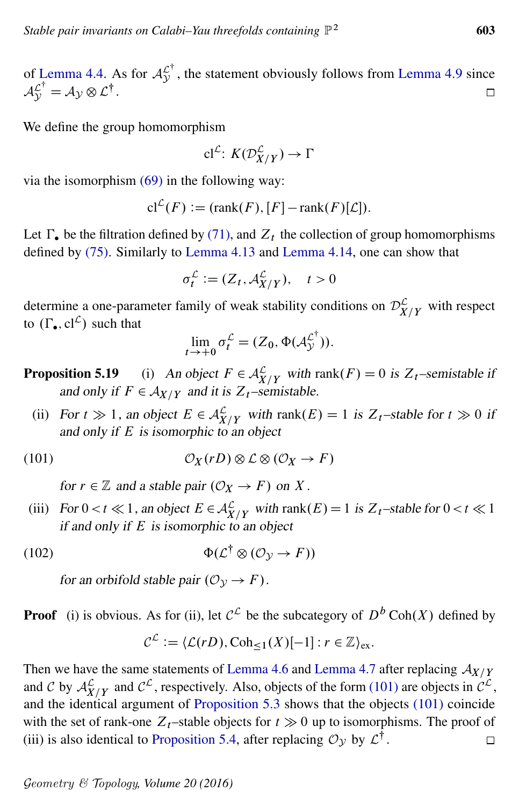of [Lemma 4.4.](#page-26-4) As for  $\mathcal{A}_{\mathcal{V}}^{\mathcal{L}^{\dagger}}$  $\mathcal{L}^{\prime}$ , the statement obviously follows from [Lemma 4.9](#page-30-2) since  $\mathcal{A}_{\mathcal{Y}}^{\mathcal{L}^{\dagger}} = \mathcal{A}_{\mathcal{Y}} \otimes \mathcal{L}^{\dagger}.$  $\Box$ 

We define the group homomorphism

$$
\mathbf{cl}^{\mathcal{L}}\colon K(\mathcal{D}_{X/Y}^{\mathcal{L}}) \to \Gamma
$$

via the isomorphism [\(69\)](#page-30-3) in the following way:

$$
\mathrm{cl}^{\mathcal{L}}(F) := (\mathrm{rank}(F), [F] - \mathrm{rank}(F)[\mathcal{L}]).
$$

Let  $\Gamma_{\bullet}$  be the filtration defined by [\(71\),](#page-31-4) and  $Z_t$  the collection of group homomorphisms defined by [\(75\).](#page-32-1) Similarly to [Lemma 4.13](#page-32-0) and [Lemma 4.14,](#page-33-1) one can show that

$$
\sigma_t^{\mathcal{L}} := (Z_t, \mathcal{A}_{X/Y}^{\mathcal{L}}), \quad t > 0
$$

determine a one-parameter family of weak stability conditions on  $\mathcal{D}_{X/Y}^{\mathcal{L}}$  with respect to  $(\Gamma_{\bullet}, cl^{\mathcal{L}})$  such that

<span id="page-48-0"></span>
$$
\lim_{t \to +0} \sigma_t^{\mathcal{L}} = (Z_0, \Phi(\mathcal{A}_{\mathcal{Y}}^{\mathcal{L}^{\dagger}})).
$$

**Proposition 5.19** (i) An object  $F \in \mathcal{A}_{X/Y}^{\mathcal{L}}$  with rank $(F) = 0$  is  $Z_t$ -semistable if and only if  $F \in A_{X/Y}$  and it is  $Z_t$ –semistable.

(ii) For  $t \gg 1$ , an object  $E \in \mathcal{A}_{X/Y}^{\mathcal{L}}$  with rank $(E) = 1$  is  $Z_t$ -stable for  $t \gg 0$  if and only if  $E$  is isomorphic to an object

(101) 
$$
\mathcal{O}_X(rD) \otimes \mathcal{L} \otimes (\mathcal{O}_X \to F)
$$

for  $r \in \mathbb{Z}$  and a stable pair  $(\mathcal{O}_X \to F)$  on X.

(iii) For  $0 < t \ll 1$ , an object  $E \in \mathcal{A}_{X/Y}^{\mathcal{L}}$  with rank $(E) = 1$  is  $Z_t$ -stable for  $0 < t \ll 1$ if and only if  $E$  is isomorphic to an object

$$
(102)\qquad \qquad \Phi(\mathcal{L}^{\dagger} \otimes (\mathcal{O}_{\mathcal{Y}} \to F))
$$

for an orbifold stable pair  $(\mathcal{O}_V \rightarrow F)$ .

**Proof** (i) is obvious. As for (ii), let  $C^{\mathcal{L}}$  be the subcategory of  $D^b \text{Coh}(X)$  defined by

<span id="page-48-1"></span>
$$
\mathcal{C}^{\mathcal{L}} := \langle \mathcal{L}(rD), \mathrm{Coh}_{\leq 1}(X)[-1] : r \in \mathbb{Z}\rangle_{\mathrm{ex}}.
$$

Then we have the same statements of [Lemma 4.6](#page-28-2) and [Lemma 4.7](#page-28-1) after replacing  $A_{X/Y}$ and C by  $\mathcal{A}_{X/Y}^{\mathcal{L}}$  and  $\mathcal{C}^{\mathcal{L}}$ , respectively. Also, objects of the form [\(101\)](#page-48-0) are objects in  $\mathcal{C}^{\mathcal{L}}$ , and the identical argument of [Proposition 5.3](#page-37-3) shows that the objects [\(101\)](#page-48-0) coincide with the set of rank-one  $Z_t$ –stable objects for  $t \gg 0$  up to isomorphisms. The proof of (iii) is also identical to [Proposition 5.4,](#page-38-0) after replacing  $\mathcal{O}_{\mathcal{Y}}$  by  $\mathcal{L}^{\dagger}$ .  $\Box$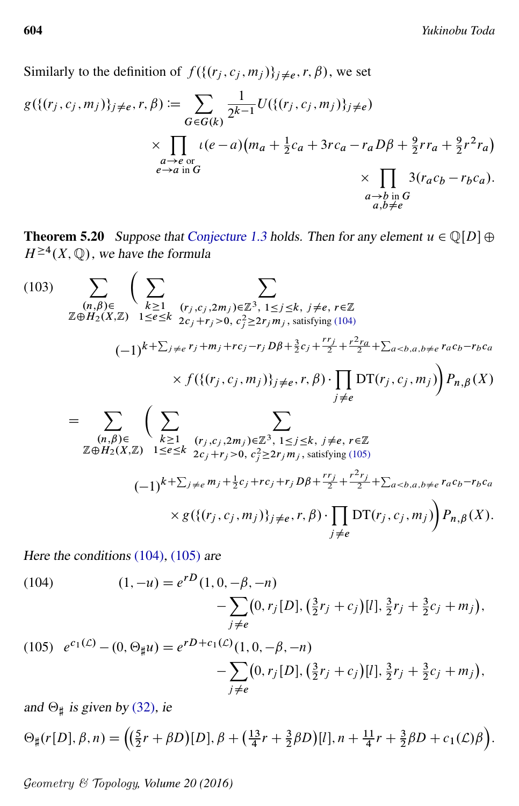Similarly to the definition of  $f({{(r_j, c_j, m_j)}}_{j \neq e}, r, \beta)$ , we set

$$
g(\{(r_j, c_j, m_j)\}_{j \neq e}, r, \beta) := \sum_{G \in G(k)} \frac{1}{2^{k-1}} U(\{(r_j, c_j, m_j)\}_{j \neq e})
$$
  
 
$$
\times \prod_{\substack{a \to e \text{ or } \\ e \to a \text{ in } G}} \iota(e-a)(m_a + \frac{1}{2}c_a + 3rc_a - r_a D\beta + \frac{9}{2}r r_a + \frac{9}{2}r^2 r_a)
$$
  
 
$$
\times \prod_{\substack{a \to b \text{ in } G \\ a, b \neq e}} 3(r_a c_b - r_b c_a).
$$

<span id="page-49-0"></span>**Theorem 5.20** Suppose that [Conjecture 1.3](#page-2-1) holds. Then for any element  $u \in \mathbb{Q}[D] \oplus \mathbb{Q}[D]$  $H^{\geq 4}(X,\mathbb{Q})$ , we have the formula

<span id="page-49-3"></span>(103) 
$$
\sum_{\substack{(n,\beta)\in\mathbb{Z}\\ \mathbb{Z}\oplus H_2(X,\mathbb{Z})}} \left( \sum_{\substack{k\geq 1\\ 1\leq e\leq k}} \sum_{\substack{(r_j,c_j,2m_j)\in\mathbb{Z}^3, 1\leq j\leq k, j\neq e, r\in\mathbb{Z}\\ 2c_j+r_j>0, c_j^2\geq 2r_jm_j, satisfying (104)}} \sum_{\substack{(\mathbf{I})\\ (-1)^{k+\sum_{j\neq e}r_j+m_j+rc_j-r_jD\beta+\frac{3}{2}c_j+\frac{rr_j}{2}+\frac{r^2r_a}{2}+\sum_{a
$$
= \sum_{\substack{(n,\beta)\in\mathbb{Z}\\ \mathbb{Z}\oplus H_2(X,\mathbb{Z})}} \left( \sum_{\substack{k\geq 1\\ 1\leq e\leq k}} \sum_{\substack{(r_j,c_j,2m_j)\in\mathbb{Z}^3, 1\leq j\leq k, j\neq e, r\in\mathbb{Z}\\ 2c_j+r_j>0, c_j^2\geq 2r_jm_j, satisfying (105)}} (-1)^{k+\sum_{j\neq e}m_j+\frac{1}{2}c_j+rc_j+r_jD\beta+\frac{rr_j}{2}+\frac{r^2r_j}{2}+\sum_{a
$$
$$

Here the conditions [\(104\)](#page-49-1), [\(105\)](#page-49-2) are

<span id="page-49-1"></span>(104) 
$$
(1, -u) = e^{rD} (1, 0, -\beta, -n) - \sum_{j \neq e} (0, r_j [D], (\frac{3}{2}r_j + c_j) [l], \frac{3}{2}r_j + \frac{3}{2}c_j + m_j),
$$

<span id="page-49-2"></span>(105) 
$$
e^{c_1(\mathcal{L})} - (0, \Theta_{\sharp} u) = e^{rD + c_1(\mathcal{L})} (1, 0, -\beta, -n)
$$
  
 
$$
- \sum_{j \neq e} (0, r_j[D], (\frac{3}{2}r_j + c_j)[l], \frac{3}{2}r_j + \frac{3}{2}c_j + m_j),
$$

and  $\Theta_{\sharp}$  is given by [\(32\)](#page-14-2), ie

$$
\Theta_{\sharp}(r[D], \beta, n) = \left( \left( \frac{5}{2}r + \beta D \right)[D], \beta + \left( \frac{13}{4}r + \frac{3}{2}\beta D \right)[l], n + \frac{11}{4}r + \frac{3}{2}\beta D + c_1(\mathcal{L})\beta \right).
$$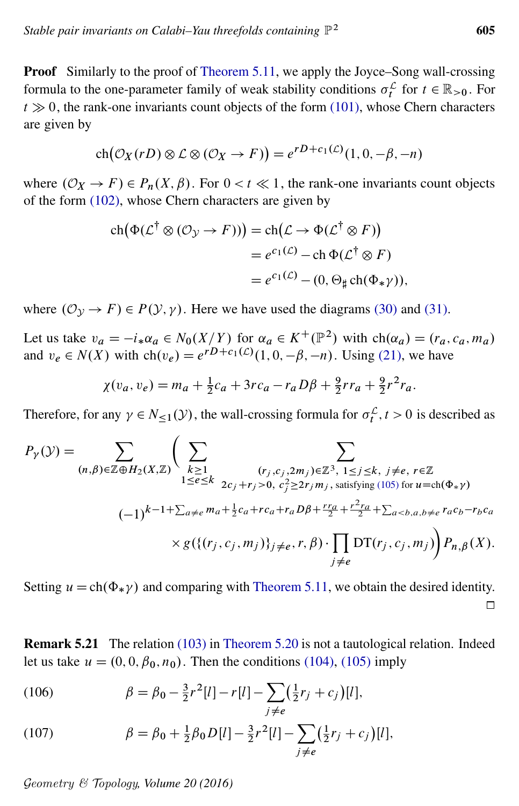Proof Similarly to the proof of [Theorem 5.11,](#page-44-0) we apply the Joyce–Song wall-crossing formula to the one-parameter family of weak stability conditions  $\sigma_t^{\mathcal{L}}$  for  $t \in \mathbb{R}_{>0}$ . For  $t \gg 0$ , the rank-one invariants count objects of the form [\(101\),](#page-48-0) whose Chern characters are given by

$$
ch(\mathcal{O}_X(rD) \otimes \mathcal{L} \otimes (\mathcal{O}_X \to F)) = e^{rD + c_1(\mathcal{L})}(1, 0, -\beta, -n)
$$

where  $(\mathcal{O}_X \to F) \in P_n(X, \beta)$ . For  $0 < t \ll 1$ , the rank-one invariants count objects of the form [\(102\),](#page-48-1) whose Chern characters are given by

$$
ch(\Phi(\mathcal{L}^{\dagger} \otimes (\mathcal{O}_{\mathcal{Y}} \to F))) = ch(\mathcal{L} \to \Phi(\mathcal{L}^{\dagger} \otimes F))
$$
  
=  $e^{c_1(\mathcal{L})} - ch \Phi(\mathcal{L}^{\dagger} \otimes F)$   
=  $e^{c_1(\mathcal{L})} - (0, \Theta_{\sharp} ch(\Phi_{*}\gamma)),$ 

where  $(\mathcal{O}_{\mathcal{Y}} \to F) \in P(\mathcal{Y}, \gamma)$ . Here we have used the diagrams [\(30\)](#page-14-3) and [\(31\).](#page-14-4)

Let us take  $v_a = -i_* \alpha_a \in N_0(X/Y)$  for  $\alpha_a \in K^+(\mathbb{P}^2)$  with  $ch(\alpha_a) = (r_a, c_a, m_a)$ and  $v_e \in N(X)$  with  $\text{ch}(v_e) = e^{rD+c_1(\mathcal{L})}(1, 0, -\beta, -n)$ . Using [\(21\),](#page-12-3) we have

$$
\chi(v_a, v_e) = m_a + \frac{1}{2}c_a + 3rc_a - r_aD\beta + \frac{9}{2}rr_a + \frac{9}{2}r^2r_a.
$$

Therefore, for any  $\gamma \in N_{\leq 1}(\mathcal{Y})$ , the wall-crossing formula for  $\sigma_t^{\mathcal{L}}$ ,  $t > 0$  is described as

$$
P_{\gamma}(\mathcal{Y}) = \sum_{(n,\beta)\in\mathbb{Z}\oplus H_2(X,\mathbb{Z})} \left( \sum_{\substack{k\geq 1\\1\leq e\leq k}} \sum_{\substack{(r_j,c_j,2m_j)\in\mathbb{Z}^3,\ 1\leq j\leq k,\ j\neq e,\ r\in\mathbb{Z} \\2c_j+r_j>0,\ c_j^2\geq 2r_jm_j,\ \text{satisfying (105) for } u=\text{ch}(\Phi_{*}\gamma) \\ (-1)^{k-1+\sum_{a\neq e}m_a+\frac{1}{2}c_a+rc_a+r_aD\beta+\frac{rr_a}{2}+\frac{r^2ra}{2}+\sum_{a
$$

Setting  $u = ch(\Phi_* \gamma)$  and comparing with [Theorem 5.11,](#page-44-0) we obtain the desired identity.  $\Box$ 

<span id="page-50-0"></span>Remark 5.21 The relation [\(103\)](#page-49-3) in [Theorem 5.20](#page-49-0) is not a tautological relation. Indeed let us take  $u = (0, 0, \beta_0, n_0)$ . Then the conditions [\(104\),](#page-49-1) [\(105\)](#page-49-2) imply

<span id="page-50-2"></span>(106) 
$$
\beta = \beta_0 - \frac{3}{2}r^2[l] - r[l] - \sum_{j \neq e} (\frac{1}{2}r_j + c_j)[l],
$$

<span id="page-50-1"></span>(107) 
$$
\beta = \beta_0 + \frac{1}{2}\beta_0 D[l] - \frac{3}{2}r^2[l] - \sum_{j \neq e} (\frac{1}{2}r_j + c_j)[l],
$$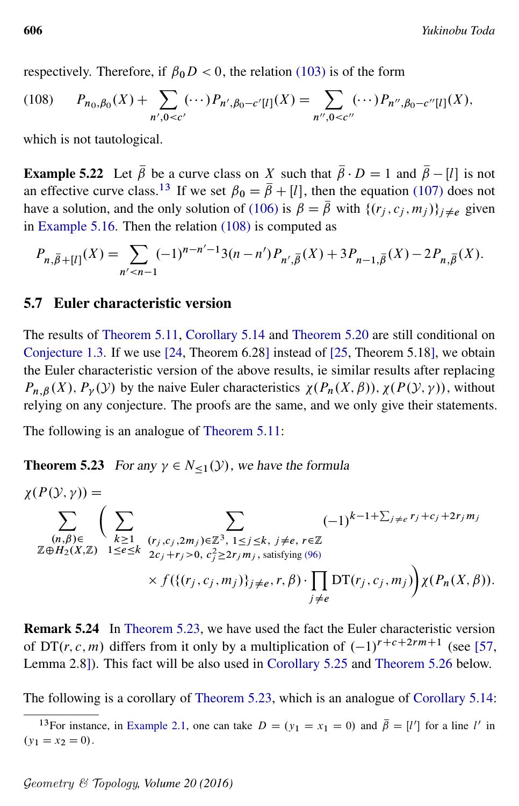<span id="page-51-2"></span>respectively. Therefore, if  $\beta_0 D < 0$ , the relation [\(103\)](#page-49-3) is of the form

$$
(108) \qquad P_{n_0,\beta_0}(X) + \sum_{n',0
$$

which is not tautological.

**Example 5.22** Let  $\bar{\beta}$  be a curve class on X such that  $\bar{\beta} \cdot D = 1$  and  $\bar{\beta} - [l]$  is not an effective curve class.<sup>[13](#page-51-1)</sup> If we set  $\beta_0 = \bar{\beta} + [l]$ , then the equation [\(107\)](#page-50-1) does not have a solution, and the only solution of [\(106\)](#page-50-2) is  $\beta = \overline{\beta}$  with  $\{(r_i, c_i, m_i)\}_{i \neq e}$  given in [Example 5.16.](#page-46-1) Then the relation [\(108\)](#page-51-2) is computed as

$$
P_{n,\overline{\beta}+[l]}(X) = \sum_{n' < n-1} (-1)^{n-n'-1} 3(n-n') P_{n',\overline{\beta}}(X) + 3 P_{n-1,\overline{\beta}}(X) - 2 P_{n,\overline{\beta}}(X).
$$

#### <span id="page-51-0"></span>5.7 Euler characteristic version

The results of [Theorem 5.11,](#page-44-0) [Corollary 5.14](#page-45-0) and [Theorem 5.20](#page-49-0) are still conditional on [Conjecture 1.3.](#page-2-1) If we use [\[24,](#page-54-13) Theorem 6.28] instead of [\[25,](#page-54-2) Theorem 5.18], we obtain the Euler characteristic version of the above results, ie similar results after replacing  $P_{n,\beta}(X)$ ,  $P_{\gamma}(Y)$  by the naive Euler characteristics  $\chi(P_n(X,\beta))$ ,  $\chi(P(Y,\gamma))$ , without relying on any conjecture. The proofs are the same, and we only give their statements.

<span id="page-51-3"></span>The following is an analogue of [Theorem 5.11:](#page-44-0)

**Theorem 5.23** For any  $\gamma \in N_{\leq 1}(\mathcal{Y})$ , we have the formula

$$
\chi(P(\mathcal{Y}, \gamma)) = \sum_{\substack{(n,\beta) \in \\ \mathbb{Z} \oplus H_2(X,\mathbb{Z})}} \left( \sum_{\substack{k \geq 1 \\ 1 \leq e \leq k}} \sum_{\substack{(r_j,c_j,2m_j) \in \mathbb{Z}^3, \\ 2c_j + r_j > 0, \\ c_j^2 \geq 2r_jm_j, \\ s \text{atisfying (96)}}} (-1)^{k-1+\sum_{j \neq e} r_j + c_j + 2r_jm_j}
$$
\n
$$
\times f(\{(r_j,c_j,m_j)\}_{j \neq e}, r, \beta) \cdot \prod_{j \neq e} \mathrm{DT}(r_j,c_j,m_j) \chi(P_n(X,\beta)).
$$

Remark 5.24 In [Theorem 5.23,](#page-51-3) we have used the fact the Euler characteristic version of DT(*r*, *c*, *m*) differs from it only by a multiplication of  $(-1)^{r+c+2rm+1}$  (see [\[57,](#page-56-1) Lemma 2.8]). This fact will be also used in [Corollary 5.25](#page-51-4) and [Theorem 5.26](#page-52-4) below.

<span id="page-51-4"></span>The following is a corollary of [Theorem 5.23,](#page-51-3) which is an analogue of [Corollary 5.14:](#page-45-0)

<span id="page-51-1"></span><sup>&</sup>lt;sup>13</sup>For instance, in [Example 2.1,](#page-8-0) one can take  $D = (y_1 = x_1 = 0)$  and  $\overline{\beta} = [l']$  for a line l' in  $(y_1 = x_2 = 0).$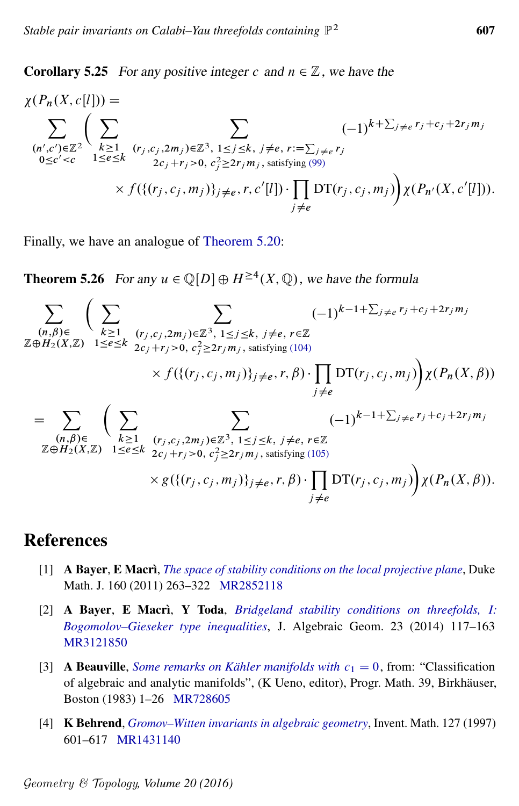**Corollary 5.25** For any positive integer c and  $n \in \mathbb{Z}$ , we have the

$$
\chi(P_n(X, c[l])) = \sum_{\substack{(n', c') \in \mathbb{Z}^2}} \left( \sum_{\substack{k \geq 1 \\ 0 \leq c' < c}} \sum_{\substack{(r_j, c_j, 2m_j) \in \mathbb{Z}^3, 1 \leq j \leq k, j \neq e, r := \sum_{j \neq e} r_j \\ 2c_j + r_j > 0, c_j^2 \geq 2r_j m_j, \text{ satisfying (99)}} \times f(\{(r_j, c_j, m_j)\}_{j \neq e}, r, c'[l]) \cdot \prod_{j \neq e} DT(r_j, c_j, m_j) \right) \chi(P_{n'}(X, c'[l])).
$$

<span id="page-52-4"></span>Finally, we have an analogue of [Theorem 5.20:](#page-49-0)

**Theorem 5.26** For any  $u \in \mathbb{Q}[D] \oplus H^{\geq 4}(X, \mathbb{Q})$ , we have the formula

$$
\sum_{\substack{(n,\beta)\in\\ \mathbb{Z}\oplus H_2(X,\mathbb{Z})}} \left( \sum_{\substack{k\geq 1\\ 1\leq e\leq k}} \sum_{\substack{(r_j,c_j,2m_j)\in\mathbb{Z}^3,\\ 1\leq j\leq k, j\neq e, r\in\mathbb{Z}}} (-1)^{k-1+\sum_{j\neq e}r_j+c_j+2r_jm_j}
$$
\n
$$
\mathbb{Z}\oplus H_2(X,\mathbb{Z}) \xrightarrow{1\leq e\leq k} 2c_j+r_j>0, c_j^2\geq 2r_jm_j, \text{ satisfying (104)}
$$
\n
$$
\times f(\{(r_j,c_j,m_j)\}_{j\neq e}, r, \beta) \cdot \prod_{j\neq e} DT(r_j,c_j,m_j) \chi(P_n(X,\beta))
$$
\n
$$
= \sum_{\substack{(n,\beta)\in\\ \mathbb{Z}\oplus H_2(X,\mathbb{Z})}} \left( \sum_{\substack{k\geq 1\\ 1\leq e\leq k}} \sum_{\substack{(r_j,c_j,2m_j)\in\mathbb{Z}^3,\\ 1\leq j\leq k, j\neq e, r\in\mathbb{Z}}} (-1)^{k-1+\sum_{j\neq e}r_j+c_j+2r_jm_j}
$$
\n
$$
\times g(\{(r_j,c_j,m_j)\}_{j\neq e}, r, \beta) \cdot \prod_{j\neq e} DT(r_j,c_j,m_j) \chi(P_n(X,\beta)).
$$

## References

- <span id="page-52-1"></span>[1] A Bayer, E Macrì, *[The space of stability conditions on the local projective plane](http://dx.doi.org/10.1215/00127094-1444249)*, Duke Math. J. 160 (2011) 263–322 [MR2852118](http://www.ams.org/mathscinet-getitem?mr=2852118)
- <span id="page-52-3"></span>[2] A Bayer, E Macrì, Y Toda, *[Bridgeland stability conditions on threefolds, I:](http://dx.doi.org/10.1090/S1056-3911-2013-00617-7) [Bogomolov–Gieseker type inequalities](http://dx.doi.org/10.1090/S1056-3911-2013-00617-7)*, J. Algebraic Geom. 23 (2014) 117–163 [MR3121850](http://www.ams.org/mathscinet-getitem?mr=3121850)
- <span id="page-52-2"></span>[3] **A Beauville**, *[Some remarks on Kähler manifolds with](http://dx.doi.org/10.1007/BF02592068)*  $c_1 = 0$ , from: "Classification of algebraic and analytic manifolds", (K Ueno, editor), Progr. Math. 39, Birkhäuser, Boston (1983) 1–26 [MR728605](http://www.ams.org/mathscinet-getitem?mr=728605)
- <span id="page-52-0"></span>[4] K Behrend, *[Gromov–Witten invariants in algebraic geometry](http://dx.doi.org/10.1007/s002220050132)*, Invent. Math. 127 (1997) 601–617 [MR1431140](http://www.ams.org/mathscinet-getitem?mr=1431140)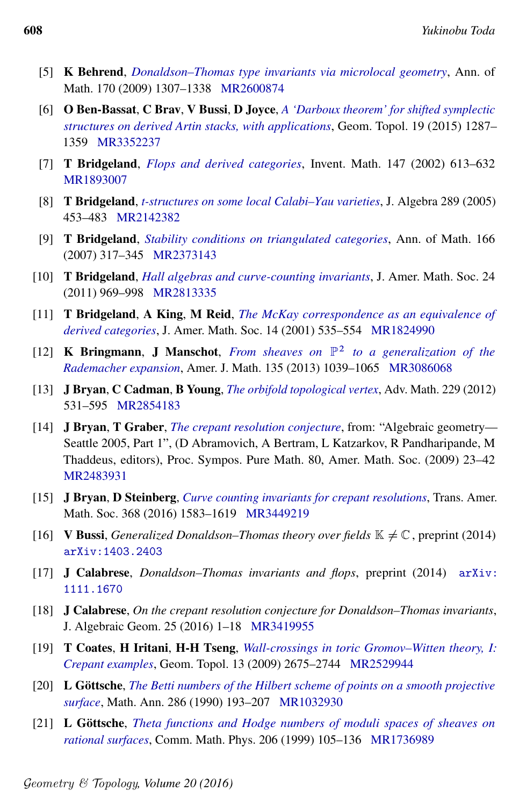- <span id="page-53-12"></span>[5] K Behrend, *[Donaldson–Thomas type invariants via microlocal geometry](http://dx.doi.org/10.4007/annals.2009.170.1307)*, Ann. of Math. 170 (2009) 1307–1338 [MR2600874](http://www.ams.org/mathscinet-getitem?mr=2600874)
- <span id="page-53-9"></span>[6] O Ben-Bassat, C Brav, V Bussi, D Joyce, *[A 'Darboux theorem' for shifted symplectic](http://dx.doi.org/10.2140/gt.2015.19.1287) [structures on derived Artin stacks, with applications](http://dx.doi.org/10.2140/gt.2015.19.1287)*, Geom. Topol. 19 (2015) 1287– 1359 [MR3352237](http://www.ams.org/mathscinet-getitem?mr=3352237)
- <span id="page-53-5"></span>[7] T Bridgeland, *[Flops and derived categories](http://dx.doi.org/10.1007/s002220100185)*, Invent. Math. 147 (2002) 613–632 [MR1893007](http://www.ams.org/mathscinet-getitem?mr=1893007)
- <span id="page-53-11"></span>[8] T Bridgeland, *[t-structures on some local Calabi–Yau varieties](http://dx.doi.org/10.1016/j.jalgebra.2005.03.016)*, J. Algebra 289 (2005) 453–483 [MR2142382](http://www.ams.org/mathscinet-getitem?mr=2142382)
- <span id="page-53-13"></span>[9] T Bridgeland, *[Stability conditions on triangulated categories](http://dx.doi.org/10.4007/annals.2007.166.317)*, Ann. of Math. 166 (2007) 317–345 [MR2373143](http://www.ams.org/mathscinet-getitem?mr=2373143)
- <span id="page-53-0"></span>[10] T Bridgeland, *[Hall algebras and curve-counting invariants](http://dx.doi.org/10.1090/S0894-0347-2011-00701-7)*, J. Amer. Math. Soc. 24 (2011) 969–998 [MR2813335](http://www.ams.org/mathscinet-getitem?mr=2813335)
- <span id="page-53-6"></span>[11] T Bridgeland, A King, M Reid, *[The McKay correspondence as an equivalence of](http://dx.doi.org/10.1090/S0894-0347-01-00368-X) [derived categories](http://dx.doi.org/10.1090/S0894-0347-01-00368-X)*, J. Amer. Math. Soc. 14 (2001) 535–554 [MR1824990](http://www.ams.org/mathscinet-getitem?mr=1824990)
- <span id="page-53-16"></span>[12] K Bringmann, J Manschot, *From sheaves on* P 2 *[to a generalization of the](http://dx.doi.org/10.1353/ajm.2013.0031) [Rademacher expansion](http://dx.doi.org/10.1353/ajm.2013.0031)*, Amer. J. Math. 135 (2013) 1039–1065 [MR3086068](http://www.ams.org/mathscinet-getitem?mr=3086068)
- <span id="page-53-2"></span>[13] J Bryan, C Cadman, B Young, *[The orbifold topological vertex](http://dx.doi.org/10.1016/j.aim.2011.09.008)*, Adv. Math. 229 (2012) 531–595 [MR2854183](http://www.ams.org/mathscinet-getitem?mr=2854183)
- <span id="page-53-7"></span>[14] J Bryan, T Graber, *[The crepant resolution conjecture](http://dx.doi.org/10.1090/pspum/080.1/2483931)*, from: "Algebraic geometry— Seattle 2005, Part 1", (D Abramovich, A Bertram, L Katzarkov, R Pandharipande, M Thaddeus, editors), Proc. Sympos. Pure Math. 80, Amer. Math. Soc. (2009) 23–42 [MR2483931](http://www.ams.org/mathscinet-getitem?mr=2483931)
- <span id="page-53-4"></span>[15] J Bryan, D Steinberg, *[Curve counting invariants for crepant resolutions](http://dx.doi.org/10.1090/tran/6377)*, Trans. Amer. Math. Soc. 368 (2016) 1583–1619 [MR3449219](http://www.ams.org/mathscinet-getitem?mr=3449219)
- <span id="page-53-10"></span>[16] **V Bussi,** *Generalized Donaldson–Thomas theory over fields*  $\mathbb{K} \neq \mathbb{C}$ , preprint (2014) [arXiv:1403.2403](http://arxiv.org/abs/1403.2403)
- <span id="page-53-1"></span>[17] J Calabrese, *Donaldson–Thomas invariants and flops*, preprint (2014) [arXiv:](http://arxiv.org/abs/1111.1670) [1111.1670](http://arxiv.org/abs/1111.1670)
- <span id="page-53-3"></span>[18] J Calabrese, *On the crepant resolution conjecture for Donaldson–Thomas invariants*, J. Algebraic Geom. 25 (2016) 1–18 [MR3419955](http://www.ams.org/mathscinet-getitem?mr=3419955)
- <span id="page-53-8"></span>[19] T Coates, H Iritani, H-H Tseng, *[Wall-crossings in toric Gromov–Witten theory, I:](http://dx.doi.org/10.2140/gt.2009.13.2675) [Crepant examples](http://dx.doi.org/10.2140/gt.2009.13.2675)*, Geom. Topol. 13 (2009) 2675–2744 [MR2529944](http://www.ams.org/mathscinet-getitem?mr=2529944)
- <span id="page-53-14"></span>[20] L Göttsche, *[The Betti numbers of the Hilbert scheme of points on a smooth projective](http://dx.doi.org/10.1007/BF01453572) [surface](http://dx.doi.org/10.1007/BF01453572)*, Math. Ann. 286 (1990) 193–207 [MR1032930](http://www.ams.org/mathscinet-getitem?mr=1032930)
- <span id="page-53-15"></span>[21] L Göttsche, *[Theta functions and Hodge numbers of moduli spaces of sheaves on](http://dx.doi.org/10.1007/s002200050699) [rational surfaces](http://dx.doi.org/10.1007/s002200050699)*, Comm. Math. Phys. 206 (1999) 105–136 [MR1736989](http://www.ams.org/mathscinet-getitem?mr=1736989)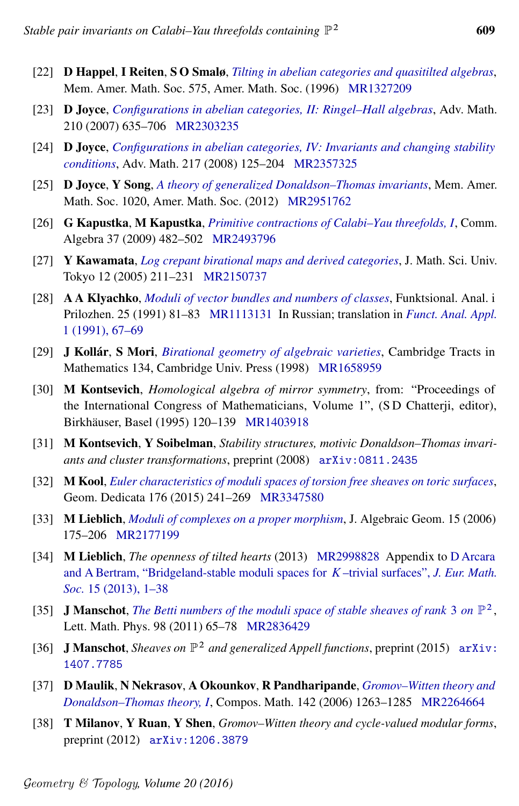- $2 \hspace{1.5cm} 609$
- <span id="page-54-14"></span>[22] D Happel, I Reiten, S O Smalø, *[Tilting in abelian categories and quasitilted algebras](http://dx.doi.org/10.1090/memo/0575)*, Mem. Amer. Math. Soc. 575, Amer. Math. Soc. (1996) [MR1327209](http://www.ams.org/mathscinet-getitem?mr=1327209)
- <span id="page-54-8"></span>[23] D Joyce, *[Configurations in abelian categories, II: Ringel–Hall algebras](http://dx.doi.org/10.1016/j.aim.2006.07.006)*, Adv. Math. 210 (2007) 635–706 [MR2303235](http://www.ams.org/mathscinet-getitem?mr=2303235)
- <span id="page-54-13"></span>[24] D Joyce, *[Configurations in abelian categories, IV: Invariants and changing stability](http://dx.doi.org/10.1016/j.aim.2007.06.011) [conditions](http://dx.doi.org/10.1016/j.aim.2007.06.011)*, Adv. Math. 217 (2008) 125–204 [MR2357325](http://www.ams.org/mathscinet-getitem?mr=2357325)
- <span id="page-54-2"></span>[25] D Joyce, Y Song, *[A theory of generalized Donaldson–Thomas invariants](http://dx.doi.org/10.1090/S0065-9266-2011-00630-1)*, Mem. Amer. Math. Soc. 1020, Amer. Math. Soc. (2012) [MR2951762](http://www.ams.org/mathscinet-getitem?mr=2951762)
- <span id="page-54-6"></span>[26] G Kapustka, M Kapustka, *[Primitive contractions of Calabi–Yau threefolds, I](http://dx.doi.org/10.1080/00927870802248878)*, Comm. Algebra 37 (2009) 482–502 [MR2493796](http://www.ams.org/mathscinet-getitem?mr=2493796)
- <span id="page-54-4"></span>[27] Y Kawamata, *[Log crepant birational maps and derived categories](http://www.ms.u-tokyo.ac.jp/journal/pdf/jms120204.pdf)*, J. Math. Sci. Univ. Tokyo 12 (2005) 211–231 [MR2150737](http://www.ams.org/mathscinet-getitem?mr=2150737)
- <span id="page-54-9"></span>[28] A A Klyachko, *[Moduli of vector bundles and numbers of classes](http://www.mathnet.ru/php/getFT.phtml?jrnid=faa&paperid=842&what=fullt&option_lang=eng)*, Funktsional. Anal. i Prilozhen. 25 (1991) 81–83 [MR1113131](http://www.ams.org/mathscinet-getitem?mr=1113131) In Russian; translation in *[Funct. Anal. Appl.](http://dx.doi.org/10.1007/BF01090685)* [1 \(1991\), 67–69](http://dx.doi.org/10.1007/BF01090685)
- <span id="page-54-7"></span>[29] J Kollár, S Mori, *[Birational geometry of algebraic varieties](http://dx.doi.org/10.1017/CBO9780511662560)*, Cambridge Tracts in Mathematics 134, Cambridge Univ. Press (1998) [MR1658959](http://www.ams.org/mathscinet-getitem?mr=1658959)
- <span id="page-54-1"></span>[30] M Kontsevich, *Homological algebra of mirror symmetry*, from: "Proceedings of the International Congress of Mathematicians, Volume 1", (S D Chatterji, editor), Birkhäuser, Basel (1995) 120–139 [MR1403918](http://www.ams.org/mathscinet-getitem?mr=1403918)
- <span id="page-54-3"></span>[31] M Kontsevich, Y Soibelman, *Stability structures, motivic Donaldson–Thomas invariants and cluster transformations*, preprint (2008) [arXiv:0811.2435](http://arxiv.org/abs/0811.2435)
- <span id="page-54-11"></span>[32] M Kool, *[Euler characteristics of moduli spaces of torsion free sheaves on toric surfaces](http://dx.doi.org/10.1007/s10711-014-9966-2)*, Geom. Dedicata 176 (2015) 241–269 [MR3347580](http://www.ams.org/mathscinet-getitem?mr=3347580)
- <span id="page-54-15"></span>[33] M Lieblich, *[Moduli of complexes on a proper morphism](http://dx.doi.org/10.1090/S1056-3911-05-00418-2)*, J. Algebraic Geom. 15 (2006) 175–206 [MR2177199](http://www.ams.org/mathscinet-getitem?mr=2177199)
- <span id="page-54-16"></span>[34] M Lieblich, *The openness of tilted hearts* (2013) [MR2998828](http://www.ams.org/mathscinet-getitem?mr=2998828) Appendix to [D Arcara](http://dx.doi.org/10.4171/JEMS/354) [and A Bertram, "Bridgeland-stable moduli spaces for](http://dx.doi.org/10.4171/JEMS/354) K –trivial surfaces", *J. Eur. Math. Soc.* [15 \(2013\), 1–38](http://dx.doi.org/10.4171/JEMS/354)
- <span id="page-54-10"></span>[35] **J Manschot**, *[The Betti numbers of the moduli space of stable sheaves of rank](http://dx.doi.org/10.1007/s11005-011-0490-0)* 3 *on*  $\mathbb{P}^2$ , Lett. Math. Phys. 98 (2011) 65–78 [MR2836429](http://www.ams.org/mathscinet-getitem?mr=2836429)
- <span id="page-54-12"></span>[36] J Manschot, *Sheaves on* P <sup>2</sup> *and generalized Appell functions*, preprint (2015) [arXiv:](http://arxiv.org/abs/1407.7785) [1407.7785](http://arxiv.org/abs/1407.7785)
- <span id="page-54-0"></span>[37] D Maulik, N Nekrasov, A Okounkov, R Pandharipande, *[Gromov–Witten theory and](http://dx.doi.org/10.1112/S0010437X06002302) [Donaldson–Thomas theory, I](http://dx.doi.org/10.1112/S0010437X06002302)*, Compos. Math. 142 (2006) 1263–1285 [MR2264664](http://www.ams.org/mathscinet-getitem?mr=2264664)
- <span id="page-54-5"></span>[38] T Milanov, Y Ruan, Y Shen, *Gromov–Witten theory and cycle-valued modular forms*, preprint (2012) [arXiv:1206.3879](http://arxiv.org/abs/1206.3879)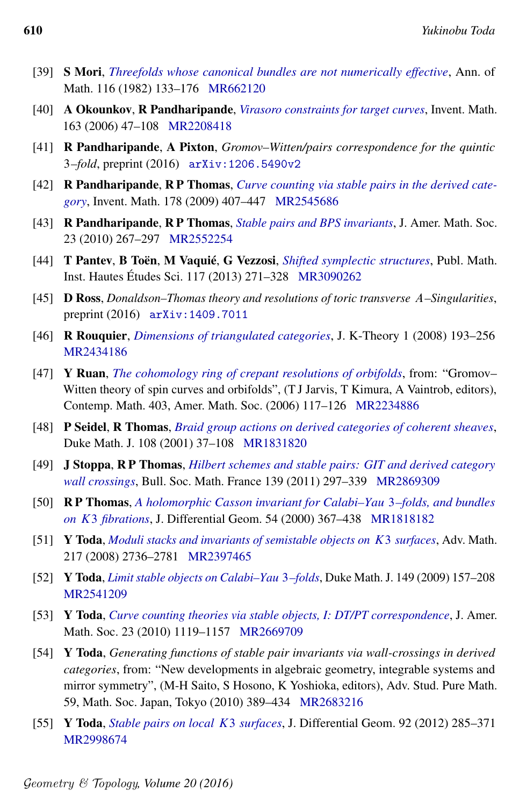- <span id="page-55-13"></span>[39] S Mori, *[Threefolds whose canonical bundles are not numerically effective](http://dx.doi.org/10.2307/2007050)*, Ann. of Math. 116 (1982) 133–176 [MR662120](http://www.ams.org/mathscinet-getitem?mr=662120)
- <span id="page-55-11"></span>[40] A Okounkov, R Pandharipande, *[Virasoro constraints for target curves](http://dx.doi.org/10.1007/s00222-005-0455-y)*, Invent. Math. 163 (2006) 47–108 [MR2208418](http://www.ams.org/mathscinet-getitem?mr=2208418)
- <span id="page-55-4"></span>[41] R Pandharipande, A Pixton, *Gromov–Witten/pairs correspondence for the quintic* 3*–fold*, preprint (2016) [arXiv:1206.5490v2](http://arxiv.org/abs/1206.5490v2)
- <span id="page-55-1"></span>[42] R Pandharipande, R P Thomas, *[Curve counting via stable pairs in the derived cate](http://dx.doi.org/10.1007/s00222-009-0203-9)[gory](http://dx.doi.org/10.1007/s00222-009-0203-9)*, Invent. Math. 178 (2009) 407–447 [MR2545686](http://www.ams.org/mathscinet-getitem?mr=2545686)
- <span id="page-55-15"></span>[43] R Pandharipande, R P Thomas, *[Stable pairs and BPS invariants](http://dx.doi.org/10.1090/S0894-0347-09-00646-8)*, J. Amer. Math. Soc. 23 (2010) 267–297 [MR2552254](http://www.ams.org/mathscinet-getitem?mr=2552254)
- <span id="page-55-12"></span>[44] T Pantev, B Toën, M Vaquié, G Vezzosi, *[Shifted symplectic structures](http://dx.doi.org/10.1007/s10240-013-0054-1)*, Publ. Math. Inst. Hautes Études Sci. 117 (2013) 271–328 [MR3090262](http://www.ams.org/mathscinet-getitem?mr=3090262)
- <span id="page-55-6"></span>[45] D Ross, *Donaldson–Thomas theory and resolutions of toric transverse* A*–Singularities*, preprint (2016) [arXiv:1409.7011](http://arxiv.org/abs/1409.7011)
- <span id="page-55-14"></span>[46] R Rouquier, *[Dimensions of triangulated categories](http://dx.doi.org/10.1017/is007011012jkt010)*, J. K-Theory 1 (2008) 193–256 [MR2434186](http://www.ams.org/mathscinet-getitem?mr=2434186)
- <span id="page-55-10"></span>[47] Y Ruan, *[The cohomology ring of crepant resolutions of orbifolds](http://dx.doi.org/10.1090/conm/403/07597)*, from: "Gromov– Witten theory of spin curves and orbifolds", (T J Jarvis, T Kimura, A Vaintrob, editors), Contemp. Math. 403, Amer. Math. Soc. (2006) 117–126 [MR2234886](http://www.ams.org/mathscinet-getitem?mr=2234886)
- <span id="page-55-5"></span>[48] P Seidel, R Thomas, *[Braid group actions on derived categories of coherent sheaves](http://dx.doi.org/10.1215/S0012-7094-01-10812-0)*, Duke Math. J. 108 (2001) 37–108 [MR1831820](http://www.ams.org/mathscinet-getitem?mr=1831820)
- <span id="page-55-3"></span>[49] J Stoppa, R P Thomas, *[Hilbert schemes and stable pairs: GIT and derived category](http://smf4.emath.fr/en/Publications//Bulletin/139/pdf/smf_bull_139_297-339.pdf) [wall crossings](http://smf4.emath.fr/en/Publications//Bulletin/139/pdf/smf_bull_139_297-339.pdf)*, Bull. Soc. Math. France 139 (2011) 297–339 [MR2869309](http://www.ams.org/mathscinet-getitem?mr=2869309)
- <span id="page-55-0"></span>[50] R P Thomas, *[A holomorphic Casson invariant for Calabi–Yau](http://projecteuclid.org/euclid.jdg/1214341649)* 3*–folds, and bundles on* K3 *[fibrations](http://projecteuclid.org/euclid.jdg/1214341649)*, J. Differential Geom. 54 (2000) 367–438 [MR1818182](http://www.ams.org/mathscinet-getitem?mr=1818182)
- <span id="page-55-9"></span>[51] Y Toda, *[Moduli stacks and invariants of semistable objects on](http://dx.doi.org/10.1016/j.aim.2007.11.010)* K3 *surfaces*, Adv. Math. 217 (2008) 2736–2781 [MR2397465](http://www.ams.org/mathscinet-getitem?mr=2397465)
- <span id="page-55-16"></span>[52] Y Toda, *[Limit stable objects on Calabi–Yau](http://dx.doi.org/10.1215/00127094-2009-038)* 3*–folds*, Duke Math. J. 149 (2009) 157–208 [MR2541209](http://www.ams.org/mathscinet-getitem?mr=2541209)
- <span id="page-55-2"></span>[53] Y Toda, *[Curve counting theories via stable objects, I: DT/PT correspondence](http://dx.doi.org/10.1090/S0894-0347-10-00670-3)*, J. Amer. Math. Soc. 23 (2010) 1119–1157 [MR2669709](http://www.ams.org/mathscinet-getitem?mr=2669709)
- <span id="page-55-7"></span>[54] Y Toda, *Generating functions of stable pair invariants via wall-crossings in derived categories*, from: "New developments in algebraic geometry, integrable systems and mirror symmetry", (M-H Saito, S Hosono, K Yoshioka, editors), Adv. Stud. Pure Math. 59, Math. Soc. Japan, Tokyo (2010) 389–434 [MR2683216](http://www.ams.org/mathscinet-getitem?mr=2683216)
- <span id="page-55-8"></span>[55] Y Toda, *[Stable pairs on local](http://projecteuclid.org/euclid.jdg/1352297809)* K3 *surfaces*, J. Differential Geom. 92 (2012) 285–371 [MR2998674](http://www.ams.org/mathscinet-getitem?mr=2998674)